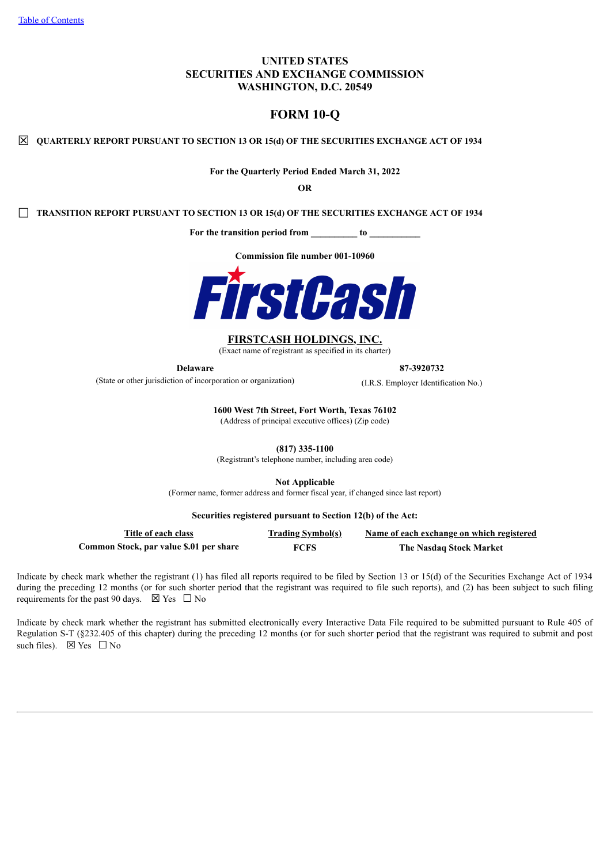# **UNITED STATES SECURITIES AND EXCHANGE COMMISSION WASHINGTON, D.C. 20549**

# **FORM 10-Q**

☒ **QUARTERLY REPORT PURSUANT TO SECTION <sup>13</sup> OR 15(d) OF THE SECURITIES EXCHANGE ACT OF <sup>1934</sup>**

**For the Quarterly Period Ended March 31, 2022**

**OR**

☐ **TRANSITION REPORT PURSUANT TO SECTION <sup>13</sup> OR 15(d) OF THE SECURITIES EXCHANGE ACT OF <sup>1934</sup>**

**For the transition period from \_\_\_\_\_\_\_\_\_\_ to \_\_\_\_\_\_\_\_\_\_\_**

**Commission file number 001-10960**



#### **FIRSTCASH HOLDINGS, INC.**

(Exact name of registrant as specified in its charter)

**Delaware 87-3920732**

(State or other jurisdiction of incorporation or organization) (I.R.S. Employer Identification No.)

**1600 West 7th Street, Fort Worth, Texas 76102**

(Address of principal executive offices) (Zip code)

**(817) 335-1100**

(Registrant's telephone number, including area code)

**Not Applicable**

(Former name, former address and former fiscal year, if changed since last report)

#### **Securities registered pursuant to Section 12(b) of the Act:**

| Title of each class                     | <b>Trading Symbol(s)</b> | Name of each exchange on which registered |
|-----------------------------------------|--------------------------|-------------------------------------------|
| Common Stock, par value \$.01 per share | <b>FCFS</b>              | <b>The Nasdaq Stock Market</b>            |

Indicate by check mark whether the registrant (1) has filed all reports required to be filed by Section 13 or 15(d) of the Securities Exchange Act of 1934 during the preceding 12 months (or for such shorter period that the registrant was required to file such reports), and (2) has been subject to such filing requirements for the past 90 days.  $\boxtimes$  Yes  $\Box$  No

Indicate by check mark whether the registrant has submitted electronically every Interactive Data File required to be submitted pursuant to Rule 405 of Regulation S-T (§232.405 of this chapter) during the preceding 12 months (or for such shorter period that the registrant was required to submit and post such files).  $\boxtimes$  Yes  $\Box$  No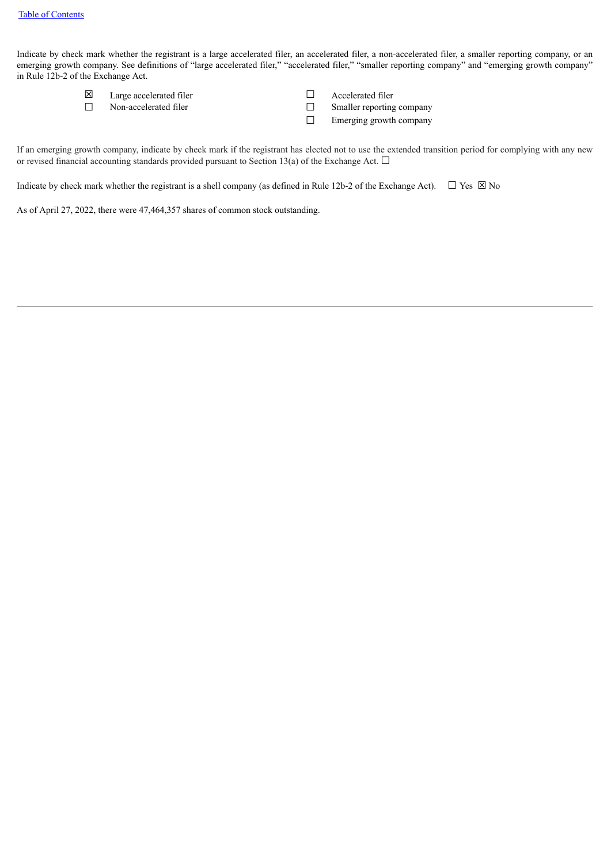Indicate by check mark whether the registrant is a large accelerated filer, an accelerated filer, a non-accelerated filer, a smaller reporting company, or an emerging growth company. See definitions of "large accelerated filer," "accelerated filer," "smaller reporting company" and "emerging growth company" in Rule 12b-2 of the Exchange Act.

- ☒ Large accelerated filer ☐ Accelerated filer
- ☐ Non-accelerated filer ☐ Smaller reporting company
- -
	- □ Emerging growth company

If an emerging growth company, indicate by check mark if the registrant has elected not to use the extended transition period for complying with any new or revised financial accounting standards provided pursuant to Section 13(a) of the Exchange Act.  $\Box$ 

Indicate by check mark whether the registrant is a shell company (as defined in Rule 12b-2 of the Exchange Act).  $\Box$  Yes  $\boxtimes$  No

<span id="page-1-0"></span>As of April 27, 2022, there were 47,464,357 shares of common stock outstanding.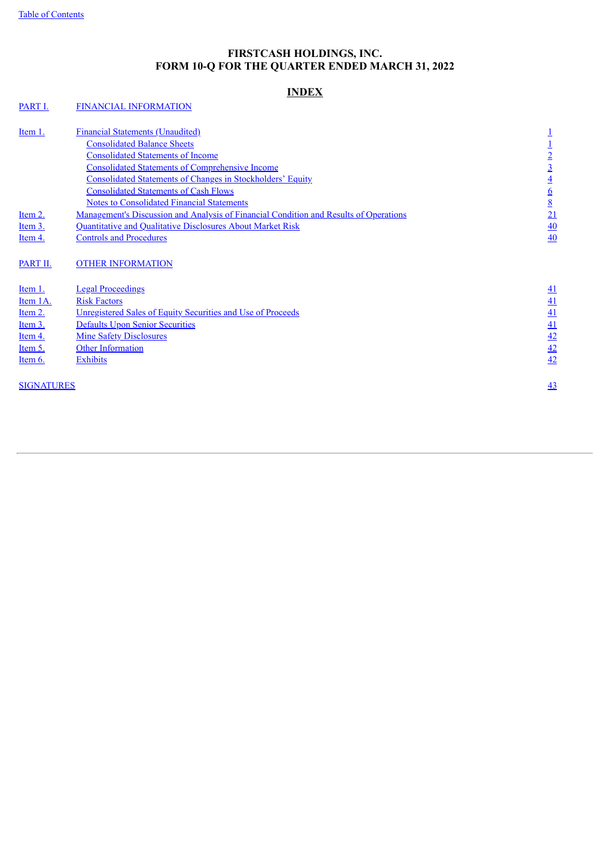# **FIRSTCASH HOLDINGS, INC. FORM 10-Q FOR THE QUARTER ENDED MARCH 31, 2022**

# **INDEX**

# [PART](#page-3-0) I. FINANCIAL [INFORMATION](#page-3-0)

| Item 1.<br>Item $2.$   | <b>Financial Statements (Unaudited)</b><br><b>Consolidated Balance Sheets</b><br><b>Consolidated Statements of Income</b><br><b>Consolidated Statements of Comprehensive Income</b><br><b>Consolidated Statements of Changes in Stockholders' Equity</b><br><b>Consolidated Statements of Cash Flows</b><br><b>Notes to Consolidated Financial Statements</b><br><u>Management's Discussion and Analysis of Financial Condition and Results of Operations</u> | $\overline{2}$<br>$\overline{3}$<br>$\overline{4}$<br>$\overline{\mathbf{6}}$<br>$8\overline{8}$<br>21 |
|------------------------|---------------------------------------------------------------------------------------------------------------------------------------------------------------------------------------------------------------------------------------------------------------------------------------------------------------------------------------------------------------------------------------------------------------------------------------------------------------|--------------------------------------------------------------------------------------------------------|
| Item 3.<br>Item 4.     | Quantitative and Qualitative Disclosures About Market Risk<br><b>Controls and Procedures</b>                                                                                                                                                                                                                                                                                                                                                                  | 40<br>40                                                                                               |
| PART II.<br>Item $1$ . | <b>OTHER INFORMATION</b><br><b>Legal Proceedings</b>                                                                                                                                                                                                                                                                                                                                                                                                          | <u>41</u>                                                                                              |
| Item 1A.               | <b>Risk Factors</b>                                                                                                                                                                                                                                                                                                                                                                                                                                           | 41                                                                                                     |
| Item 2.                | Unregistered Sales of Equity Securities and Use of Proceeds                                                                                                                                                                                                                                                                                                                                                                                                   | 41                                                                                                     |
| Item 3.                | <b>Defaults Upon Senior Securities</b>                                                                                                                                                                                                                                                                                                                                                                                                                        | 41                                                                                                     |
| Item 4.                | <b>Mine Safety Disclosures</b>                                                                                                                                                                                                                                                                                                                                                                                                                                | 42                                                                                                     |
| Item 5.                | <b>Other Information</b>                                                                                                                                                                                                                                                                                                                                                                                                                                      | 42                                                                                                     |
| Item $6.$              | <b>Exhibits</b>                                                                                                                                                                                                                                                                                                                                                                                                                                               | 42                                                                                                     |
| <b>SIGNATURES</b>      |                                                                                                                                                                                                                                                                                                                                                                                                                                                               | $\overline{43}$                                                                                        |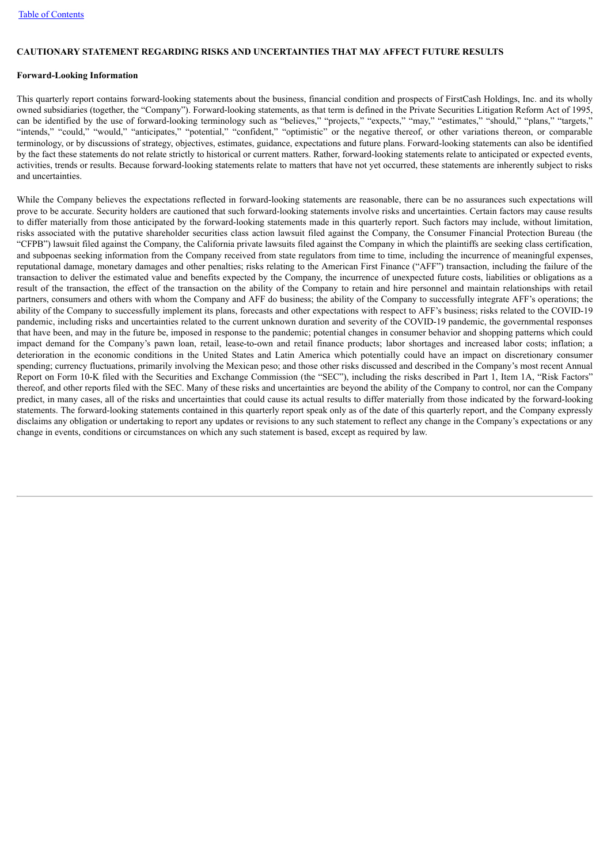### **CAUTIONARY STATEMENT REGARDING RISKS AND UNCERTAINTIES THAT MAY AFFECT FUTURE RESULTS**

### **Forward-Looking Information**

This quarterly report contains forward-looking statements about the business, financial condition and prospects of FirstCash Holdings, Inc. and its wholly owned subsidiaries (together, the "Company"). Forward-looking statements, as that term is defined in the Private Securities Litigation Reform Act of 1995, can be identified by the use of forward-looking terminology such as "believes," "projects," "expects," "may," "estimates," "should," "plans," "targets," "intends," "could," "would," "anticipates," "potential," "confident," "optimistic" or the negative thereof, or other variations thereon, or comparable terminology, or by discussions of strategy, objectives, estimates, guidance, expectations and future plans. Forward-looking statements can also be identified by the fact these statements do not relate strictly to historical or current matters. Rather, forward-looking statements relate to anticipated or expected events, activities, trends or results. Because forward-looking statements relate to matters that have not yet occurred, these statements are inherently subject to risks and uncertainties.

<span id="page-3-0"></span>While the Company believes the expectations reflected in forward-looking statements are reasonable, there can be no assurances such expectations will prove to be accurate. Security holders are cautioned that such forward-looking statements involve risks and uncertainties. Certain factors may cause results to differ materially from those anticipated by the forward-looking statements made in this quarterly report. Such factors may include, without limitation, risks associated with the putative shareholder securities class action lawsuit filed against the Company, the Consumer Financial Protection Bureau (the "CFPB") lawsuit filed against the Company, the California private lawsuits filed against the Company in which the plaintiffs are seeking class certification, and subpoenas seeking information from the Company received from state regulators from time to time, including the incurrence of meaningful expenses, reputational damage, monetary damages and other penalties; risks relating to the American First Finance ("AFF") transaction, including the failure of the transaction to deliver the estimated value and benefits expected by the Company, the incurrence of unexpected future costs, liabilities or obligations as a result of the transaction, the effect of the transaction on the ability of the Company to retain and hire personnel and maintain relationships with retail partners, consumers and others with whom the Company and AFF do business; the ability of the Company to successfully integrate AFF's operations; the ability of the Company to successfully implement its plans, forecasts and other expectations with respect to AFF's business; risks related to the COVID-19 pandemic, including risks and uncertainties related to the current unknown duration and severity of the COVID-19 pandemic, the governmental responses that have been, and may in the future be, imposed in response to the pandemic; potential changes in consumer behavior and shopping patterns which could impact demand for the Company's pawn loan, retail, lease-to-own and retail finance products; labor shortages and increased labor costs; inflation; a deterioration in the economic conditions in the United States and Latin America which potentially could have an impact on discretionary consumer spending; currency fluctuations, primarily involving the Mexican peso; and those other risks discussed and described in the Company's most recent Annual Report on Form 10-K filed with the Securities and Exchange Commission (the "SEC"), including the risks described in Part 1, Item 1A, "Risk Factors" thereof, and other reports filed with the SEC. Many of these risks and uncertainties are beyond the ability of the Company to control, nor can the Company predict, in many cases, all of the risks and uncertainties that could cause its actual results to differ materially from those indicated by the forward-looking statements. The forward-looking statements contained in this quarterly report speak only as of the date of this quarterly report, and the Company expressly disclaims any obligation or undertaking to report any updates or revisions to any such statement to reflect any change in the Company's expectations or any change in events, conditions or circumstances on which any such statement is based, except as required by law.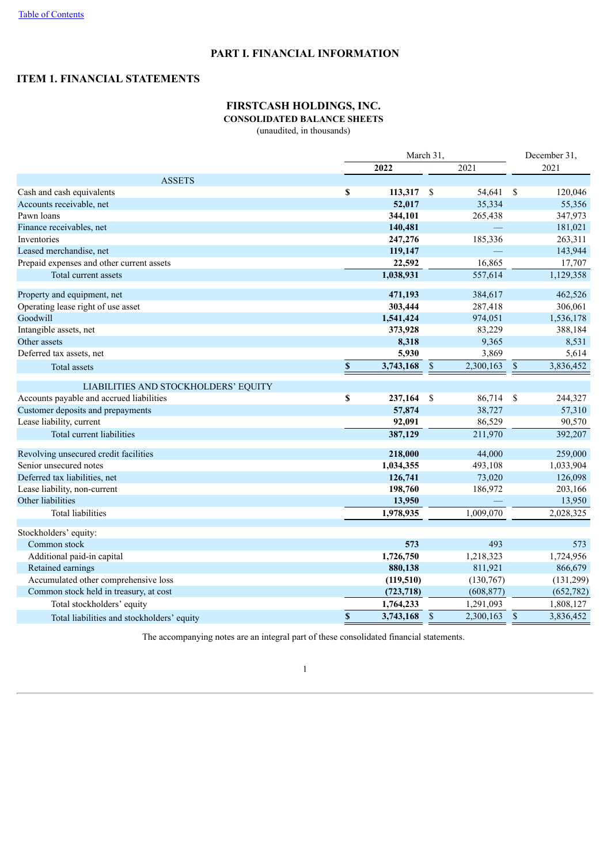# **PART I. FINANCIAL INFORMATION**

# <span id="page-4-1"></span><span id="page-4-0"></span>**ITEM 1. FINANCIAL STATEMENTS**

# **FIRSTCASH HOLDINGS, INC.**

# **CONSOLIDATED BALANCE SHEETS**

(unaudited, in thousands)

|                                            |                    | March 31,    |               |            |               |            |
|--------------------------------------------|--------------------|--------------|---------------|------------|---------------|------------|
|                                            |                    | 2022         |               | 2021       |               | 2021       |
| <b>ASSETS</b>                              |                    |              |               |            |               |            |
| Cash and cash equivalents                  | \$                 | $113,317$ \$ |               | 54,641     | \$            | 120,046    |
| Accounts receivable, net                   |                    | 52,017       |               | 35,334     |               | 55,356     |
| Pawn loans                                 |                    | 344,101      |               | 265,438    |               | 347,973    |
| Finance receivables, net                   |                    | 140,481      |               | $\equiv$   |               | 181,021    |
| Inventories                                |                    | 247,276      |               | 185,336    |               | 263,311    |
| Leased merchandise, net                    |                    | 119,147      |               |            |               | 143,944    |
| Prepaid expenses and other current assets  |                    | 22,592       |               | 16,865     |               | 17,707     |
| Total current assets                       |                    | 1,038,931    |               | 557,614    |               | 1,129,358  |
| Property and equipment, net                |                    | 471,193      |               | 384,617    |               | 462,526    |
| Operating lease right of use asset         |                    | 303,444      |               | 287,418    |               | 306,061    |
| Goodwill                                   |                    | 1,541,424    |               | 974,051    |               | 1,536,178  |
| Intangible assets, net                     |                    | 373,928      |               | 83,229     |               | 388,184    |
| Other assets                               |                    | 8,318        |               | 9,365      |               | 8,531      |
| Deferred tax assets, net                   |                    | 5,930        |               | 3,869      |               | 5,614      |
| Total assets                               | $\pmb{\mathbb{S}}$ | 3,743,168    | $\sqrt{\ }$   | 2,300,163  | $\mathbb S$   | 3,836,452  |
| LIABILITIES AND STOCKHOLDERS' EQUITY       |                    |              |               |            |               |            |
| Accounts payable and accrued liabilities   | \$                 | 237,164      | \$            | 86,714     | - \$          | 244,327    |
| Customer deposits and prepayments          |                    | 57,874       |               | 38,727     |               | 57,310     |
| Lease liability, current                   |                    | 92,091       |               | 86,529     |               | 90,570     |
| Total current liabilities                  |                    | 387,129      |               | 211,970    |               | 392,207    |
|                                            |                    |              |               |            |               |            |
| Revolving unsecured credit facilities      |                    | 218,000      |               | 44,000     |               | 259,000    |
| Senior unsecured notes                     |                    | 1,034,355    |               | 493,108    |               | 1,033,904  |
| Deferred tax liabilities, net              |                    | 126,741      |               | 73,020     |               | 126,098    |
| Lease liability, non-current               |                    | 198,760      |               | 186,972    |               | 203,166    |
| Other liabilities                          |                    | 13,950       |               |            |               | 13,950     |
| <b>Total liabilities</b>                   |                    | 1,978,935    |               | 1,009,070  |               | 2,028,325  |
| Stockholders' equity:                      |                    |              |               |            |               |            |
| Common stock                               |                    | 573          |               | 493        |               | 573        |
| Additional paid-in capital                 |                    | 1,726,750    |               | 1,218,323  |               | 1,724,956  |
| Retained earnings                          |                    | 880,138      |               | 811,921    |               | 866,679    |
| Accumulated other comprehensive loss       |                    | (119, 510)   |               | (130,767)  |               | (131, 299) |
| Common stock held in treasury, at cost     |                    | (723, 718)   |               | (608, 877) |               | (652, 782) |
| Total stockholders' equity                 |                    | 1,764,233    |               | 1,291,093  |               | 1,808,127  |
| Total liabilities and stockholders' equity | \$                 | 3,743,168    | $\mathcal{S}$ | 2,300,163  | $\mathsf{\$}$ | 3,836,452  |

<span id="page-4-2"></span>The accompanying notes are an integral part of these consolidated financial statements.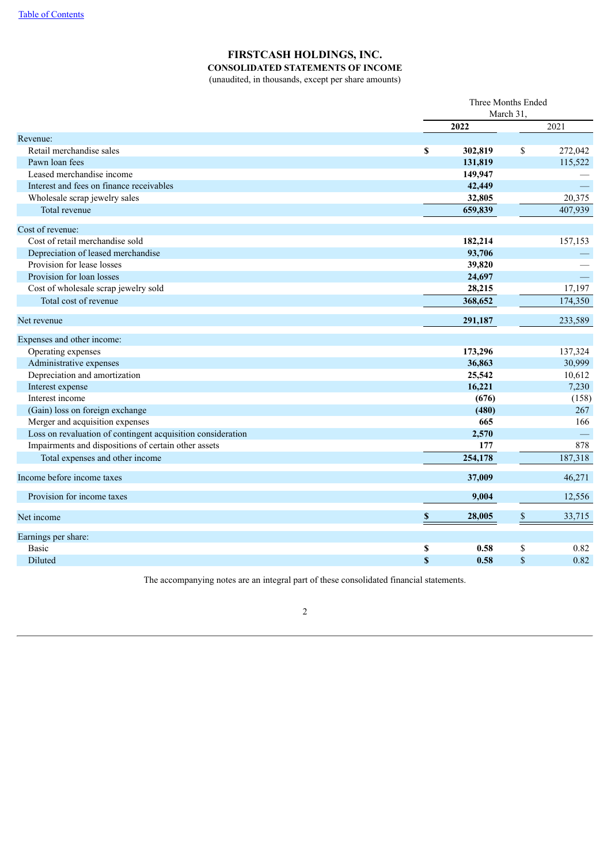# **FIRSTCASH HOLDINGS, INC.**

**CONSOLIDATED STATEMENTS OF INCOME**

(unaudited, in thousands, except per share amounts)

|                                                             |             | Three Months Ended |      |         |  |  |
|-------------------------------------------------------------|-------------|--------------------|------|---------|--|--|
|                                                             |             | March 31,          |      |         |  |  |
|                                                             |             | 2022               |      | 2021    |  |  |
| Revenue:                                                    |             |                    |      |         |  |  |
| Retail merchandise sales                                    | \$          | 302,819            | \$   | 272,042 |  |  |
| Pawn loan fees                                              |             | 131,819            |      | 115,522 |  |  |
| Leased merchandise income                                   |             | 149,947            |      |         |  |  |
| Interest and fees on finance receivables                    |             | 42,449             |      |         |  |  |
| Wholesale scrap jewelry sales                               |             | 32,805             |      | 20,375  |  |  |
| Total revenue                                               |             | 659,839            |      | 407,939 |  |  |
| Cost of revenue:                                            |             |                    |      |         |  |  |
| Cost of retail merchandise sold                             |             | 182,214            |      | 157,153 |  |  |
| Depreciation of leased merchandise                          |             | 93,706             |      |         |  |  |
| Provision for lease losses                                  |             | 39,820             |      |         |  |  |
| Provision for loan losses                                   |             | 24,697             |      |         |  |  |
| Cost of wholesale scrap jewelry sold                        |             | 28,215             |      | 17,197  |  |  |
| Total cost of revenue                                       |             | 368,652            |      | 174,350 |  |  |
| Net revenue                                                 |             | 291,187            |      | 233,589 |  |  |
| Expenses and other income:                                  |             |                    |      |         |  |  |
| Operating expenses                                          |             | 173,296            |      | 137,324 |  |  |
| Administrative expenses                                     |             | 36,863             |      | 30,999  |  |  |
| Depreciation and amortization                               |             | 25,542             |      | 10,612  |  |  |
| Interest expense                                            |             | 16,221             |      | 7,230   |  |  |
| Interest income                                             |             | (676)              |      | (158)   |  |  |
| (Gain) loss on foreign exchange                             |             | (480)              |      | 267     |  |  |
| Merger and acquisition expenses                             |             | 665                |      | 166     |  |  |
| Loss on revaluation of contingent acquisition consideration |             | 2,570              |      |         |  |  |
| Impairments and dispositions of certain other assets        |             | 177                |      | 878     |  |  |
| Total expenses and other income                             |             | 254,178            |      | 187,318 |  |  |
| Income before income taxes                                  |             | 37,009             |      | 46,271  |  |  |
| Provision for income taxes                                  |             | 9,004              |      | 12,556  |  |  |
| Net income                                                  | $\mathbb S$ | 28,005             | $\$$ | 33,715  |  |  |
| Earnings per share:                                         |             |                    |      |         |  |  |
| <b>Basic</b>                                                | \$          | 0.58               | \$   | 0.82    |  |  |
| <b>Diluted</b>                                              | $\mathbf S$ | 0.58               | \$   | 0.82    |  |  |

<span id="page-5-0"></span>The accompanying notes are an integral part of these consolidated financial statements.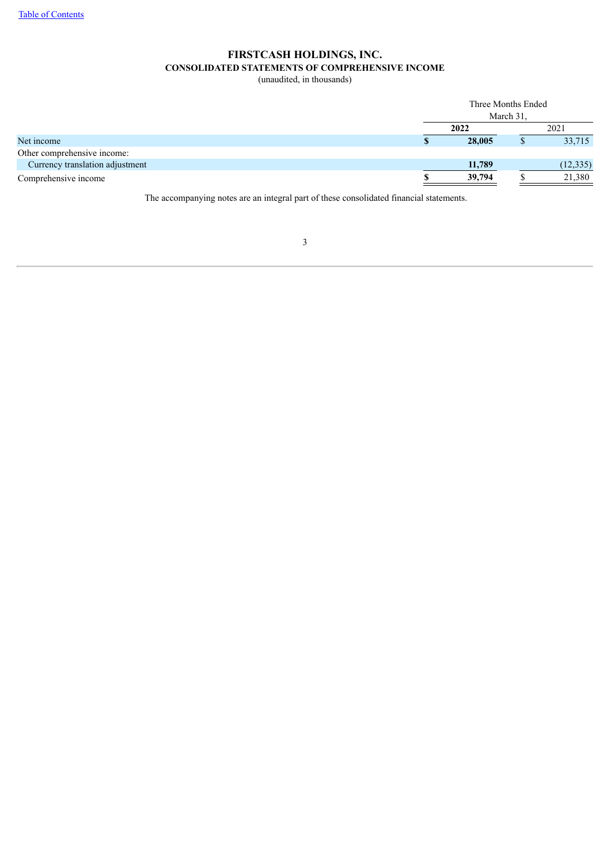# **FIRSTCASH HOLDINGS, INC. CONSOLIDATED STATEMENTS OF COMPREHENSIVE INCOME**

(unaudited, in thousands)

|                                 |      | Three Months Ended |           |           |  |  |  |
|---------------------------------|------|--------------------|-----------|-----------|--|--|--|
|                                 |      |                    | March 31. |           |  |  |  |
|                                 | 2022 |                    |           | 2021      |  |  |  |
| Net income                      |      | 28,005             |           | 33,715    |  |  |  |
| Other comprehensive income:     |      |                    |           |           |  |  |  |
| Currency translation adjustment |      | 11,789             |           | (12, 335) |  |  |  |
| Comprehensive income            |      | 39,794             |           | 21,380    |  |  |  |

<span id="page-6-0"></span>The accompanying notes are an integral part of these consolidated financial statements.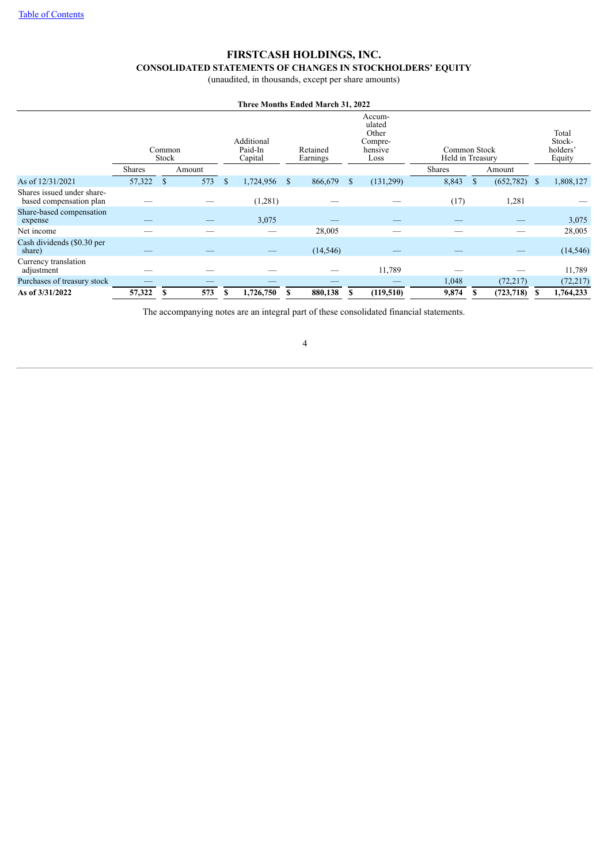# **FIRSTCASH HOLDINGS, INC.**

# **CONSOLIDATED STATEMENTS OF CHANGES IN STOCKHOLDERS' EQUITY**

(unaudited, in thousands, except per share amounts)

| Three Months Ended March 31, 2022                     |               |                 |        |              |                                  |               |                      |               |                                                         |                                  |               |                 |      |                                       |
|-------------------------------------------------------|---------------|-----------------|--------|--------------|----------------------------------|---------------|----------------------|---------------|---------------------------------------------------------|----------------------------------|---------------|-----------------|------|---------------------------------------|
|                                                       |               | Common<br>Stock |        |              | Additional<br>Paid-In<br>Capital |               | Retained<br>Earnings |               | Accum-<br>ulated<br>Other<br>Compre-<br>hensive<br>Loss | Common Stock<br>Held in Treasury |               |                 |      | Total<br>Stock-<br>holders'<br>Equity |
|                                                       | <b>Shares</b> |                 | Amount |              |                                  |               |                      |               |                                                         | <b>Shares</b>                    |               | Amount          |      |                                       |
| As of 12/31/2021                                      | 57,322        | <sup>\$</sup>   | 573    | $\mathbb{S}$ | 1,724,956                        | <sup>\$</sup> | 866,679              | <sup>\$</sup> | (131,299)                                               | 8,843                            | <sup>\$</sup> | (652, 782)      | - \$ | 1,808,127                             |
| Shares issued under share-<br>based compensation plan |               |                 |        |              | (1,281)                          |               |                      |               |                                                         | (17)                             |               | 1,281           |      |                                       |
| Share-based compensation<br>expense                   |               |                 |        |              | 3,075                            |               |                      |               |                                                         |                                  |               |                 |      | 3,075                                 |
| Net income                                            |               |                 |        |              |                                  |               | 28,005               |               |                                                         |                                  |               |                 |      | 28,005                                |
| Cash dividends (\$0.30 per<br>share)                  |               |                 |        |              |                                  |               | (14, 546)            |               |                                                         |                                  |               |                 |      | (14, 546)                             |
| Currency translation<br>adjustment                    |               |                 |        |              |                                  |               |                      |               | 11,789                                                  |                                  |               |                 |      | 11,789                                |
| Purchases of treasury stock                           |               |                 |        |              |                                  |               |                      |               |                                                         | 1,048                            |               | (72, 217)       |      | (72, 217)                             |
| As of 3/31/2022                                       | 57,322        | S               | 573    | S            | 1,726,750                        |               | 880,138              | S             | (119,510)                                               | 9,874                            |               | $(723, 718)$ \$ |      | 1,764,233                             |

The accompanying notes are an integral part of these consolidated financial statements.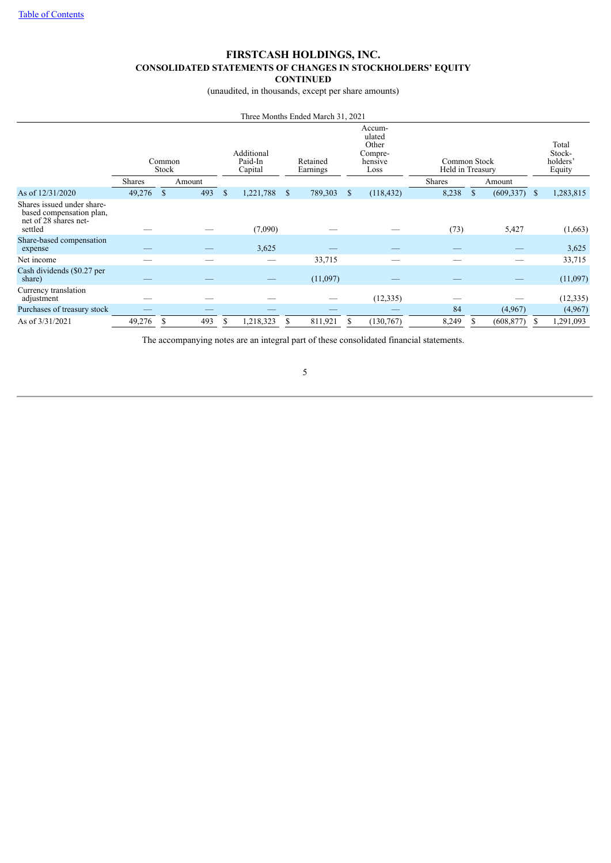## **FIRSTCASH HOLDINGS, INC. CONSOLIDATED STATEMENTS OF CHANGES IN STOCKHOLDERS' EQUITY CONTINUED**

(unaudited, in thousands, except per share amounts)

| Three Months Ended March 31, 2021                                                          |                 |           |               |                                  |               |          |                                                                                 |            |        |                                  |            |    |                                       |  |
|--------------------------------------------------------------------------------------------|-----------------|-----------|---------------|----------------------------------|---------------|----------|---------------------------------------------------------------------------------|------------|--------|----------------------------------|------------|----|---------------------------------------|--|
|                                                                                            | Common<br>Stock |           |               | Additional<br>Paid-In<br>Capital |               |          | Accum-<br>ulated<br>Other<br>Compre-<br>Retained<br>hensive<br>Earnings<br>Loss |            |        | Common Stock<br>Held in Treasury |            |    | Total<br>Stock-<br>holders'<br>Equity |  |
|                                                                                            | <b>Shares</b>   | Amount    |               |                                  |               |          |                                                                                 |            | Shares |                                  | Amount     |    |                                       |  |
| As of 12/31/2020                                                                           | 49,276          | 493<br>\$ | <sup>\$</sup> | 1,221,788                        | <sup>\$</sup> | 789,303  | \$                                                                              | (118, 432) | 8,238  | <sup>\$</sup>                    | (609, 337) | -S | 1,283,815                             |  |
| Shares issued under share-<br>based compensation plan,<br>net of 28 shares net-<br>settled |                 |           |               | (7,090)                          |               |          |                                                                                 |            | (73)   |                                  | 5,427      |    | (1,663)                               |  |
| Share-based compensation<br>expense                                                        |                 |           |               | 3,625                            |               |          |                                                                                 |            |        |                                  |            |    | 3,625                                 |  |
| Net income                                                                                 |                 |           |               |                                  |               | 33,715   |                                                                                 |            |        |                                  |            |    | 33,715                                |  |
| Cash dividends (\$0.27 per<br>share)                                                       |                 |           |               |                                  |               | (11,097) |                                                                                 |            |        |                                  |            |    | (11,097)                              |  |
| Currency translation<br>adjustment                                                         |                 |           |               |                                  |               |          |                                                                                 | (12, 335)  |        |                                  |            |    | (12, 335)                             |  |
| Purchases of treasury stock                                                                |                 |           |               |                                  |               |          |                                                                                 |            | 84     |                                  | (4,967)    |    | (4,967)                               |  |
| As of 3/31/2021                                                                            | 49,276          | 493<br>S  | S             | 1,218,323                        | S             | 811,921  | S                                                                               | (130, 767) | 8,249  |                                  | (608, 877) |    | 1,291,093                             |  |

<span id="page-8-0"></span>The accompanying notes are an integral part of these consolidated financial statements.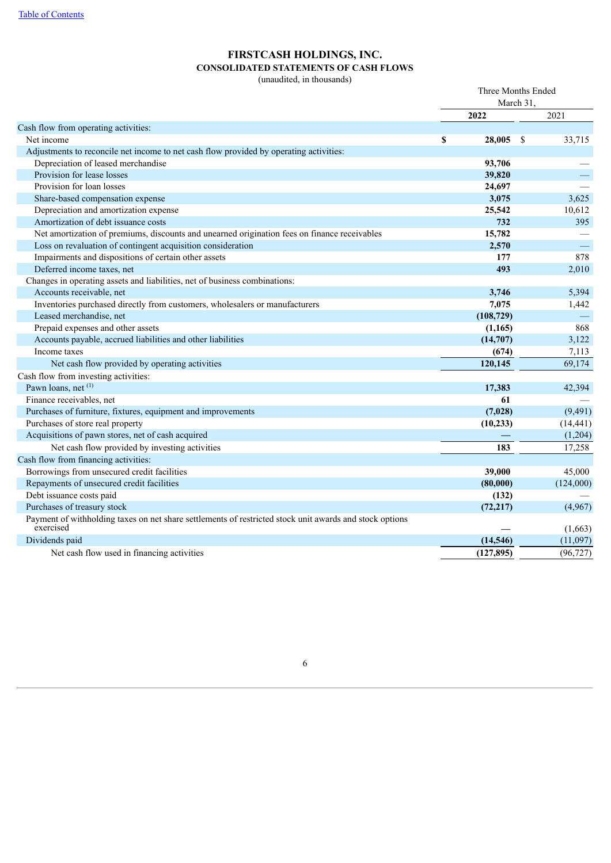# **FIRSTCASH HOLDINGS, INC. CONSOLIDATED STATEMENTS OF CASH FLOWS**

(unaudited, in thousands)

|                                                                                                                      | Three Months Ended<br>March 31. |    |           |
|----------------------------------------------------------------------------------------------------------------------|---------------------------------|----|-----------|
|                                                                                                                      | 2022                            |    | 2021      |
| Cash flow from operating activities:                                                                                 |                                 |    |           |
| Net income                                                                                                           | \$<br>28,005                    | -S | 33,715    |
| Adjustments to reconcile net income to net cash flow provided by operating activities:                               |                                 |    |           |
| Depreciation of leased merchandise                                                                                   | 93,706                          |    |           |
| Provision for lease losses                                                                                           | 39,820                          |    |           |
| Provision for loan losses                                                                                            | 24,697                          |    |           |
| Share-based compensation expense                                                                                     | 3,075                           |    | 3,625     |
| Depreciation and amortization expense                                                                                | 25,542                          |    | 10,612    |
| Amortization of debt issuance costs                                                                                  | 732                             |    | 395       |
| Net amortization of premiums, discounts and unearned origination fees on finance receivables                         | 15,782                          |    |           |
| Loss on revaluation of contingent acquisition consideration                                                          | 2,570                           |    |           |
| Impairments and dispositions of certain other assets                                                                 | 177                             |    | 878       |
| Deferred income taxes, net                                                                                           | 493                             |    | 2,010     |
| Changes in operating assets and liabilities, net of business combinations:                                           |                                 |    |           |
| Accounts receivable, net                                                                                             | 3,746                           |    | 5,394     |
| Inventories purchased directly from customers, wholesalers or manufacturers                                          | 7,075                           |    | 1,442     |
| Leased merchandise, net                                                                                              | (108, 729)                      |    |           |
| Prepaid expenses and other assets                                                                                    | (1, 165)                        |    | 868       |
| Accounts payable, accrued liabilities and other liabilities                                                          | (14,707)                        |    | 3,122     |
| Income taxes                                                                                                         | (674)                           |    | 7,113     |
| Net cash flow provided by operating activities                                                                       | 120,145                         |    | 69,174    |
| Cash flow from investing activities:                                                                                 |                                 |    |           |
| Pawn loans, net (1)                                                                                                  | 17,383                          |    | 42,394    |
| Finance receivables, net                                                                                             | 61                              |    |           |
| Purchases of furniture, fixtures, equipment and improvements                                                         | (7,028)                         |    | (9, 491)  |
| Purchases of store real property                                                                                     | (10, 233)                       |    | (14, 441) |
| Acquisitions of pawn stores, net of cash acquired                                                                    |                                 |    | (1,204)   |
| Net cash flow provided by investing activities                                                                       | 183                             |    | 17,258    |
| Cash flow from financing activities:                                                                                 |                                 |    |           |
| Borrowings from unsecured credit facilities                                                                          | 39,000                          |    | 45,000    |
| Repayments of unsecured credit facilities                                                                            | (80,000)                        |    | (124,000) |
| Debt issuance costs paid                                                                                             | (132)                           |    |           |
| Purchases of treasury stock                                                                                          | (72, 217)                       |    | (4,967)   |
| Payment of withholding taxes on net share settlements of restricted stock unit awards and stock options<br>exercised |                                 |    | (1,663)   |
| Dividends paid                                                                                                       | (14, 546)                       |    | (11,097)  |
| Net cash flow used in financing activities                                                                           | (127, 895)                      |    | (96, 727) |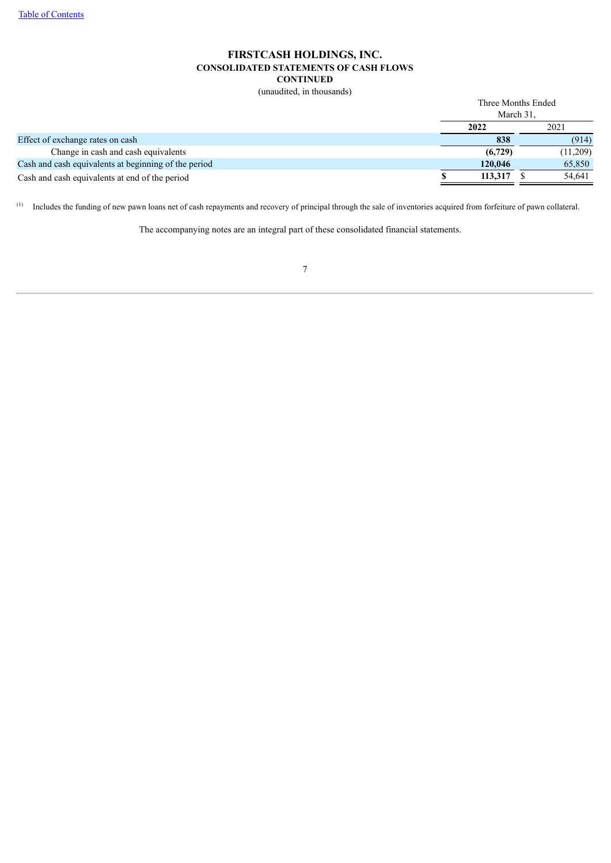### **FIRSTCASH HOLDINGS, INC. CONSOLIDATED STATEMENTS OF CASH FLOWS CONTINUED**

(unaudited, in thousands)

|                                                      | Three Months Ended<br>March 31. |          |  |  |
|------------------------------------------------------|---------------------------------|----------|--|--|
|                                                      | 2022                            | 2021     |  |  |
| Effect of exchange rates on cash                     | 838                             | (914)    |  |  |
| Change in cash and cash equivalents                  | (6,729)                         | (11,209) |  |  |
| Cash and cash equivalents at beginning of the period | 120,046                         | 65,850   |  |  |
| Cash and cash equivalents at end of the period       | 113,317                         | 54,641   |  |  |

<span id="page-10-0"></span> $<sup>(1)</sup>$  Includes the funding of new pawn loans net of cash repayments and recovery of principal through the sale of inventories acquired from forfeiture of pawn collateral.</sup>

The accompanying notes are an integral part of these consolidated financial statements.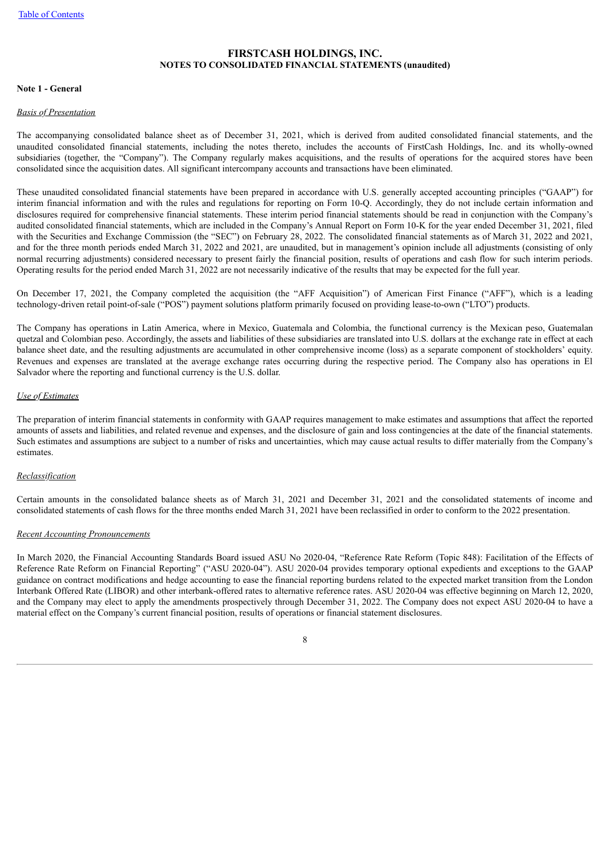### **FIRSTCASH HOLDINGS, INC. NOTES TO CONSOLIDATED FINANCIAL STATEMENTS (unaudited)**

#### **Note 1 - General**

#### *Basis of Presentation*

The accompanying consolidated balance sheet as of December 31, 2021, which is derived from audited consolidated financial statements, and the unaudited consolidated financial statements, including the notes thereto, includes the accounts of FirstCash Holdings, Inc. and its wholly-owned subsidiaries (together, the "Company"). The Company regularly makes acquisitions, and the results of operations for the acquired stores have been consolidated since the acquisition dates. All significant intercompany accounts and transactions have been eliminated.

These unaudited consolidated financial statements have been prepared in accordance with U.S. generally accepted accounting principles ("GAAP") for interim financial information and with the rules and regulations for reporting on Form 10-Q. Accordingly, they do not include certain information and disclosures required for comprehensive financial statements. These interim period financial statements should be read in conjunction with the Company's audited consolidated financial statements, which are included in the Company's Annual Report on Form 10-K for the year ended December 31, 2021, filed with the Securities and Exchange Commission (the "SEC") on February 28, 2022. The consolidated financial statements as of March 31, 2022 and 2021, and for the three month periods ended March 31, 2022 and 2021, are unaudited, but in management's opinion include all adjustments (consisting of only normal recurring adjustments) considered necessary to present fairly the financial position, results of operations and cash flow for such interim periods. Operating results for the period ended March 31, 2022 are not necessarily indicative of the results that may be expected for the full year.

On December 17, 2021, the Company completed the acquisition (the "AFF Acquisition") of American First Finance ("AFF"), which is a leading technology-driven retail point-of-sale ("POS") payment solutions platform primarily focused on providing lease-to-own ("LTO") products.

The Company has operations in Latin America, where in Mexico, Guatemala and Colombia, the functional currency is the Mexican peso, Guatemalan quetzal and Colombian peso. Accordingly, the assets and liabilities of these subsidiaries are translated into U.S. dollars at the exchange rate in effect at each balance sheet date, and the resulting adjustments are accumulated in other comprehensive income (loss) as a separate component of stockholders' equity. Revenues and expenses are translated at the average exchange rates occurring during the respective period. The Company also has operations in El Salvador where the reporting and functional currency is the U.S. dollar.

### *Use of Estimates*

The preparation of interim financial statements in conformity with GAAP requires management to make estimates and assumptions that affect the reported amounts of assets and liabilities, and related revenue and expenses, and the disclosure of gain and loss contingencies at the date of the financial statements. Such estimates and assumptions are subject to a number of risks and uncertainties, which may cause actual results to differ materially from the Company's estimates.

### *Reclassification*

Certain amounts in the consolidated balance sheets as of March 31, 2021 and December 31, 2021 and the consolidated statements of income and consolidated statements of cash flows for the three months ended March 31, 2021 have been reclassified in order to conform to the 2022 presentation.

### *Recent Accounting Pronouncements*

In March 2020, the Financial Accounting Standards Board issued ASU No 2020-04, "Reference Rate Reform (Topic 848): Facilitation of the Effects of Reference Rate Reform on Financial Reporting" ("ASU 2020-04"). ASU 2020-04 provides temporary optional expedients and exceptions to the GAAP guidance on contract modifications and hedge accounting to ease the financial reporting burdens related to the expected market transition from the London Interbank Offered Rate (LIBOR) and other interbank-offered rates to alternative reference rates. ASU 2020-04 was effective beginning on March 12, 2020, and the Company may elect to apply the amendments prospectively through December 31, 2022. The Company does not expect ASU 2020-04 to have a material effect on the Company's current financial position, results of operations or financial statement disclosures.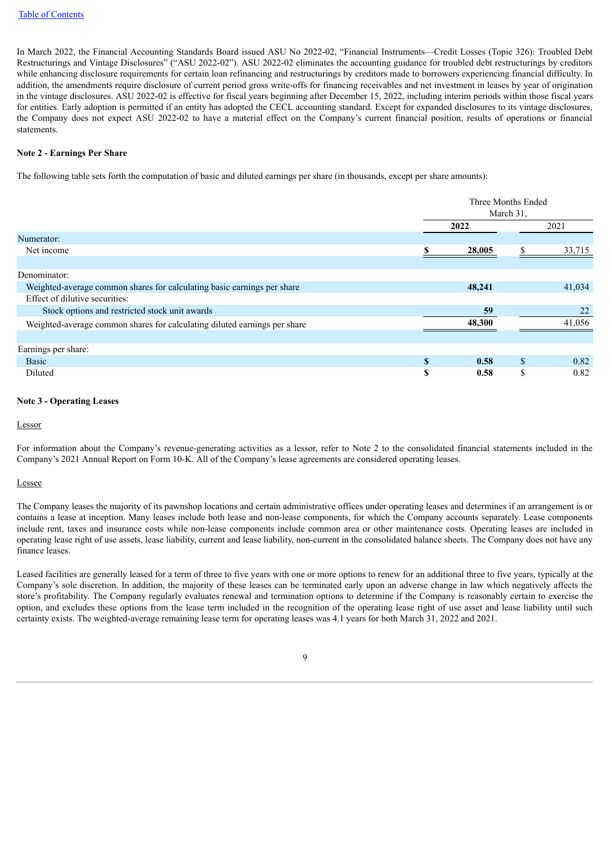In March 2022, the Financial Accounting Standards Board issued ASU No 2022-02, "Financial Instruments—Credit Losses (Topic 326): Troubled Debt Restructurings and Vintage Disclosures" ("ASU 2022-02"). ASU 2022-02 eliminates the accounting guidance for troubled debt restructurings by creditors while enhancing disclosure requirements for certain loan refinancing and restructurings by creditors made to borrowers experiencing financial difficulty. In addition, the amendments require disclosure of current period gross write-offs for financing receivables and net investment in leases by year of origination in the vintage disclosures. ASU 2022-02 is effective for fiscal years beginning after December 15, 2022, including interim periods within those fiscal years for entities. Early adoption is permitted if an entity has adopted the CECL accounting standard. Except for expanded disclosures to its vintage disclosures, the Company does not expect ASU 2022-02 to have a material effect on the Company's current financial position, results of operations or financial statements.

#### **Note 2 - Earnings Per Share**

The following table sets forth the computation of basic and diluted earnings per share (in thousands, except per share amounts):

|                                                                           | Three Months Ended<br>March 31. |        |    |        |
|---------------------------------------------------------------------------|---------------------------------|--------|----|--------|
|                                                                           |                                 | 2022   |    | 2021   |
| Numerator:                                                                |                                 |        |    |        |
| Net income                                                                |                                 | 28,005 |    | 33,715 |
|                                                                           |                                 |        |    |        |
| Denominator:                                                              |                                 |        |    |        |
| Weighted-average common shares for calculating basic earnings per share   |                                 | 48,241 |    | 41,034 |
| Effect of dilutive securities:                                            |                                 |        |    |        |
| Stock options and restricted stock unit awards                            |                                 | 59     |    | 22     |
| Weighted-average common shares for calculating diluted earnings per share |                                 | 48,300 |    | 41,056 |
|                                                                           |                                 |        |    |        |
| Earnings per share:                                                       |                                 |        |    |        |
| <b>Basic</b>                                                              | \$                              | 0.58   | \$ | 0.82   |
| Diluted                                                                   | S                               | 0.58   | \$ | 0.82   |

#### **Note 3 - Operating Leases**

Lessor

For information about the Company's revenue-generating activities as a lessor, refer to Note 2 to the consolidated financial statements included in the Company's 2021 Annual Report on Form 10-K. All of the Company's lease agreements are considered operating leases.

#### Lessee

The Company leases the majority of its pawnshop locations and certain administrative offices under operating leases and determines if an arrangement is or contains a lease at inception. Many leases include both lease and non-lease components, for which the Company accounts separately. Lease components include rent, taxes and insurance costs while non-lease components include common area or other maintenance costs. Operating leases are included in operating lease right of use assets, lease liability, current and lease liability, non-current in the consolidated balance sheets. The Company does not have any finance leases.

Leased facilities are generally leased for a term of three to five years with one or more options to renew for an additional three to five years, typically at the Company's sole discretion. In addition, the majority of these leases can be terminated early upon an adverse change in law which negatively affects the store's profitability. The Company regularly evaluates renewal and termination options to determine if the Company is reasonably certain to exercise the option, and excludes these options from the lease term included in the recognition of the operating lease right of use asset and lease liability until such certainty exists. The weighted-average remaining lease term for operating leases was 4.1 years for both March 31, 2022 and 2021.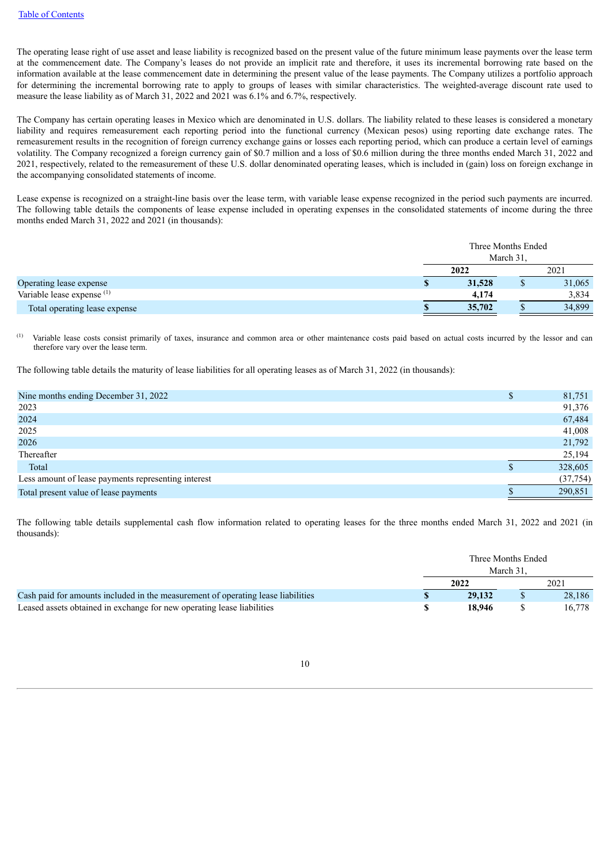The operating lease right of use asset and lease liability is recognized based on the present value of the future minimum lease payments over the lease term at the commencement date. The Company's leases do not provide an implicit rate and therefore, it uses its incremental borrowing rate based on the information available at the lease commencement date in determining the present value of the lease payments. The Company utilizes a portfolio approach for determining the incremental borrowing rate to apply to groups of leases with similar characteristics. The weighted-average discount rate used to measure the lease liability as of March 31, 2022 and 2021 was 6.1% and 6.7%, respectively.

The Company has certain operating leases in Mexico which are denominated in U.S. dollars. The liability related to these leases is considered a monetary liability and requires remeasurement each reporting period into the functional currency (Mexican pesos) using reporting date exchange rates. The remeasurement results in the recognition of foreign currency exchange gains or losses each reporting period, which can produce a certain level of earnings volatility. The Company recognized a foreign currency gain of \$0.7 million and a loss of \$0.6 million during the three months ended March 31, 2022 and 2021, respectively, related to the remeasurement of these U.S. dollar denominated operating leases, which is included in (gain) loss on foreign exchange in the accompanying consolidated statements of income.

Lease expense is recognized on a straight-line basis over the lease term, with variable lease expense recognized in the period such payments are incurred. The following table details the components of lease expense included in operating expenses in the consolidated statements of income during the three months ended March 31, 2022 and 2021 (in thousands):

|                               | Three Months Ended | March 31. |        |
|-------------------------------|--------------------|-----------|--------|
|                               | 2022               |           | 2021   |
| Operating lease expense       | 31,528             |           | 31,065 |
| Variable lease expense $(1)$  | 4.174              |           | 3,834  |
| Total operating lease expense | 35,702             |           | 34,899 |

Variable lease costs consist primarily of taxes, insurance and common area or other maintenance costs paid based on actual costs incurred by the lessor and can therefore vary over the lease term. (1)

The following table details the maturity of lease liabilities for all operating leases as of March 31, 2022 (in thousands):

| Nine months ending December 31, 2022                | \$<br>81,751 |
|-----------------------------------------------------|--------------|
| 2023                                                | 91,376       |
| 2024                                                | 67,484       |
| 2025                                                | 41,008       |
| 2026                                                | 21,792       |
| Thereafter                                          | 25,194       |
| Total                                               | 328,605      |
| Less amount of lease payments representing interest | (37, 754)    |
| Total present value of lease payments               | 290,851      |
|                                                     |              |

The following table details supplemental cash flow information related to operating leases for the three months ended March 31, 2022 and 2021 (in thousands):

|                                                                                  |  | Three Months Ended<br>March 31. |  |        |
|----------------------------------------------------------------------------------|--|---------------------------------|--|--------|
|                                                                                  |  | 2021                            |  |        |
| Cash paid for amounts included in the measurement of operating lease liabilities |  | 29,132                          |  | 28.186 |
| Leased assets obtained in exchange for new operating lease liabilities           |  | 18.946                          |  | 16.778 |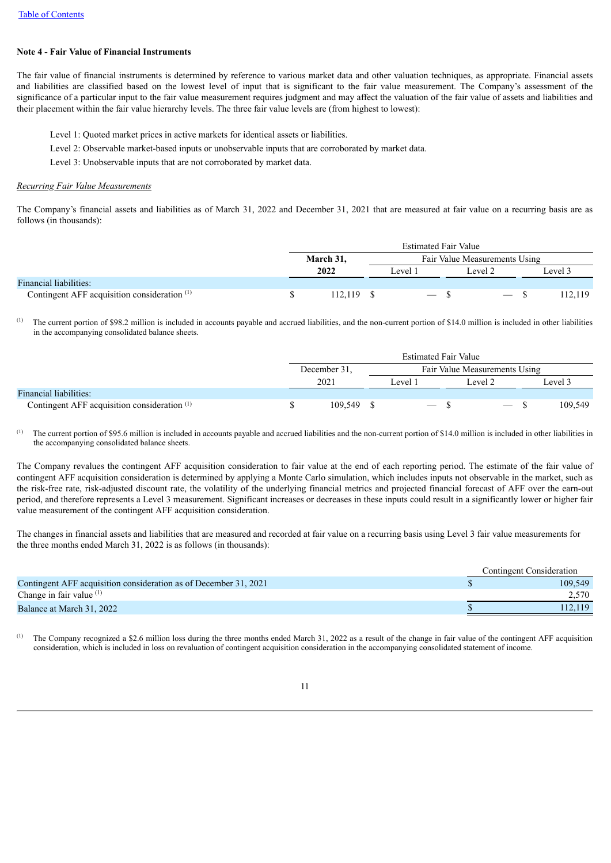### **Note 4 - Fair Value of Financial Instruments**

The fair value of financial instruments is determined by reference to various market data and other valuation techniques, as appropriate. Financial assets and liabilities are classified based on the lowest level of input that is significant to the fair value measurement. The Company's assessment of the significance of a particular input to the fair value measurement requires judgment and may affect the valuation of the fair value of assets and liabilities and their placement within the fair value hierarchy levels. The three fair value levels are (from highest to lowest):

- Level 1: Quoted market prices in active markets for identical assets or liabilities.
- Level 2: Observable market-based inputs or unobservable inputs that are corroborated by market data.
- Level 3: Unobservable inputs that are not corroborated by market data.

#### *Recurring Fair Value Measurements*

The Company's financial assets and liabilities as of March 31, 2022 and December 31, 2021 that are measured at fair value on a recurring basis are as follows (in thousands):

|                                                         |  | <b>Estimated Fair Value</b> |  |                   |                               |                          |         |  |  |  |  |  |  |
|---------------------------------------------------------|--|-----------------------------|--|-------------------|-------------------------------|--------------------------|---------|--|--|--|--|--|--|
|                                                         |  | March 31,                   |  |                   | Fair Value Measurements Using |                          |         |  |  |  |  |  |  |
|                                                         |  | 2022                        |  | Level 1           | Level 2                       |                          | Level 3 |  |  |  |  |  |  |
| Financial liabilities:                                  |  |                             |  |                   |                               |                          |         |  |  |  |  |  |  |
| Contingent AFF acquisition consideration <sup>(1)</sup> |  | 112.119                     |  | $\hspace{0.05cm}$ |                               | $\overline{\phantom{a}}$ | 12,119  |  |  |  |  |  |  |

The current portion of \$98.2 million is included in accounts payable and accrued liabilities, and the non-current portion of \$14.0 million is included in other liabilities in the accompanying consolidated balance sheets. (1)

|                                                         | <b>Estimated Fair Value</b> |              |  |         |                               |                          |  |         |  |  |  |
|---------------------------------------------------------|-----------------------------|--------------|--|---------|-------------------------------|--------------------------|--|---------|--|--|--|
|                                                         |                             | December 31. |  |         | Fair Value Measurements Using |                          |  |         |  |  |  |
|                                                         | 2021                        |              |  | Level 1 |                               | Level 2                  |  | evel 3  |  |  |  |
| <b>Financial liabilities:</b>                           |                             |              |  |         |                               |                          |  |         |  |  |  |
| Contingent AFF acquisition consideration <sup>(1)</sup> |                             | 109.549      |  |         |                               | $\overline{\phantom{0}}$ |  | 109.549 |  |  |  |

The current portion of \$95.6 million is included in accounts payable and accrued liabilities and the non-current portion of \$14.0 million is included in other liabilities in the accompanying consolidated balance sheets. (1)

The Company revalues the contingent AFF acquisition consideration to fair value at the end of each reporting period. The estimate of the fair value of contingent AFF acquisition consideration is determined by applying a Monte Carlo simulation, which includes inputs not observable in the market, such as the risk-free rate, risk-adjusted discount rate, the volatility of the underlying financial metrics and projected financial forecast of AFF over the earn-out period, and therefore represents a Level 3 measurement. Significant increases or decreases in these inputs could result in a significantly lower or higher fair value measurement of the contingent AFF acquisition consideration.

The changes in financial assets and liabilities that are measured and recorded at fair value on a recurring basis using Level 3 fair value measurements for the three months ended March 31, 2022 is as follows (in thousands):

| Contingent Consideration |  |  |
|--------------------------|--|--|
| 109.549                  |  |  |
| 2,570                    |  |  |
|                          |  |  |
|                          |  |  |

The Company recognized a \$2.6 million loss during the three months ended March 31, 2022 as a result of the change in fair value of the contingent AFF acquisition consideration, which is included in loss on revaluation of contingent acquisition consideration in the accompanying consolidated statement of income. (1)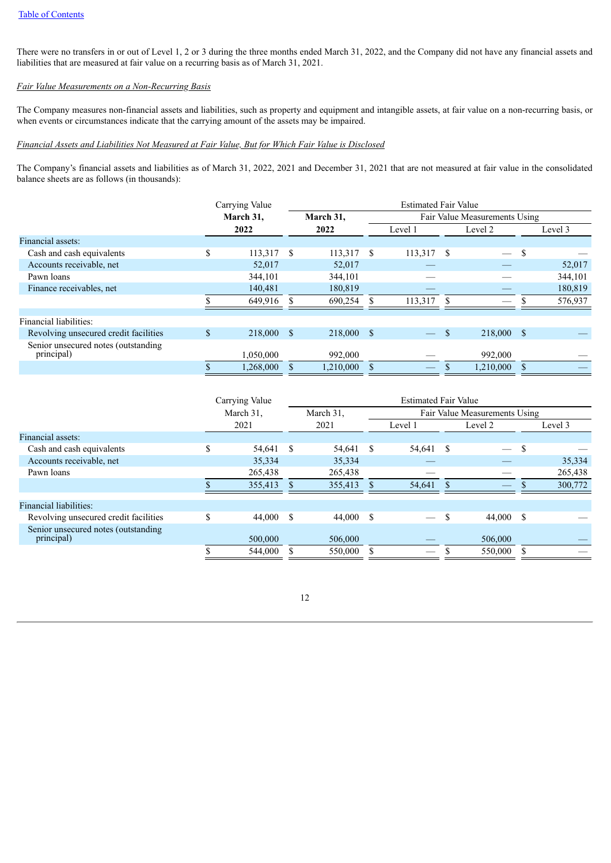There were no transfers in or out of Level 1, 2 or 3 during the three months ended March 31, 2022, and the Company did not have any financial assets and liabilities that are measured at fair value on a recurring basis as of March 31, 2021.

### *Fair Value Measurements on a Non-Recurring Basis*

The Company measures non-financial assets and liabilities, such as property and equipment and intangible assets, at fair value on a non-recurring basis, or when events or circumstances indicate that the carrying amount of the assets may be impaired.

### *Financial Assets and Liabilities Not Measured at Fair Value, But for Which Fair Value is Disclosed*

The Company's financial assets and liabilities as of March 31, 2022, 2021 and December 31, 2021 that are not measured at fair value in the consolidated balance sheets are as follows (in thousands):

|                                       | Carrying Value   |              | <b>Estimated Fair Value</b> |  |              |                               |            |          |         |  |  |  |
|---------------------------------------|------------------|--------------|-----------------------------|--|--------------|-------------------------------|------------|----------|---------|--|--|--|
|                                       | March 31,        |              | March 31,                   |  |              | Fair Value Measurements Using |            |          |         |  |  |  |
|                                       | 2022             |              | 2022                        |  | Level 1      |                               | Level 2    |          | Level 3 |  |  |  |
| Financial assets:                     |                  |              |                             |  |              |                               |            |          |         |  |  |  |
| Cash and cash equivalents             | \$<br>113,317    | <sup>S</sup> | $113,317$ \$                |  | $113,317$ \$ |                               |            | <b>S</b> |         |  |  |  |
| Accounts receivable, net              | 52,017           |              | 52,017                      |  |              |                               |            |          | 52,017  |  |  |  |
| Pawn loans                            | 344,101          |              | 344,101                     |  |              |                               |            |          | 344,101 |  |  |  |
| Finance receivables, net              | 140,481          |              | 180,819                     |  |              |                               |            |          | 180,819 |  |  |  |
|                                       | 649,916          |              | 690,254                     |  | 113,317      | -S                            |            |          | 576,937 |  |  |  |
| Financial liabilities:                |                  |              |                             |  |              |                               |            |          |         |  |  |  |
|                                       |                  |              |                             |  |              |                               |            |          |         |  |  |  |
| Revolving unsecured credit facilities | \$<br>218,000 \$ |              | 218,000 \$                  |  |              | <sup>\$</sup>                 | 218,000 \$ |          |         |  |  |  |
| Senior unsecured notes (outstanding   |                  |              |                             |  |              |                               |            |          |         |  |  |  |
| principal)                            | 1,050,000        |              | 992,000                     |  |              |                               | 992,000    |          |         |  |  |  |
|                                       | 1,268,000        |              | 1,210,000                   |  |              |                               | 1,210,000  |          |         |  |  |  |

|                                                   | Carrying Value | <b>Estimated Fair Value</b> |           |   |                               |    |           |               |         |  |  |  |
|---------------------------------------------------|----------------|-----------------------------|-----------|---|-------------------------------|----|-----------|---------------|---------|--|--|--|
|                                                   | March 31.      |                             | March 31. |   | Fair Value Measurements Using |    |           |               |         |  |  |  |
|                                                   | 2021           |                             | 2021      |   | Level 1                       |    | Level 2   |               | Level 3 |  |  |  |
| Financial assets:                                 |                |                             |           |   |                               |    |           |               |         |  |  |  |
| Cash and cash equivalents                         | 54,641         | -S                          | 54.641    | S | 54,641                        | -S |           | <sup>\$</sup> |         |  |  |  |
| Accounts receivable, net                          | 35,334         |                             | 35,334    |   |                               |    |           |               | 35,334  |  |  |  |
| Pawn loans                                        | 265,438        |                             | 265,438   |   |                               |    |           |               | 265,438 |  |  |  |
|                                                   | 355,413        |                             | 355,413   |   | 54,641                        |    |           |               | 300,772 |  |  |  |
| Financial liabilities:                            |                |                             |           |   |                               |    |           |               |         |  |  |  |
| Revolving unsecured credit facilities             | \$<br>44,000   | - \$                        | 44,000 \$ |   |                               | S  | 44,000 \$ |               |         |  |  |  |
| Senior unsecured notes (outstanding<br>principal) | 500,000        |                             | 506,000   |   |                               |    | 506,000   |               |         |  |  |  |
|                                                   | 544,000        |                             | 550,000   |   |                               |    | 550,000   |               |         |  |  |  |

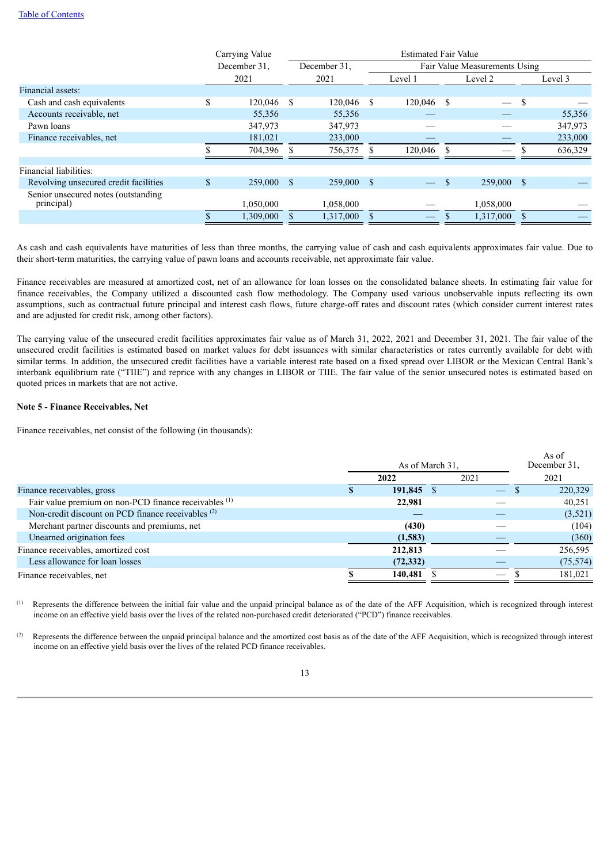|                                                    | Carrying Value | <b>Estimated Fair Value</b> |              |  |         |                               |            |               |         |  |  |
|----------------------------------------------------|----------------|-----------------------------|--------------|--|---------|-------------------------------|------------|---------------|---------|--|--|
|                                                    | December 31.   |                             | December 31. |  |         | Fair Value Measurements Using |            |               |         |  |  |
|                                                    | 2021           |                             | 2021         |  | Level 1 |                               | Level 2    |               | Level 3 |  |  |
| Financial assets:                                  |                |                             |              |  |         |                               |            |               |         |  |  |
| Cash and cash equivalents                          | \$<br>120,046  | - \$                        | $120,046$ \$ |  | 120,046 | -S                            |            | <sup>\$</sup> |         |  |  |
| Accounts receivable, net                           | 55,356         |                             | 55,356       |  |         |                               |            |               | 55,356  |  |  |
| Pawn loans                                         | 347,973        |                             | 347,973      |  |         |                               |            |               | 347,973 |  |  |
| Finance receivables, net                           | 181,021        |                             | 233,000      |  |         |                               |            |               | 233,000 |  |  |
|                                                    | 704,396        |                             | 756,375      |  | 120,046 |                               |            |               | 636,329 |  |  |
| Financial liabilities:                             |                |                             |              |  |         |                               |            |               |         |  |  |
| Revolving unsecured credit facilities              | \$<br>259,000  | - \$                        | 259,000 \$   |  |         | <sup>\$</sup>                 | 259,000 \$ |               |         |  |  |
| Senior unsecured notes (outstanding)<br>principal) | 1,050,000      |                             | 1,058,000    |  |         |                               | 1,058,000  |               |         |  |  |
|                                                    | 1,309,000      |                             | 1,317,000    |  |         |                               | 1,317,000  |               |         |  |  |

As cash and cash equivalents have maturities of less than three months, the carrying value of cash and cash equivalents approximates fair value. Due to their short-term maturities, the carrying value of pawn loans and accounts receivable, net approximate fair value.

Finance receivables are measured at amortized cost, net of an allowance for loan losses on the consolidated balance sheets. In estimating fair value for finance receivables, the Company utilized a discounted cash flow methodology. The Company used various unobservable inputs reflecting its own assumptions, such as contractual future principal and interest cash flows, future charge-off rates and discount rates (which consider current interest rates and are adjusted for credit risk, among other factors).

The carrying value of the unsecured credit facilities approximates fair value as of March 31, 2022, 2021 and December 31, 2021. The fair value of the unsecured credit facilities is estimated based on market values for debt issuances with similar characteristics or rates currently available for debt with similar terms. In addition, the unsecured credit facilities have a variable interest rate based on a fixed spread over LIBOR or the Mexican Central Bank's interbank equilibrium rate ("TIIE") and reprice with any changes in LIBOR or TIIE. The fair value of the senior unsecured notes is estimated based on quoted prices in markets that are not active.

### **Note 5 - Finance Receivables, Net**

Finance receivables, net consist of the following (in thousands):

|                                                                  |            | As of March 31. |                               | As of<br>December 31. |
|------------------------------------------------------------------|------------|-----------------|-------------------------------|-----------------------|
|                                                                  | 2022       |                 | 2021                          | 2021                  |
| Finance receivables, gross                                       | 191,845 \$ |                 | $\overline{\phantom{0}}$      | 220,329               |
| Fair value premium on non-PCD finance receivables <sup>(1)</sup> | 22,981     |                 |                               | 40,251                |
| Non-credit discount on PCD finance receivables <sup>(2)</sup>    |            |                 |                               | (3,521)               |
| Merchant partner discounts and premiums, net                     | (430)      |                 |                               | (104)                 |
| Unearned origination fees                                        | (1,583)    |                 |                               | (360)                 |
| Finance receivables, amortized cost                              | 212,813    |                 |                               | 256,595               |
| Less allowance for loan losses                                   | (72, 332)  |                 |                               | (75, 574)             |
| Finance receivables, net                                         | 140,481    |                 | $\overbrace{\phantom{12332}}$ | 181.021               |

Represents the difference between the initial fair value and the unpaid principal balance as of the date of the AFF Acquisition, which is recognized through interest income on an effective yield basis over the lives of the related non-purchased credit deteriorated ("PCD") finance receivables. (1)

Represents the difference between the unpaid principal balance and the amortized cost basis as of the date of the AFF Acquisition, which is recognized through interest income on an effective yield basis over the lives of the related PCD finance receivables. (2)

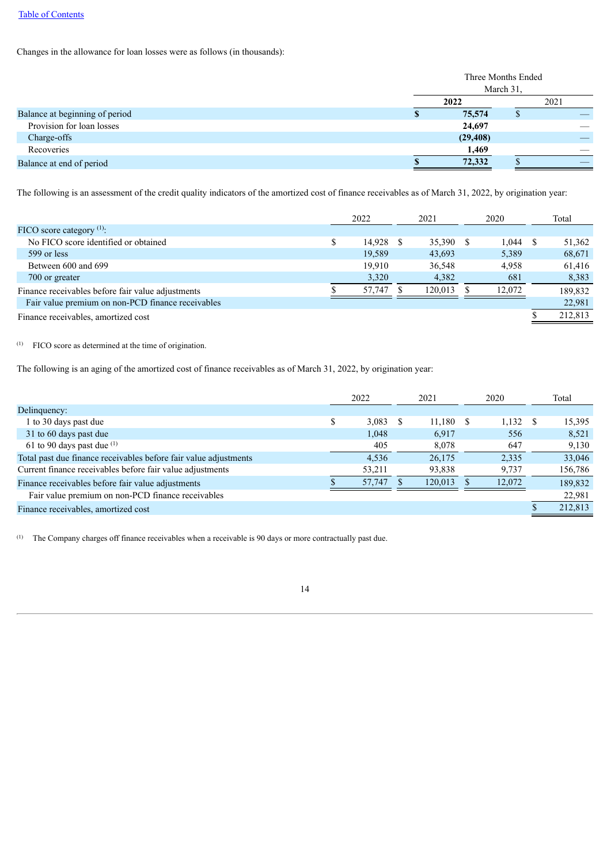Changes in the allowance for loan losses were as follows (in thousands):

|                                |           | Three Months Ended<br>March 31. |      |  |  |
|--------------------------------|-----------|---------------------------------|------|--|--|
|                                | 2022      |                                 | 2021 |  |  |
| Balance at beginning of period | 75,574    |                                 |      |  |  |
| Provision for loan losses      | 24,697    |                                 |      |  |  |
| Charge-offs                    | (29, 408) |                                 |      |  |  |
| Recoveries                     | 1,469     |                                 |      |  |  |
| Balance at end of period       | 72,332    |                                 |      |  |  |

The following is an assessment of the credit quality indicators of the amortized cost of finance receivables as of March 31, 2022, by origination year:

|                                                   | 2022<br>2021 |           | 2020    |        | Total |         |
|---------------------------------------------------|--------------|-----------|---------|--------|-------|---------|
| FICO score category $(1)$ :                       |              |           |         |        |       |         |
| No FICO score identified or obtained              |              | 14,928 \$ | 35,390  | 1.044  |       | 51,362  |
| 599 or less                                       |              | 19.589    | 43,693  | 5,389  |       | 68,671  |
| Between 600 and 699                               |              | 19.910    | 36,548  | 4.958  |       | 61,416  |
| 700 or greater                                    |              | 3,320     | 4,382   | 681    |       | 8,383   |
| Finance receivables before fair value adjustments |              | 57.747    | 120.013 | 12.072 |       | 189,832 |
| Fair value premium on non-PCD finance receivables |              |           |         |        |       | 22.981  |
| Finance receivables, amortized cost               |              |           |         |        |       | 212,813 |

#### $\left(1\right)$  FICO score as determined at the time of origination.

The following is an aging of the amortized cost of finance receivables as of March 31, 2022, by origination year:

|                                                                  | 2022<br>2021 |        | 2020 |         | Total  |   |         |
|------------------------------------------------------------------|--------------|--------|------|---------|--------|---|---------|
| Delinquency:                                                     |              |        |      |         |        |   |         |
| 1 to 30 days past due                                            |              | 3,083  | - S  | 11,180  | 1,132  | S | 15,395  |
| 31 to 60 days past due                                           |              | 1,048  |      | 6.917   | 556    |   | 8,521   |
| 61 to 90 days past due $(1)$                                     |              | 405    |      | 8,078   | 647    |   | 9,130   |
| Total past due finance receivables before fair value adjustments |              | 4.536  |      | 26,175  | 2,335  |   | 33,046  |
| Current finance receivables before fair value adjustments        |              | 53,211 |      | 93,838  | 9,737  |   | 156,786 |
| Finance receivables before fair value adjustments                |              | 57,747 |      | 120.013 | 12,072 |   | 189.832 |
| Fair value premium on non-PCD finance receivables                |              |        |      |         |        |   | 22,981  |
| Finance receivables, amortized cost                              |              |        |      |         |        |   | 212,813 |
|                                                                  |              |        |      |         |        |   |         |

The Company charges off finance receivables when a receivable is 90 days or more contractually past due. (1)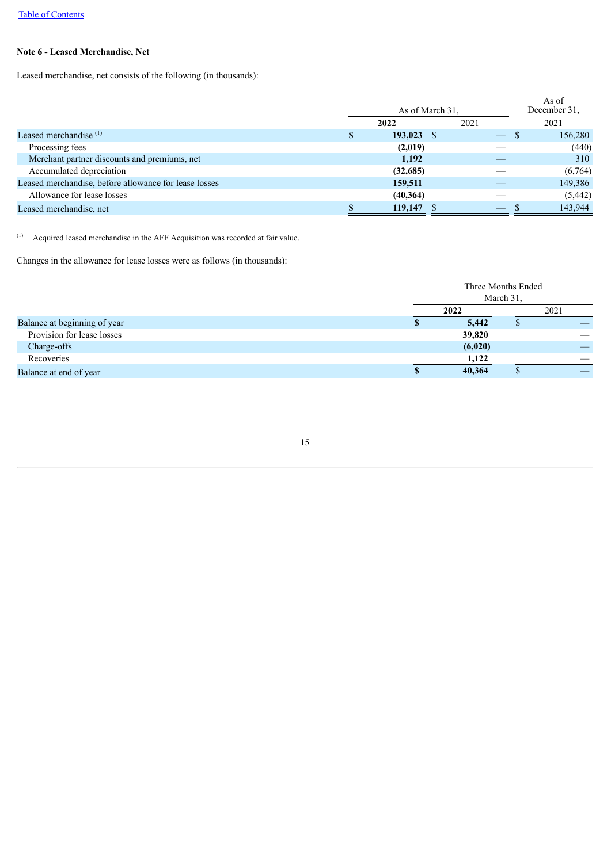## **Note 6 - Leased Merchandise, Net**

Leased merchandise, net consists of the following (in thousands):

|                                                       |          | As of March 31. |                                |      | As of<br>December 31. |  |
|-------------------------------------------------------|----------|-----------------|--------------------------------|------|-----------------------|--|
|                                                       | 2022     |                 |                                | 2021 |                       |  |
| Leased merchandise $(1)$                              | 193,023  |                 | $\overline{\phantom{0}}$       |      | 156,280               |  |
| Processing fees                                       | (2,019)  |                 |                                |      | (440)                 |  |
| Merchant partner discounts and premiums, net          | 1,192    |                 |                                |      | 310                   |  |
| Accumulated depreciation                              | (32,685) |                 |                                |      | (6,764)               |  |
| Leased merchandise, before allowance for lease losses | 159,511  |                 |                                |      | 149,386               |  |
| Allowance for lease losses                            | (40,364) |                 |                                |      | (5, 442)              |  |
| Leased merchandise, net                               | 119,147  |                 | $\overbrace{\hspace{25mm}}^{}$ |      | 143,944               |  |
|                                                       |          |                 |                                |      |                       |  |

Acquired leased merchandise in the AFF Acquisition was recorded at fair value. (1)

Changes in the allowance for lease losses were as follows (in thousands):

|                              | Three Months Ended |  |      |  |  |  |
|------------------------------|--------------------|--|------|--|--|--|
|                              | March 31.          |  |      |  |  |  |
|                              | 2022               |  | 2021 |  |  |  |
| Balance at beginning of year | 5,442              |  |      |  |  |  |
| Provision for lease losses   | 39,820             |  |      |  |  |  |
| Charge-offs                  | (6,020)            |  |      |  |  |  |
| Recoveries                   | 1,122              |  |      |  |  |  |
| Balance at end of year       | 40,364             |  |      |  |  |  |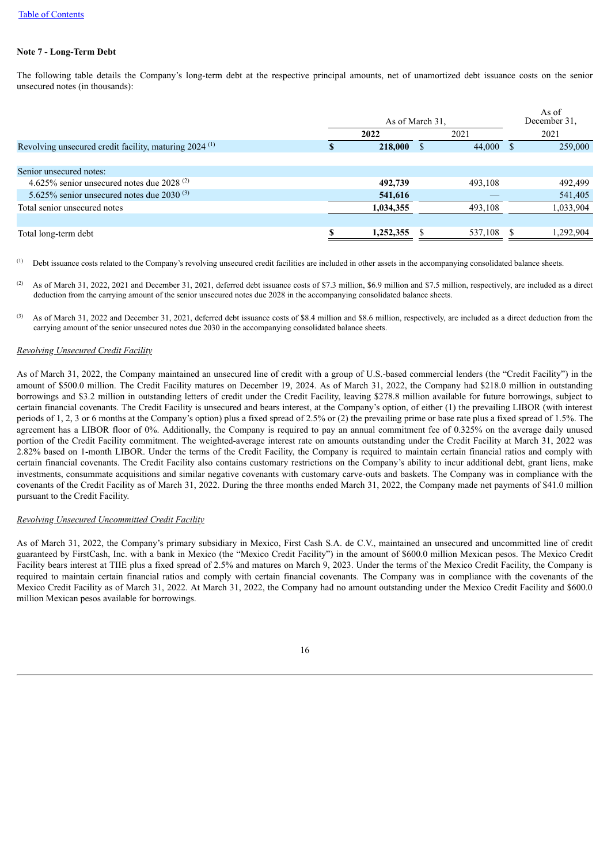### **Note 7 - Long-Term Debt**

The following table details the Company's long-term debt at the respective principal amounts, net of unamortized debt issuance costs on the senior unsecured notes (in thousands):

|                                                                   | As of March 31. |         |              | As of<br>December 31, |
|-------------------------------------------------------------------|-----------------|---------|--------------|-----------------------|
|                                                                   | 2022            | 2021    |              | 2021                  |
| Revolving unsecured credit facility, maturing 2024 <sup>(1)</sup> | 218,000         | 44,000  | <sup>S</sup> | 259,000               |
|                                                                   |                 |         |              |                       |
| Senior unsecured notes:                                           |                 |         |              |                       |
| 4.625% senior unsecured notes due 2028 <sup>(2)</sup>             | 492,739         | 493,108 |              | 492,499               |
| 5.625% senior unsecured notes due 2030 $(3)$                      | 541,616         |         |              | 541,405               |
| Total senior unsecured notes                                      | 1,034,355       | 493,108 |              | 1,033,904             |
|                                                                   |                 |         |              |                       |
| Total long-term debt                                              | 1,252,355       | 537,108 |              | 1,292,904             |
|                                                                   |                 |         |              |                       |

Debt issuance costs related to the Company's revolving unsecured credit facilities are included in other assets in the accompanying consolidated balance sheets. (1)

- As of March 31, 2022, 2021 and December 31, 2021, deferred debt issuance costs of \$7.3 million, \$6.9 million and \$7.5 million, respectively, are included as a direct deduction from the carrying amount of the senior unsecured notes due 2028 in the accompanying consolidated balance sheets. (2)
- As of March 31, 2022 and December 31, 2021, deferred debt issuance costs of \$8.4 million and \$8.6 million, respectively, are included as a direct deduction from the carrying amount of the senior unsecured notes due 2030 in the accompanying consolidated balance sheets. (3)

#### *Revolving Unsecured Credit Facility*

As of March 31, 2022, the Company maintained an unsecured line of credit with a group of U.S.-based commercial lenders (the "Credit Facility") in the amount of \$500.0 million. The Credit Facility matures on December 19, 2024. As of March 31, 2022, the Company had \$218.0 million in outstanding borrowings and \$3.2 million in outstanding letters of credit under the Credit Facility, leaving \$278.8 million available for future borrowings, subject to certain financial covenants. The Credit Facility is unsecured and bears interest, at the Company's option, of either (1) the prevailing LIBOR (with interest periods of 1, 2, 3 or 6 months at the Company's option) plus a fixed spread of 2.5% or (2) the prevailing prime or base rate plus a fixed spread of 1.5%. The agreement has a LIBOR floor of 0%. Additionally, the Company is required to pay an annual commitment fee of 0.325% on the average daily unused portion of the Credit Facility commitment. The weighted-average interest rate on amounts outstanding under the Credit Facility at March 31, 2022 was 2.82% based on 1-month LIBOR. Under the terms of the Credit Facility, the Company is required to maintain certain financial ratios and comply with certain financial covenants. The Credit Facility also contains customary restrictions on the Company's ability to incur additional debt, grant liens, make investments, consummate acquisitions and similar negative covenants with customary carve-outs and baskets. The Company was in compliance with the covenants of the Credit Facility as of March 31, 2022. During the three months ended March 31, 2022, the Company made net payments of \$41.0 million pursuant to the Credit Facility.

### *Revolving Unsecured Uncommitted Credit Facility*

As of March 31, 2022, the Company's primary subsidiary in Mexico, First Cash S.A. de C.V., maintained an unsecured and uncommitted line of credit guaranteed by FirstCash, Inc. with a bank in Mexico (the "Mexico Credit Facility") in the amount of \$600.0 million Mexican pesos. The Mexico Credit Facility bears interest at TIIE plus a fixed spread of 2.5% and matures on March 9, 2023. Under the terms of the Mexico Credit Facility, the Company is required to maintain certain financial ratios and comply with certain financial covenants. The Company was in compliance with the covenants of the Mexico Credit Facility as of March 31, 2022. At March 31, 2022, the Company had no amount outstanding under the Mexico Credit Facility and \$600.0 million Mexican pesos available for borrowings.

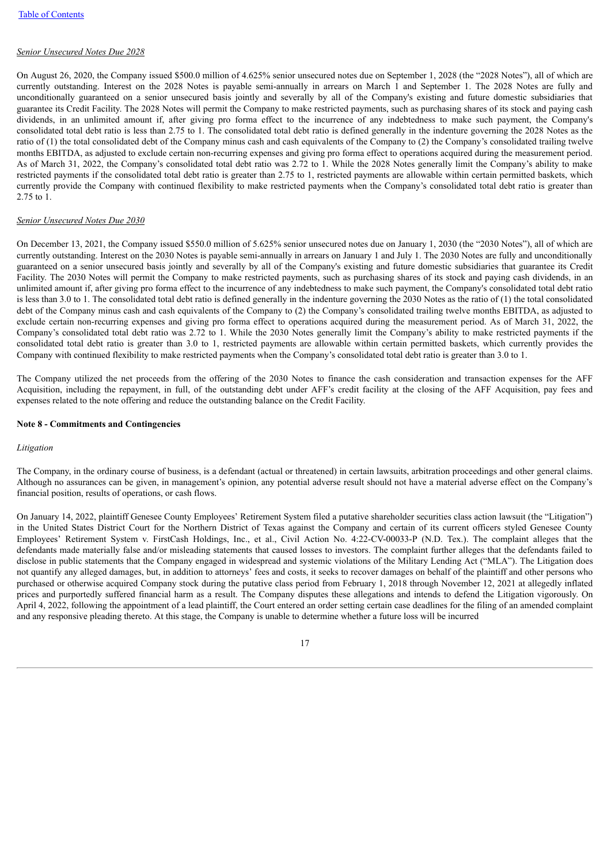### *Senior Unsecured Notes Due 2028*

On August 26, 2020, the Company issued \$500.0 million of 4.625% senior unsecured notes due on September 1, 2028 (the "2028 Notes"), all of which are currently outstanding. Interest on the 2028 Notes is payable semi-annually in arrears on March 1 and September 1. The 2028 Notes are fully and unconditionally guaranteed on a senior unsecured basis jointly and severally by all of the Company's existing and future domestic subsidiaries that guarantee its Credit Facility. The 2028 Notes will permit the Company to make restricted payments, such as purchasing shares of its stock and paying cash dividends, in an unlimited amount if, after giving pro forma effect to the incurrence of any indebtedness to make such payment, the Company's consolidated total debt ratio is less than 2.75 to 1. The consolidated total debt ratio is defined generally in the indenture governing the 2028 Notes as the ratio of (1) the total consolidated debt of the Company minus cash and cash equivalents of the Company to (2) the Company's consolidated trailing twelve months EBITDA, as adjusted to exclude certain non-recurring expenses and giving pro forma effect to operations acquired during the measurement period. As of March 31, 2022, the Company's consolidated total debt ratio was 2.72 to 1. While the 2028 Notes generally limit the Company's ability to make restricted payments if the consolidated total debt ratio is greater than 2.75 to 1, restricted payments are allowable within certain permitted baskets, which currently provide the Company with continued flexibility to make restricted payments when the Company's consolidated total debt ratio is greater than 2.75 to 1.

### *Senior Unsecured Notes Due 2030*

On December 13, 2021, the Company issued \$550.0 million of 5.625% senior unsecured notes due on January 1, 2030 (the "2030 Notes"), all of which are currently outstanding. Interest on the 2030 Notes is payable semi-annually in arrears on January 1 and July 1. The 2030 Notes are fully and unconditionally guaranteed on a senior unsecured basis jointly and severally by all of the Company's existing and future domestic subsidiaries that guarantee its Credit Facility. The 2030 Notes will permit the Company to make restricted payments, such as purchasing shares of its stock and paying cash dividends, in an unlimited amount if, after giving pro forma effect to the incurrence of any indebtedness to make such payment, the Company's consolidated total debt ratio is less than 3.0 to 1. The consolidated total debt ratio is defined generally in the indenture governing the 2030 Notes as the ratio of (1) the total consolidated debt of the Company minus cash and cash equivalents of the Company to (2) the Company's consolidated trailing twelve months EBITDA, as adjusted to exclude certain non-recurring expenses and giving pro forma effect to operations acquired during the measurement period. As of March 31, 2022, the Company's consolidated total debt ratio was 2.72 to 1. While the 2030 Notes generally limit the Company's ability to make restricted payments if the consolidated total debt ratio is greater than 3.0 to 1, restricted payments are allowable within certain permitted baskets, which currently provides the Company with continued flexibility to make restricted payments when the Company's consolidated total debt ratio is greater than 3.0 to 1.

The Company utilized the net proceeds from the offering of the 2030 Notes to finance the cash consideration and transaction expenses for the AFF Acquisition, including the repayment, in full, of the outstanding debt under AFF's credit facility at the closing of the AFF Acquisition, pay fees and expenses related to the note offering and reduce the outstanding balance on the Credit Facility.

#### **Note 8 - Commitments and Contingencies**

#### *Litigation*

The Company, in the ordinary course of business, is a defendant (actual or threatened) in certain lawsuits, arbitration proceedings and other general claims. Although no assurances can be given, in management's opinion, any potential adverse result should not have a material adverse effect on the Company's financial position, results of operations, or cash flows.

On January 14, 2022, plaintiff Genesee County Employees' Retirement System filed a putative shareholder securities class action lawsuit (the "Litigation") in the United States District Court for the Northern District of Texas against the Company and certain of its current officers styled Genesee County Employees' Retirement System v. FirstCash Holdings, Inc., et al., Civil Action No. 4:22-CV-00033-P (N.D. Tex.). The complaint alleges that the defendants made materially false and/or misleading statements that caused losses to investors. The complaint further alleges that the defendants failed to disclose in public statements that the Company engaged in widespread and systemic violations of the Military Lending Act ("MLA"). The Litigation does not quantify any alleged damages, but, in addition to attorneys' fees and costs, it seeks to recover damages on behalf of the plaintiff and other persons who purchased or otherwise acquired Company stock during the putative class period from February 1, 2018 through November 12, 2021 at allegedly inflated prices and purportedly suffered financial harm as a result. The Company disputes these allegations and intends to defend the Litigation vigorously. On April 4, 2022, following the appointment of a lead plaintiff, the Court entered an order setting certain case deadlines for the filing of an amended complaint and any responsive pleading thereto. At this stage, the Company is unable to determine whether a future loss will be incurred

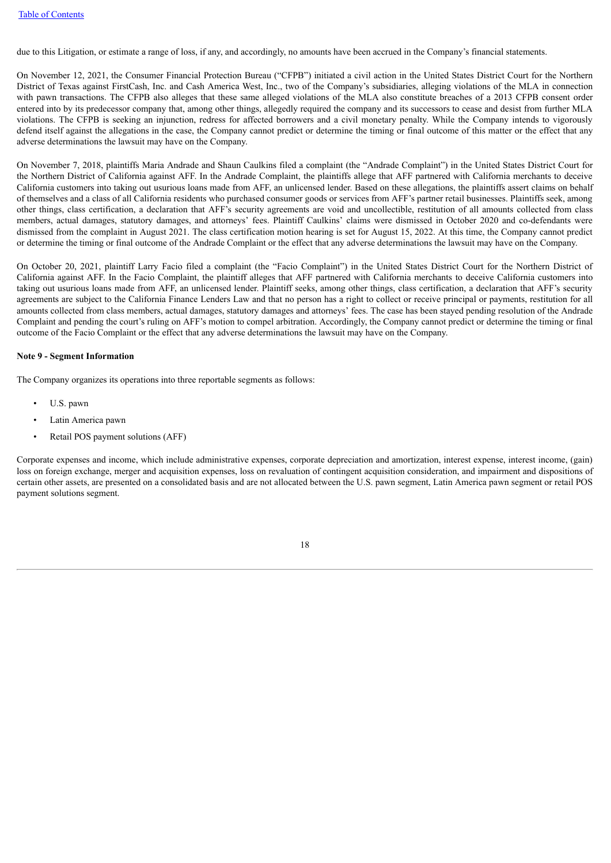due to this Litigation, or estimate a range of loss, if any, and accordingly, no amounts have been accrued in the Company's financial statements.

On November 12, 2021, the Consumer Financial Protection Bureau ("CFPB") initiated a civil action in the United States District Court for the Northern District of Texas against FirstCash, Inc. and Cash America West, Inc., two of the Company's subsidiaries, alleging violations of the MLA in connection with pawn transactions. The CFPB also alleges that these same alleged violations of the MLA also constitute breaches of a 2013 CFPB consent order entered into by its predecessor company that, among other things, allegedly required the company and its successors to cease and desist from further MLA violations. The CFPB is seeking an injunction, redress for affected borrowers and a civil monetary penalty. While the Company intends to vigorously defend itself against the allegations in the case, the Company cannot predict or determine the timing or final outcome of this matter or the effect that any adverse determinations the lawsuit may have on the Company.

On November 7, 2018, plaintiffs Maria Andrade and Shaun Caulkins filed a complaint (the "Andrade Complaint") in the United States District Court for the Northern District of California against AFF. In the Andrade Complaint, the plaintiffs allege that AFF partnered with California merchants to deceive California customers into taking out usurious loans made from AFF, an unlicensed lender. Based on these allegations, the plaintiffs assert claims on behalf of themselves and a class of all California residents who purchased consumer goods or services from AFF's partner retail businesses. Plaintiffs seek, among other things, class certification, a declaration that AFF's security agreements are void and uncollectible, restitution of all amounts collected from class members, actual damages, statutory damages, and attorneys' fees. Plaintiff Caulkins' claims were dismissed in October 2020 and co-defendants were dismissed from the complaint in August 2021. The class certification motion hearing is set for August 15, 2022. At this time, the Company cannot predict or determine the timing or final outcome of the Andrade Complaint or the effect that any adverse determinations the lawsuit may have on the Company.

On October 20, 2021, plaintiff Larry Facio filed a complaint (the "Facio Complaint") in the United States District Court for the Northern District of California against AFF. In the Facio Complaint, the plaintiff alleges that AFF partnered with California merchants to deceive California customers into taking out usurious loans made from AFF, an unlicensed lender. Plaintiff seeks, among other things, class certification, a declaration that AFF's security agreements are subject to the California Finance Lenders Law and that no person has a right to collect or receive principal or payments, restitution for all amounts collected from class members, actual damages, statutory damages and attorneys' fees. The case has been stayed pending resolution of the Andrade Complaint and pending the court's ruling on AFF's motion to compel arbitration. Accordingly, the Company cannot predict or determine the timing or final outcome of the Facio Complaint or the effect that any adverse determinations the lawsuit may have on the Company.

#### **Note 9 - Segment Information**

The Company organizes its operations into three reportable segments as follows:

- U.S. pawn
- Latin America pawn
- Retail POS payment solutions (AFF)

Corporate expenses and income, which include administrative expenses, corporate depreciation and amortization, interest expense, interest income, (gain) loss on foreign exchange, merger and acquisition expenses, loss on revaluation of contingent acquisition consideration, and impairment and dispositions of certain other assets, are presented on a consolidated basis and are not allocated between the U.S. pawn segment, Latin America pawn segment or retail POS payment solutions segment.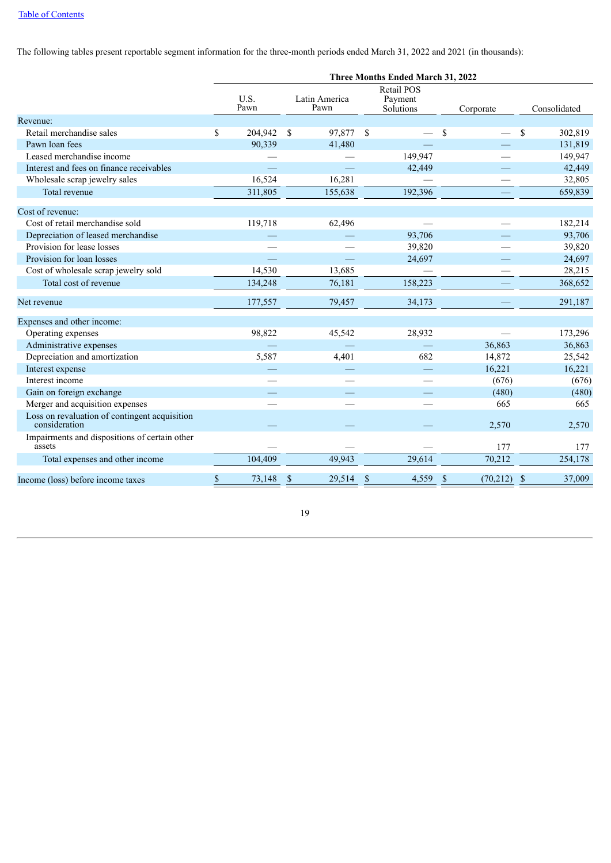The following tables present reportable segment information for the three-month periods ended March 31, 2022 and 2021 (in thousands):

|                                                                | Three Months Ended March 31, 2022 |              |                         |                                    |                           |                         |  |  |  |  |  |
|----------------------------------------------------------------|-----------------------------------|--------------|-------------------------|------------------------------------|---------------------------|-------------------------|--|--|--|--|--|
|                                                                |                                   | U.S.<br>Pawn | Latin America<br>Pawn   | Retail POS<br>Payment<br>Solutions | Corporate                 | Consolidated            |  |  |  |  |  |
| Revenue:                                                       |                                   |              |                         |                                    |                           |                         |  |  |  |  |  |
| Retail merchandise sales                                       | \$                                | 204,942      | \$<br>97,877 \$         |                                    | \$                        | 302,819<br>\$           |  |  |  |  |  |
| Pawn loan fees                                                 |                                   | 90,339       | 41,480                  |                                    |                           | 131,819                 |  |  |  |  |  |
| Leased merchandise income                                      |                                   |              |                         | 149,947                            |                           | 149,947                 |  |  |  |  |  |
| Interest and fees on finance receivables                       |                                   |              |                         | 42,449                             |                           | 42,449                  |  |  |  |  |  |
| Wholesale scrap jewelry sales                                  |                                   | 16,524       | 16,281                  |                                    |                           | 32,805                  |  |  |  |  |  |
| Total revenue                                                  |                                   | 311,805      | 155,638                 | 192,396                            |                           | 659,839                 |  |  |  |  |  |
| Cost of revenue:                                               |                                   |              |                         |                                    |                           |                         |  |  |  |  |  |
| Cost of retail merchandise sold                                |                                   | 119,718      | 62,496                  |                                    |                           | 182,214                 |  |  |  |  |  |
| Depreciation of leased merchandise                             |                                   |              |                         | 93,706                             |                           | 93,706                  |  |  |  |  |  |
| Provision for lease losses                                     |                                   |              |                         | 39,820                             |                           | 39,820                  |  |  |  |  |  |
| Provision for loan losses                                      |                                   |              |                         | 24,697                             |                           | 24,697                  |  |  |  |  |  |
| Cost of wholesale scrap jewelry sold                           |                                   | 14,530       | 13,685                  |                                    |                           | 28,215                  |  |  |  |  |  |
| Total cost of revenue                                          |                                   | 134,248      | 76,181                  | 158,223                            |                           | 368,652                 |  |  |  |  |  |
| Net revenue                                                    |                                   | 177,557      | 79,457                  | 34,173                             |                           | 291,187                 |  |  |  |  |  |
| Expenses and other income:                                     |                                   |              |                         |                                    |                           |                         |  |  |  |  |  |
| Operating expenses                                             |                                   | 98,822       | 45,542                  | 28,932                             |                           | 173,296                 |  |  |  |  |  |
| Administrative expenses                                        |                                   |              |                         |                                    | 36,863                    | 36,863                  |  |  |  |  |  |
| Depreciation and amortization                                  |                                   | 5,587        | 4,401                   | 682                                | 14,872                    | 25,542                  |  |  |  |  |  |
| Interest expense                                               |                                   |              |                         |                                    | 16,221                    | 16,221                  |  |  |  |  |  |
| Interest income                                                |                                   |              |                         |                                    | (676)                     | (676)                   |  |  |  |  |  |
| Gain on foreign exchange                                       |                                   |              |                         |                                    | (480)                     | (480)                   |  |  |  |  |  |
| Merger and acquisition expenses                                |                                   |              |                         |                                    | 665                       | 665                     |  |  |  |  |  |
| Loss on revaluation of contingent acquisition<br>consideration |                                   |              |                         |                                    | 2,570                     | 2,570                   |  |  |  |  |  |
| Impairments and dispositions of certain other<br>assets        |                                   |              |                         |                                    | 177                       | 177                     |  |  |  |  |  |
| Total expenses and other income                                |                                   | 104,409      | 49,943                  | 29,614                             | 70,212                    | 254,178                 |  |  |  |  |  |
| Income (loss) before income taxes                              | \$                                | 73,148       | $\mathcal{S}$<br>29,514 | $\mathbf S$<br>4,559               | <sup>S</sup><br>(70, 212) | 37,009<br>$\mathbf{\$}$ |  |  |  |  |  |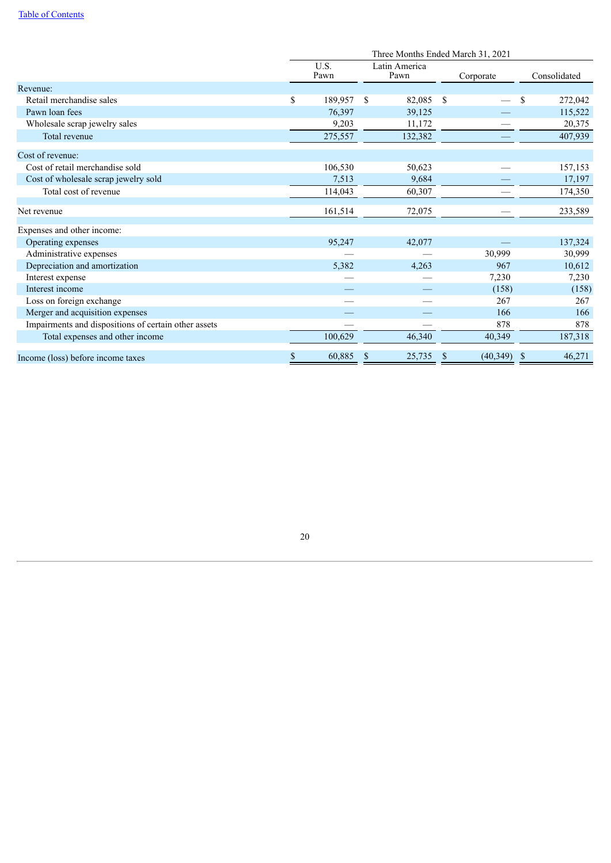## Table of [Contents](#page-1-0)

<span id="page-23-0"></span>

|                                                      | Three Months Ended March 31, 2021 |              |                         |                |               |              |  |  |  |
|------------------------------------------------------|-----------------------------------|--------------|-------------------------|----------------|---------------|--------------|--|--|--|
|                                                      |                                   | U.S.<br>Pawn | Latin America<br>Pawn   | Corporate      |               | Consolidated |  |  |  |
| Revenue:                                             |                                   |              |                         |                |               |              |  |  |  |
| Retail merchandise sales                             | \$                                | 189,957      | <sup>\$</sup><br>82,085 | <sup>S</sup>   | <sup>\$</sup> | 272,042      |  |  |  |
| Pawn loan fees                                       |                                   | 76,397       | 39,125                  |                |               | 115,522      |  |  |  |
| Wholesale scrap jewelry sales                        |                                   | 9,203        | 11,172                  |                |               | 20,375       |  |  |  |
| Total revenue                                        |                                   | 275,557      | 132,382                 |                |               | 407,939      |  |  |  |
| Cost of revenue:                                     |                                   |              |                         |                |               |              |  |  |  |
| Cost of retail merchandise sold                      |                                   | 106,530      | 50,623                  |                |               | 157,153      |  |  |  |
| Cost of wholesale scrap jewelry sold                 |                                   | 7,513        | 9,684                   |                |               | 17,197       |  |  |  |
| Total cost of revenue                                |                                   | 114,043      | 60,307                  |                |               | 174,350      |  |  |  |
| Net revenue                                          |                                   | 161,514      | 72,075                  |                |               | 233,589      |  |  |  |
| Expenses and other income:                           |                                   |              |                         |                |               |              |  |  |  |
| Operating expenses                                   |                                   | 95,247       | 42,077                  |                |               | 137,324      |  |  |  |
| Administrative expenses                              |                                   |              |                         | 30,999         |               | 30,999       |  |  |  |
| Depreciation and amortization                        |                                   | 5,382        | 4,263                   | 967            |               | 10,612       |  |  |  |
| Interest expense                                     |                                   |              |                         | 7,230          |               | 7,230        |  |  |  |
| Interest income                                      |                                   |              |                         | (158)          |               | (158)        |  |  |  |
| Loss on foreign exchange                             |                                   |              |                         | 267            |               | 267          |  |  |  |
| Merger and acquisition expenses                      |                                   |              |                         | 166            |               | 166          |  |  |  |
| Impairments and dispositions of certain other assets |                                   |              |                         | 878            |               | 878          |  |  |  |
| Total expenses and other income                      |                                   | 100,629      | 46,340                  | 40,349         |               | 187,318      |  |  |  |
| Income (loss) before income taxes                    |                                   | 60,885       | 25,735<br>\$            | (40, 349)<br>S | -S            | 46,271       |  |  |  |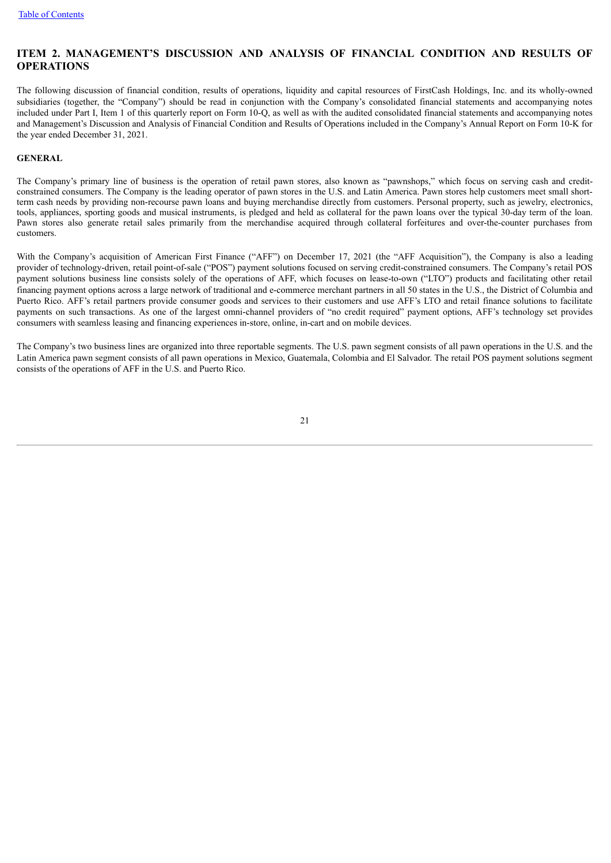# **ITEM 2. MANAGEMENT'S DISCUSSION AND ANALYSIS OF FINANCIAL CONDITION AND RESULTS OF OPERATIONS**

The following discussion of financial condition, results of operations, liquidity and capital resources of FirstCash Holdings, Inc. and its wholly-owned subsidiaries (together, the "Company") should be read in conjunction with the Company's consolidated financial statements and accompanying notes included under Part I, Item 1 of this quarterly report on Form 10-Q, as well as with the audited consolidated financial statements and accompanying notes and Management's Discussion and Analysis of Financial Condition and Results of Operations included in the Company's Annual Report on Form 10-K for the year ended December 31, 2021.

### **GENERAL**

The Company's primary line of business is the operation of retail pawn stores, also known as "pawnshops," which focus on serving cash and creditconstrained consumers. The Company is the leading operator of pawn stores in the U.S. and Latin America. Pawn stores help customers meet small shortterm cash needs by providing non-recourse pawn loans and buying merchandise directly from customers. Personal property, such as jewelry, electronics, tools, appliances, sporting goods and musical instruments, is pledged and held as collateral for the pawn loans over the typical 30-day term of the loan. Pawn stores also generate retail sales primarily from the merchandise acquired through collateral forfeitures and over-the-counter purchases from customers.

With the Company's acquisition of American First Finance ("AFF") on December 17, 2021 (the "AFF Acquisition"), the Company is also a leading provider of technology-driven, retail point-of-sale ("POS") payment solutions focused on serving credit-constrained consumers. The Company's retail POS payment solutions business line consists solely of the operations of AFF, which focuses on lease-to-own ("LTO") products and facilitating other retail financing payment options across a large network of traditional and e-commerce merchant partners in all 50 states in the U.S., the District of Columbia and Puerto Rico. AFF's retail partners provide consumer goods and services to their customers and use AFF's LTO and retail finance solutions to facilitate payments on such transactions. As one of the largest omni-channel providers of "no credit required" payment options, AFF's technology set provides consumers with seamless leasing and financing experiences in-store, online, in-cart and on mobile devices.

The Company's two business lines are organized into three reportable segments. The U.S. pawn segment consists of all pawn operations in the U.S. and the Latin America pawn segment consists of all pawn operations in Mexico, Guatemala, Colombia and El Salvador. The retail POS payment solutions segment consists of the operations of AFF in the U.S. and Puerto Rico.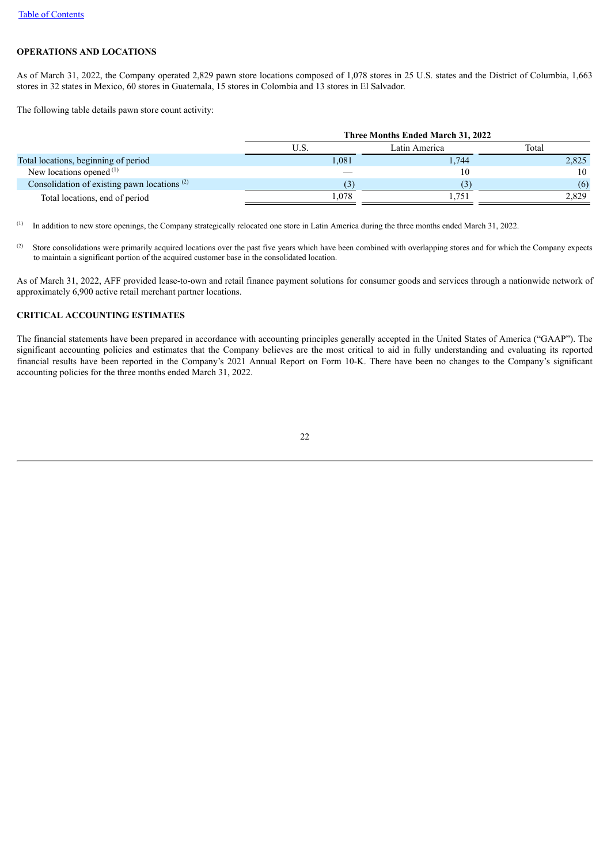### **OPERATIONS AND LOCATIONS**

As of March 31, 2022, the Company operated 2,829 pawn store locations composed of 1,078 stores in 25 U.S. states and the District of Columbia, 1,663 stores in 32 states in Mexico, 60 stores in Guatemala, 15 stores in Colombia and 13 stores in El Salvador.

The following table details pawn store count activity:

|                                                | Three Months Ended March 31, 2022 |               |       |  |  |  |  |  |
|------------------------------------------------|-----------------------------------|---------------|-------|--|--|--|--|--|
|                                                | U.S.                              | Latin America | Total |  |  |  |  |  |
| Total locations, beginning of period           | 1.081                             | .744          | 2,825 |  |  |  |  |  |
| New locations opened $(1)$                     |                                   | 10            | 10    |  |  |  |  |  |
| Consolidation of existing pawn locations $(2)$ |                                   |               | (6)   |  |  |  |  |  |
| Total locations, end of period                 | .078                              | .751          | 2,829 |  |  |  |  |  |

In addition to new store openings, the Company strategically relocated one store in Latin America during the three months ended March 31, 2022. (1)

Store consolidations were primarily acquired locations over the past five years which have been combined with overlapping stores and for which the Company expects to maintain a significant portion of the acquired customer base in the consolidated location. (2)

As of March 31, 2022, AFF provided lease-to-own and retail finance payment solutions for consumer goods and services through a nationwide network of approximately 6,900 active retail merchant partner locations.

### **CRITICAL ACCOUNTING ESTIMATES**

The financial statements have been prepared in accordance with accounting principles generally accepted in the United States of America ("GAAP"). The significant accounting policies and estimates that the Company believes are the most critical to aid in fully understanding and evaluating its reported financial results have been reported in the Company's 2021 Annual Report on Form 10-K. There have been no changes to the Company's significant accounting policies for the three months ended March 31, 2022.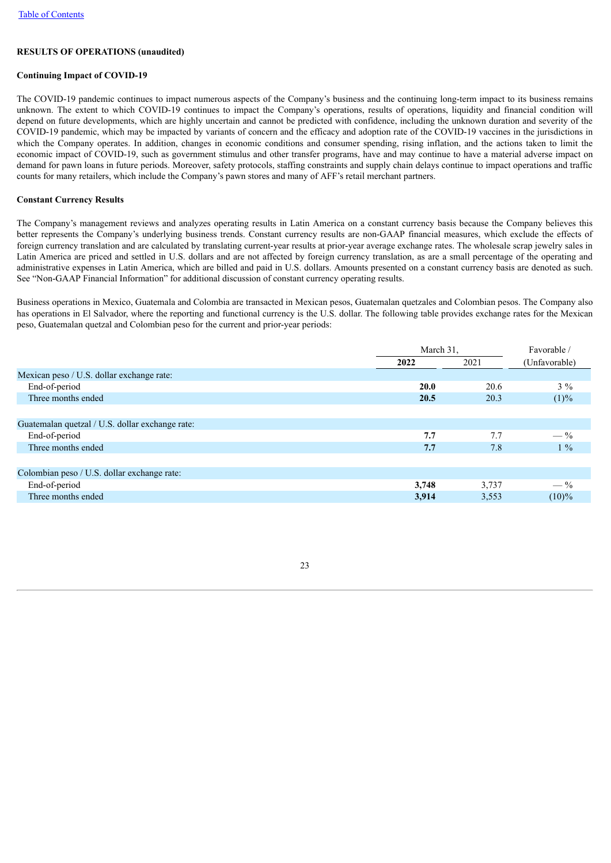# **RESULTS OF OPERATIONS (unaudited)**

# **Continuing Impact of COVID-19**

The COVID-19 pandemic continues to impact numerous aspects of the Company's business and the continuing long-term impact to its business remains unknown. The extent to which COVID-19 continues to impact the Company's operations, results of operations, liquidity and financial condition will depend on future developments, which are highly uncertain and cannot be predicted with confidence, including the unknown duration and severity of the COVID-19 pandemic, which may be impacted by variants of concern and the efficacy and adoption rate of the COVID-19 vaccines in the jurisdictions in which the Company operates. In addition, changes in economic conditions and consumer spending, rising inflation, and the actions taken to limit the economic impact of COVID-19, such as government stimulus and other transfer programs, have and may continue to have a material adverse impact on demand for pawn loans in future periods. Moreover, safety protocols, staffing constraints and supply chain delays continue to impact operations and traffic counts for many retailers, which include the Company's pawn stores and many of AFF's retail merchant partners.

# **Constant Currency Results**

The Company's management reviews and analyzes operating results in Latin America on a constant currency basis because the Company believes this better represents the Company's underlying business trends. Constant currency results are non-GAAP financial measures, which exclude the effects of foreign currency translation and are calculated by translating current-year results at prior-year average exchange rates. The wholesale scrap jewelry sales in Latin America are priced and settled in U.S. dollars and are not affected by foreign currency translation, as are a small percentage of the operating and administrative expenses in Latin America, which are billed and paid in U.S. dollars. Amounts presented on a constant currency basis are denoted as such. See "Non-GAAP Financial Information" for additional discussion of constant currency operating results.

Business operations in Mexico, Guatemala and Colombia are transacted in Mexican pesos, Guatemalan quetzales and Colombian pesos. The Company also has operations in El Salvador, where the reporting and functional currency is the U.S. dollar. The following table provides exchange rates for the Mexican peso, Guatemalan quetzal and Colombian peso for the current and prior-year periods:

|                                                 | March 31,   | Favorable / |                |
|-------------------------------------------------|-------------|-------------|----------------|
|                                                 | 2022        | 2021        | (Unfavorable)  |
| Mexican peso / U.S. dollar exchange rate:       |             |             |                |
| End-of-period                                   | <b>20.0</b> | 20.6        | $3\%$          |
| Three months ended                              | 20.5        | 20.3        | (1)%           |
|                                                 |             |             |                |
| Guatemalan quetzal / U.S. dollar exchange rate: |             |             |                |
| End-of-period                                   | 7.7         | 7.7         | $-\frac{9}{6}$ |
| Three months ended                              | 7.7         | 7.8         | $1\%$          |
|                                                 |             |             |                |
| Colombian peso / U.S. dollar exchange rate:     |             |             |                |
| End-of-period                                   | 3,748       | 3,737       | $-\frac{9}{6}$ |
| Three months ended                              | 3,914       | 3,553       | $(10)\%$       |
|                                                 |             |             |                |

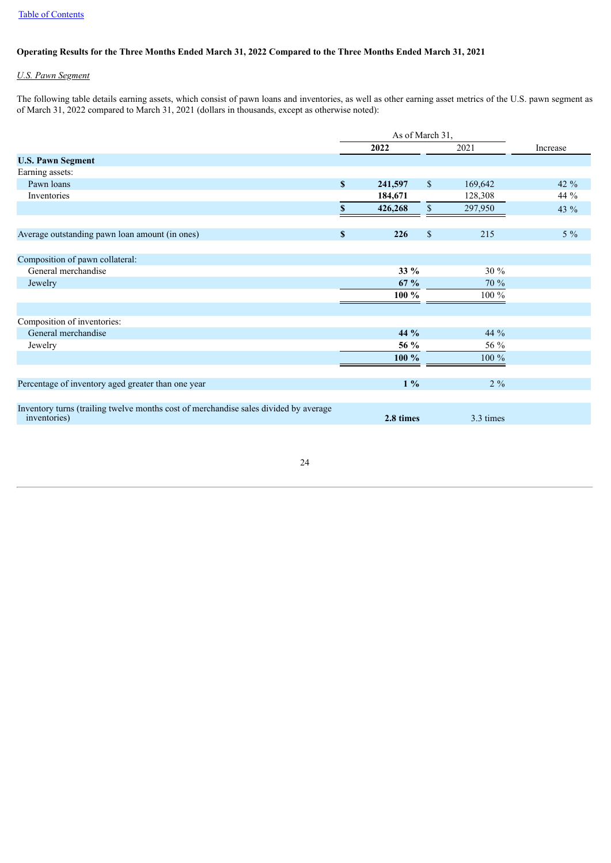### Operating Results for the Three Months Ended March 31, 2022 Compared to the Three Months Ended March 31, 2021

### *U.S. Pawn Segment*

The following table details earning assets, which consist of pawn loans and inventories, as well as other earning asset metrics of the U.S. pawn segment as of March 31, 2022 compared to March 31, 2021 (dollars in thousands, except as otherwise noted):

|                                                                                                      |                    | As of March 31, |              |           |          |  |
|------------------------------------------------------------------------------------------------------|--------------------|-----------------|--------------|-----------|----------|--|
|                                                                                                      |                    | 2022            |              | 2021      | Increase |  |
| <b>U.S. Pawn Segment</b>                                                                             |                    |                 |              |           |          |  |
| Earning assets:                                                                                      |                    |                 |              |           |          |  |
| Pawn loans                                                                                           | $\mathbf S$        | 241,597         | $\mathbb{S}$ | 169,642   | 42 $%$   |  |
| Inventories                                                                                          |                    | 184,671         |              | 128,308   | 44 %     |  |
|                                                                                                      | \$                 | 426,268         | \$           | 297,950   | 43 %     |  |
|                                                                                                      |                    |                 |              |           |          |  |
| Average outstanding pawn loan amount (in ones)                                                       | $\pmb{\mathbb{S}}$ | 226             | $\mathbf S$  | 215       | $5\%$    |  |
| Composition of pawn collateral:                                                                      |                    |                 |              |           |          |  |
| General merchandise                                                                                  |                    | 33 %            |              | $30\%$    |          |  |
| Jewelry                                                                                              |                    | $67 \%$         |              | 70 %      |          |  |
|                                                                                                      |                    | $100 \%$        |              | 100 %     |          |  |
|                                                                                                      |                    |                 |              |           |          |  |
| Composition of inventories:                                                                          |                    |                 |              |           |          |  |
| General merchandise                                                                                  |                    | 44 %            |              | 44 %      |          |  |
| Jewelry                                                                                              |                    | 56 %            |              | 56 %      |          |  |
|                                                                                                      |                    | 100 %           |              | $100\%$   |          |  |
|                                                                                                      |                    |                 |              |           |          |  |
| Percentage of inventory aged greater than one year                                                   |                    | $1\%$           |              | $2\%$     |          |  |
|                                                                                                      |                    |                 |              |           |          |  |
| Inventory turns (trailing twelve months cost of merchandise sales divided by average<br>inventories) |                    | 2.8 times       |              | 3.3 times |          |  |
|                                                                                                      |                    |                 |              |           |          |  |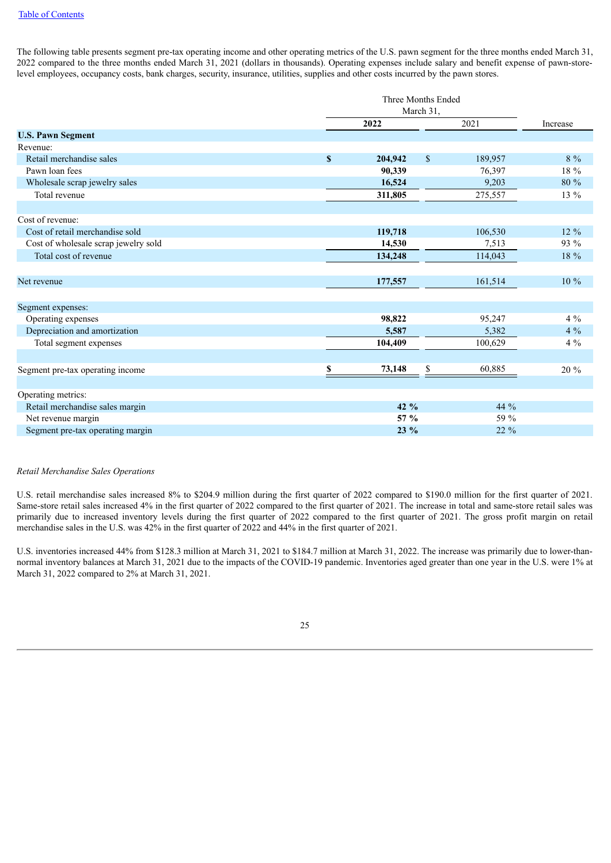The following table presents segment pre-tax operating income and other operating metrics of the U.S. pawn segment for the three months ended March 31, 2022 compared to the three months ended March 31, 2021 (dollars in thousands). Operating expenses include salary and benefit expense of pawn-storelevel employees, occupancy costs, bank charges, security, insurance, utilities, supplies and other costs incurred by the pawn stores.

|                                      |                           | Three Months Ended |                         |          |  |  |  |
|--------------------------------------|---------------------------|--------------------|-------------------------|----------|--|--|--|
|                                      |                           | March 31,          |                         |          |  |  |  |
|                                      |                           | 2022               | 2021                    | Increase |  |  |  |
| <b>U.S. Pawn Segment</b>             |                           |                    |                         |          |  |  |  |
| Revenue:                             |                           |                    |                         |          |  |  |  |
| Retail merchandise sales             | $\boldsymbol{\mathsf{s}}$ | 204,942            | $\mathbb{S}$<br>189,957 | $8\%$    |  |  |  |
| Pawn loan fees                       |                           | 90,339             | 76,397                  | 18 %     |  |  |  |
| Wholesale scrap jewelry sales        |                           | 16,524             | 9,203                   | 80 %     |  |  |  |
| Total revenue                        |                           | 311,805            | 275,557                 | 13 %     |  |  |  |
| Cost of revenue:                     |                           |                    |                         |          |  |  |  |
| Cost of retail merchandise sold      |                           | 119,718            | 106,530                 | $12\%$   |  |  |  |
| Cost of wholesale scrap jewelry sold |                           | 14,530             | 7.513                   | 93 %     |  |  |  |
| Total cost of revenue                |                           | 134,248            | 114,043                 | 18 %     |  |  |  |
|                                      |                           |                    |                         |          |  |  |  |
| Net revenue                          |                           | 177,557            | 161,514                 | $10\%$   |  |  |  |
|                                      |                           |                    |                         |          |  |  |  |
| Segment expenses:                    |                           |                    |                         | $4\%$    |  |  |  |
| Operating expenses                   |                           | 98,822             | 95,247                  |          |  |  |  |
| Depreciation and amortization        |                           | 5,587              | 5,382                   | $4\%$    |  |  |  |
| Total segment expenses               |                           | 104,409            | 100,629                 | $4\%$    |  |  |  |
| Segment pre-tax operating income     | \$                        | 73,148             | \$<br>60,885            | 20 %     |  |  |  |
|                                      |                           |                    |                         |          |  |  |  |
| Operating metrics:                   |                           |                    |                         |          |  |  |  |
| Retail merchandise sales margin      |                           | 42 $%$             | 44 %                    |          |  |  |  |
| Net revenue margin                   |                           | 57 %               | 59 %                    |          |  |  |  |
| Segment pre-tax operating margin     |                           | $23\%$             | $22\%$                  |          |  |  |  |

### *Retail Merchandise Sales Operations*

U.S. retail merchandise sales increased 8% to \$204.9 million during the first quarter of 2022 compared to \$190.0 million for the first quarter of 2021. Same-store retail sales increased 4% in the first quarter of 2022 compared to the first quarter of 2021. The increase in total and same-store retail sales was primarily due to increased inventory levels during the first quarter of 2022 compared to the first quarter of 2021. The gross profit margin on retail merchandise sales in the U.S. was 42% in the first quarter of 2022 and 44% in the first quarter of 2021.

U.S. inventories increased 44% from \$128.3 million at March 31, 2021 to \$184.7 million at March 31, 2022. The increase was primarily due to lower-thannormal inventory balances at March 31, 2021 due to the impacts of the COVID-19 pandemic. Inventories aged greater than one year in the U.S. were 1% at March 31, 2022 compared to 2% at March 31, 2021.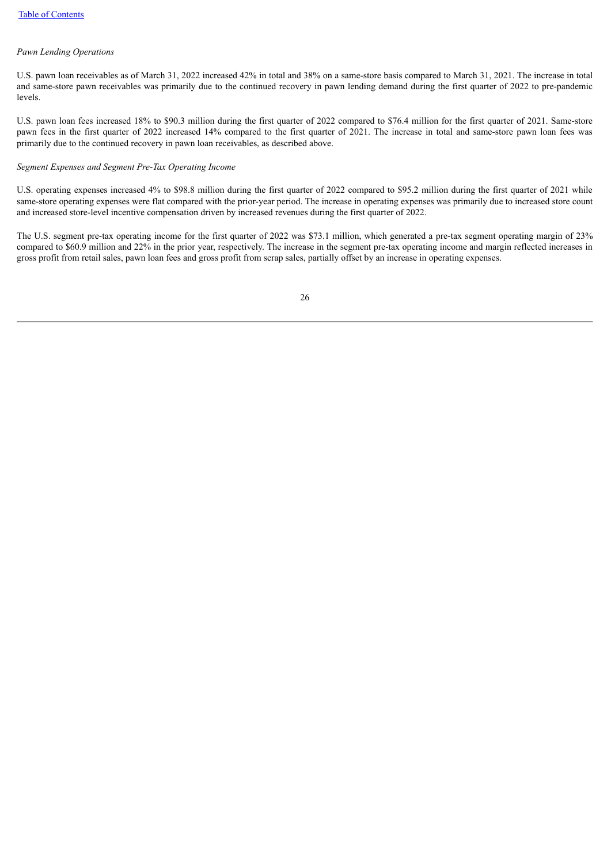### *Pawn Lending Operations*

U.S. pawn loan receivables as of March 31, 2022 increased 42% in total and 38% on a same-store basis compared to March 31, 2021. The increase in total and same-store pawn receivables was primarily due to the continued recovery in pawn lending demand during the first quarter of 2022 to pre-pandemic levels.

U.S. pawn loan fees increased 18% to \$90.3 million during the first quarter of 2022 compared to \$76.4 million for the first quarter of 2021. Same-store pawn fees in the first quarter of 2022 increased 14% compared to the first quarter of 2021. The increase in total and same-store pawn loan fees was primarily due to the continued recovery in pawn loan receivables, as described above.

### *Segment Expenses and Segment Pre-Tax Operating Income*

U.S. operating expenses increased 4% to \$98.8 million during the first quarter of 2022 compared to \$95.2 million during the first quarter of 2021 while same-store operating expenses were flat compared with the prior-year period. The increase in operating expenses was primarily due to increased store count and increased store-level incentive compensation driven by increased revenues during the first quarter of 2022.

The U.S. segment pre-tax operating income for the first quarter of 2022 was \$73.1 million, which generated a pre-tax segment operating margin of 23% compared to \$60.9 million and 22% in the prior year, respectively. The increase in the segment pre-tax operating income and margin reflected increases in gross profit from retail sales, pawn loan fees and gross profit from scrap sales, partially offset by an increase in operating expenses.

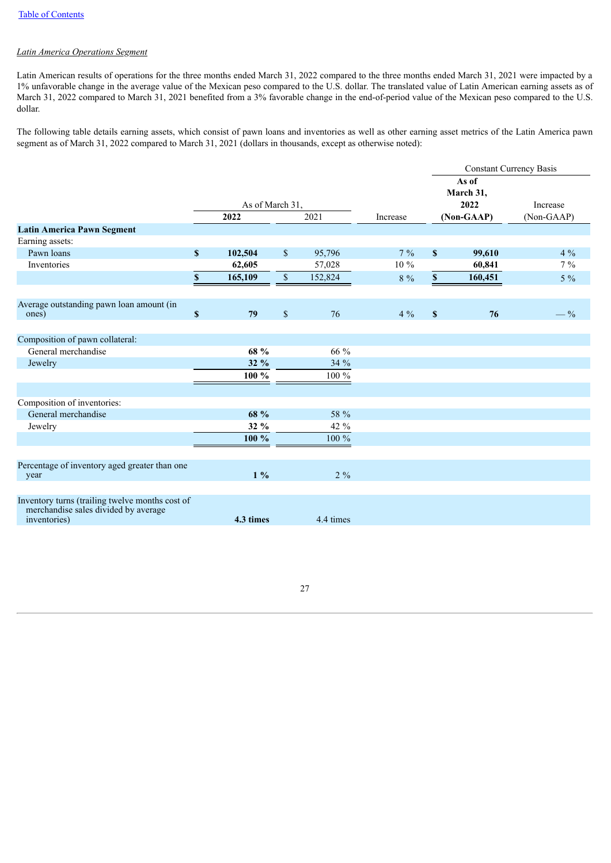### *Latin America Operations Segment*

Latin American results of operations for the three months ended March 31, 2022 compared to the three months ended March 31, 2021 were impacted by a 1% unfavorable change in the average value of the Mexican peso compared to the U.S. dollar. The translated value of Latin American earning assets as of March 31, 2022 compared to March 31, 2021 benefited from a 3% favorable change in the end-of-period value of the Mexican peso compared to the U.S. dollar.

The following table details earning assets, which consist of pawn loans and inventories as well as other earning asset metrics of the Latin America pawn segment as of March 31, 2022 compared to March 31, 2021 (dollars in thousands, except as otherwise noted):

|                                                       |                                 |               |          |             | <b>Constant Currency Basis</b> |            |
|-------------------------------------------------------|---------------------------------|---------------|----------|-------------|--------------------------------|------------|
|                                                       |                                 |               |          |             | As of<br>March 31,             |            |
|                                                       | As of March 31,                 |               |          |             | 2022                           | Increase   |
|                                                       | 2022                            | 2021          | Increase |             | (Non-GAAP)                     | (Non-GAAP) |
| <b>Latin America Pawn Segment</b>                     |                                 |               |          |             |                                |            |
| Earning assets:                                       |                                 |               |          |             |                                |            |
| Pawn loans                                            | S<br>102,504                    | \$<br>95,796  | $7\%$    | S           | 99,610                         | $4\%$      |
| Inventories                                           | 62,605                          | 57,028        | 10 %     |             | 60,841                         | $7\%$      |
|                                                       | $\mathbb S$<br>165,109          | \$<br>152,824 | 8 %      | $\mathbf S$ | 160,451                        | $5\%$      |
|                                                       |                                 |               |          |             |                                |            |
| Average outstanding pawn loan amount (in<br>ones)     | $\boldsymbol{\mathsf{s}}$<br>79 | \$<br>76      | $4\%$    | $\mathbf S$ | 76                             | $-$ %      |
|                                                       |                                 |               |          |             |                                |            |
| Composition of pawn collateral:                       |                                 |               |          |             |                                |            |
| General merchandise                                   | 68 %                            | 66 %          |          |             |                                |            |
| Jewelry                                               | $32\%$                          | 34 %          |          |             |                                |            |
|                                                       | $100 \%$                        | $100\ \%$     |          |             |                                |            |
|                                                       |                                 |               |          |             |                                |            |
| Composition of inventories:                           |                                 |               |          |             |                                |            |
| General merchandise                                   | 68 %                            | 58 %          |          |             |                                |            |
| Jewelry                                               | 32 %                            | 42 %          |          |             |                                |            |
|                                                       | 100 %                           | 100 %         |          |             |                                |            |
|                                                       |                                 |               |          |             |                                |            |
| Percentage of inventory aged greater than one<br>year | $1\%$                           | $2\%$         |          |             |                                |            |
|                                                       |                                 |               |          |             |                                |            |
| Inventory turns (trailing twelve months cost of       |                                 |               |          |             |                                |            |
| merchandise sales divided by average<br>inventories)  | 4.3 times                       | 4.4 times     |          |             |                                |            |
|                                                       |                                 |               |          |             |                                |            |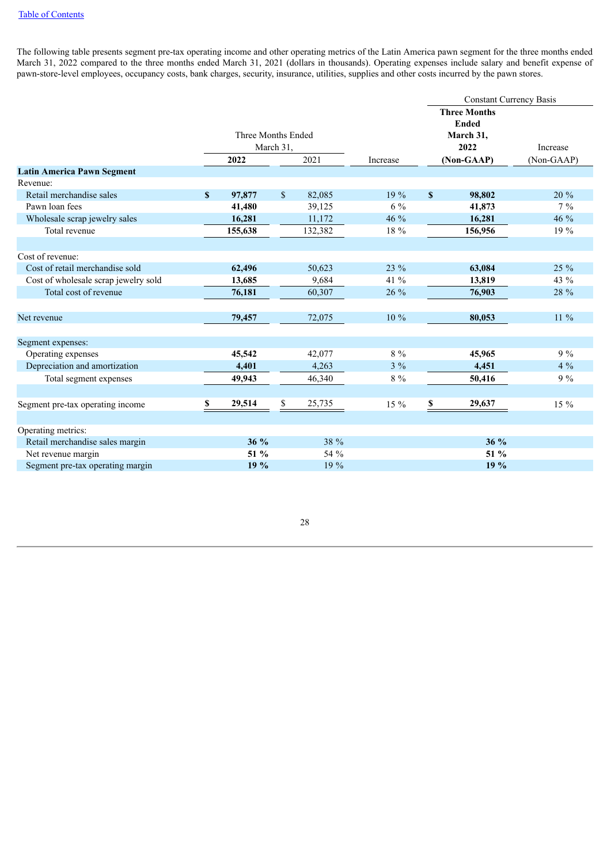The following table presents segment pre-tax operating income and other operating metrics of the Latin America pawn segment for the three months ended March 31, 2022 compared to the three months ended March 31, 2021 (dollars in thousands). Operating expenses include salary and benefit expense of pawn-store-level employees, occupancy costs, bank charges, security, insurance, utilities, supplies and other costs incurred by the pawn stores.

|                                      |             |                    |             |         |          | <b>Constant Currency Basis</b> |                     |            |  |  |
|--------------------------------------|-------------|--------------------|-------------|---------|----------|--------------------------------|---------------------|------------|--|--|
|                                      |             |                    |             |         |          |                                | <b>Three Months</b> |            |  |  |
|                                      |             |                    |             |         |          |                                | <b>Ended</b>        |            |  |  |
|                                      |             | Three Months Ended |             |         |          |                                | March 31,           |            |  |  |
|                                      |             |                    | March 31,   |         |          |                                | 2022                | Increase   |  |  |
|                                      |             | 2022               |             | 2021    | Increase |                                | (Non-GAAP)          | (Non-GAAP) |  |  |
| <b>Latin America Pawn Segment</b>    |             |                    |             |         |          |                                |                     |            |  |  |
| Revenue:                             |             |                    |             |         |          |                                |                     |            |  |  |
| Retail merchandise sales             | $\mathbf S$ | 97,877             | $\sqrt{\ }$ | 82,085  | 19%      | $\mathbf{s}$                   | 98,802              | 20 %       |  |  |
| Pawn loan fees                       |             | 41,480             |             | 39,125  | $6\%$    |                                | 41,873              | $7\%$      |  |  |
| Wholesale scrap jewelry sales        |             | 16,281             |             | 11,172  | 46 %     |                                | 16,281              | 46 %       |  |  |
| Total revenue                        |             | 155,638            |             | 132,382 | 18 %     |                                | 156,956             | 19 %       |  |  |
|                                      |             |                    |             |         |          |                                |                     |            |  |  |
| Cost of revenue:                     |             |                    |             |         |          |                                |                     |            |  |  |
| Cost of retail merchandise sold      |             | 62,496             |             | 50,623  | $23\%$   |                                | 63,084              | $25\%$     |  |  |
| Cost of wholesale scrap jewelry sold |             | 13,685             |             | 9,684   | 41 %     |                                | 13,819              | 43 %       |  |  |
| Total cost of revenue                |             | 76,181             |             | 60,307  | $26\%$   |                                | 76,903              | 28 %       |  |  |
|                                      |             |                    |             |         |          |                                |                     |            |  |  |
| Net revenue                          |             | 79,457             |             | 72,075  | 10 %     |                                | 80,053              | $11\%$     |  |  |
|                                      |             |                    |             |         |          |                                |                     |            |  |  |
| Segment expenses:                    |             |                    |             |         |          |                                |                     |            |  |  |
| Operating expenses                   |             | 45,542             |             | 42,077  | $8\%$    |                                | 45,965              | $9\%$      |  |  |
| Depreciation and amortization        |             | 4,401              |             | 4,263   | $3\%$    |                                | 4,451               | $4\%$      |  |  |
| Total segment expenses               |             | 49,943             |             | 46,340  | $8\%$    |                                | 50,416              | $9\%$      |  |  |
|                                      |             |                    |             |         |          |                                |                     |            |  |  |
| Segment pre-tax operating income     | S           | 29,514             | \$          | 25,735  | $15\%$   | S                              | 29,637              | $15\%$     |  |  |
|                                      |             |                    |             |         |          |                                |                     |            |  |  |
| Operating metrics:                   |             |                    |             |         |          |                                |                     |            |  |  |
| Retail merchandise sales margin      |             | $36\%$             |             | 38 %    |          |                                | 36 %                |            |  |  |
| Net revenue margin                   |             | 51 %               |             | 54 %    |          |                                | 51 %                |            |  |  |
| Segment pre-tax operating margin     |             | 19%                |             | 19 %    |          |                                | 19%                 |            |  |  |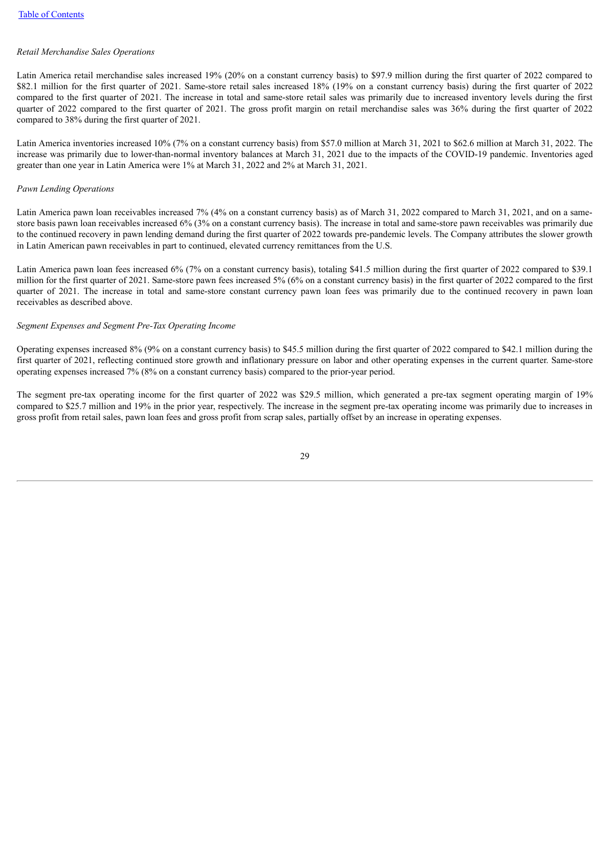### *Retail Merchandise Sales Operations*

Latin America retail merchandise sales increased 19% (20% on a constant currency basis) to \$97.9 million during the first quarter of 2022 compared to \$82.1 million for the first quarter of 2021. Same-store retail sales increased 18% (19% on a constant currency basis) during the first quarter of 2022 compared to the first quarter of 2021. The increase in total and same-store retail sales was primarily due to increased inventory levels during the first quarter of 2022 compared to the first quarter of 2021. The gross profit margin on retail merchandise sales was 36% during the first quarter of 2022 compared to 38% during the first quarter of 2021.

Latin America inventories increased 10% (7% on a constant currency basis) from \$57.0 million at March 31, 2021 to \$62.6 million at March 31, 2022. The increase was primarily due to lower-than-normal inventory balances at March 31, 2021 due to the impacts of the COVID-19 pandemic. Inventories aged greater than one year in Latin America were 1% at March 31, 2022 and 2% at March 31, 2021.

#### *Pawn Lending Operations*

Latin America pawn loan receivables increased 7% (4% on a constant currency basis) as of March 31, 2022 compared to March 31, 2021, and on a samestore basis pawn loan receivables increased 6% (3% on a constant currency basis). The increase in total and same-store pawn receivables was primarily due to the continued recovery in pawn lending demand during the first quarter of 2022 towards pre-pandemic levels. The Company attributes the slower growth in Latin American pawn receivables in part to continued, elevated currency remittances from the U.S.

Latin America pawn loan fees increased 6% (7% on a constant currency basis), totaling \$41.5 million during the first quarter of 2022 compared to \$39.1 million for the first quarter of 2021. Same-store pawn fees increased 5% (6% on a constant currency basis) in the first quarter of 2022 compared to the first quarter of 2021. The increase in total and same-store constant currency pawn loan fees was primarily due to the continued recovery in pawn loan receivables as described above.

### *Segment Expenses and Segment Pre-Tax Operating Income*

Operating expenses increased 8% (9% on a constant currency basis) to \$45.5 million during the first quarter of 2022 compared to \$42.1 million during the first quarter of 2021, reflecting continued store growth and inflationary pressure on labor and other operating expenses in the current quarter. Same-store operating expenses increased 7% (8% on a constant currency basis) compared to the prior-year period.

The segment pre-tax operating income for the first quarter of 2022 was \$29.5 million, which generated a pre-tax segment operating margin of 19% compared to \$25.7 million and 19% in the prior year, respectively. The increase in the segment pre-tax operating income was primarily due to increases in gross profit from retail sales, pawn loan fees and gross profit from scrap sales, partially offset by an increase in operating expenses.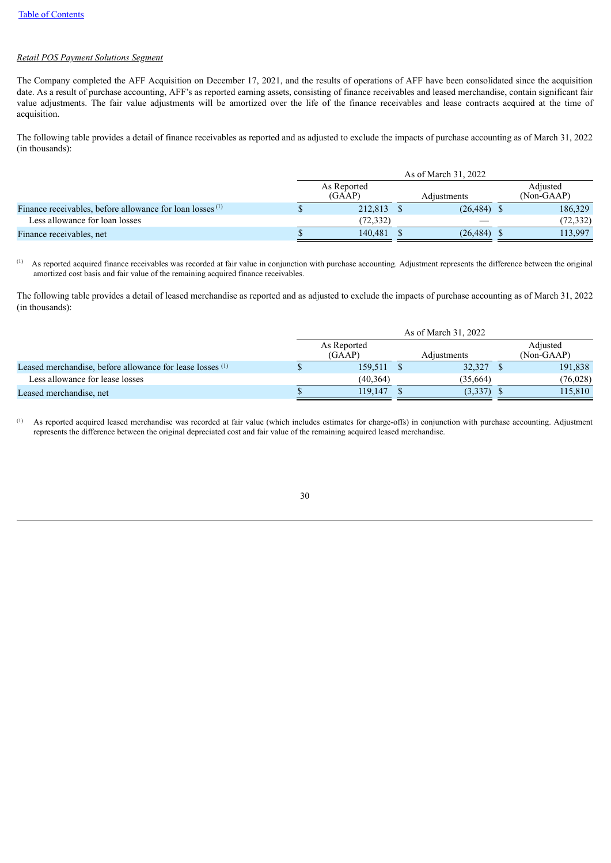# *Retail POS Payment Solutions Segment*

The Company completed the AFF Acquisition on December 17, 2021, and the results of operations of AFF have been consolidated since the acquisition date. As a result of purchase accounting, AFF's as reported earning assets, consisting of finance receivables and leased merchandise, contain significant fair value adjustments. The fair value adjustments will be amortized over the life of the finance receivables and lease contracts acquired at the time of acquisition.

The following table provides a detail of finance receivables as reported and as adjusted to exclude the impacts of purchase accounting as of March 31, 2022 (in thousands):

|                                                                      | As of March 31, 2022  |  |                |                        |           |  |  |  |
|----------------------------------------------------------------------|-----------------------|--|----------------|------------------------|-----------|--|--|--|
|                                                                      | As Reported<br>(GAAP) |  | Adjustments    | Adjusted<br>(Non-GAAP) |           |  |  |  |
| Finance receivables, before allowance for loan losses <sup>(1)</sup> | 212,813 \$            |  | $(26, 484)$ \$ |                        | 186,329   |  |  |  |
| Less allowance for loan losses                                       | (72.332)              |  |                |                        | (72, 332) |  |  |  |
| Finance receivables, net                                             | 140.481               |  | (26, 484)      |                        | 113,997   |  |  |  |

As reported acquired finance receivables was recorded at fair value in conjunction with purchase accounting. Adjustment represents the difference between the original amortized cost basis and fair value of the remaining acquired finance receivables. (1)

The following table provides a detail of leased merchandise as reported and as adjusted to exclude the impacts of purchase accounting as of March 31, 2022 (in thousands):

|                                                           | As of March 31, 2022  |             |              |  |                        |  |  |  |
|-----------------------------------------------------------|-----------------------|-------------|--------------|--|------------------------|--|--|--|
|                                                           | As Reported<br>(GAAP) | Adjustments |              |  | Adjusted<br>(Non-GAAP) |  |  |  |
| Leased merchandise, before allowance for lease losses (1) | 159,511 \$            |             | 32,327       |  | 191,838                |  |  |  |
| Less allowance for lease losses                           | (40.364)              |             | (35,664)     |  | (76, 028)              |  |  |  |
| Leased merchandise, net                                   | 119.147               |             | $(3,337)$ \$ |  | 115.810                |  |  |  |

As reported acquired leased merchandise was recorded at fair value (which includes estimates for charge-offs) in conjunction with purchase accounting. Adjustment represents the difference between the original depreciated cost and fair value of the remaining acquired leased merchandise. (1)

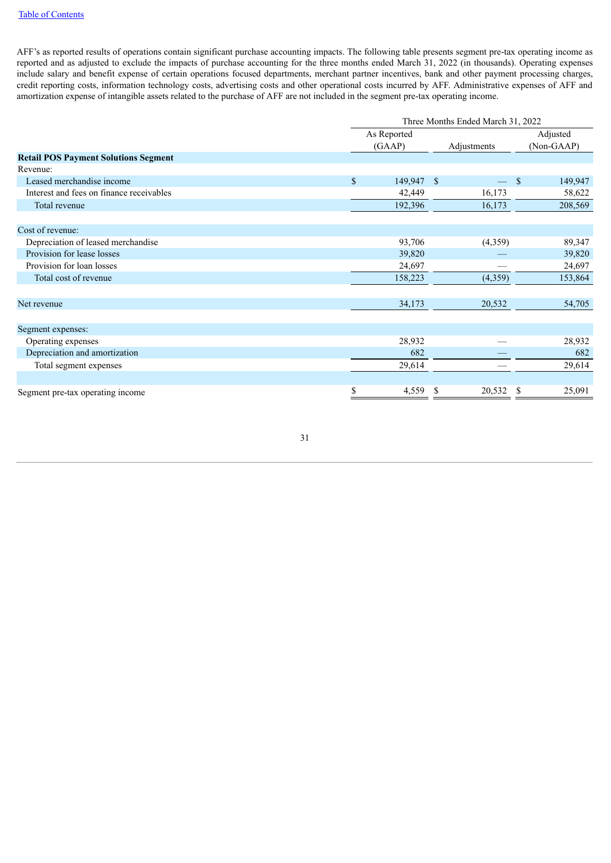AFF's as reported results of operations contain significant purchase accounting impacts. The following table presents segment pre-tax operating income as reported and as adjusted to exclude the impacts of purchase accounting for the three months ended March 31, 2022 (in thousands). Operating expenses include salary and benefit expense of certain operations focused departments, merchant partner incentives, bank and other payment processing charges, credit reporting costs, information technology costs, advertising costs and other operational costs incurred by AFF. Administrative expenses of AFF and amortization expense of intangible assets related to the purchase of AFF are not included in the segment pre-tax operating income.

|                                             |              | Three Months Ended March 31, 2022 |              |                         |  |  |  |  |  |  |  |
|---------------------------------------------|--------------|-----------------------------------|--------------|-------------------------|--|--|--|--|--|--|--|
|                                             |              | As Reported                       |              | Adjusted                |  |  |  |  |  |  |  |
|                                             |              | (GAAP)                            | Adjustments  | (Non-GAAP)              |  |  |  |  |  |  |  |
| <b>Retail POS Payment Solutions Segment</b> |              |                                   |              |                         |  |  |  |  |  |  |  |
| Revenue:                                    |              |                                   |              |                         |  |  |  |  |  |  |  |
| Leased merchandise income                   | $\mathbb{S}$ | 149,947                           | - \$         | $\mathbf{s}$<br>149,947 |  |  |  |  |  |  |  |
| Interest and fees on finance receivables    |              | 42,449                            | 16,173       | 58,622                  |  |  |  |  |  |  |  |
| Total revenue                               |              | 192,396                           | 16,173       | 208,569                 |  |  |  |  |  |  |  |
| Cost of revenue:                            |              |                                   |              |                         |  |  |  |  |  |  |  |
| Depreciation of leased merchandise          |              | 93,706                            | (4,359)      | 89,347                  |  |  |  |  |  |  |  |
| Provision for lease losses                  |              | 39,820                            |              | 39,820                  |  |  |  |  |  |  |  |
| Provision for loan losses                   |              | 24,697                            |              | 24,697                  |  |  |  |  |  |  |  |
| Total cost of revenue                       |              | 158,223                           | (4,359)      | 153,864                 |  |  |  |  |  |  |  |
|                                             |              |                                   |              |                         |  |  |  |  |  |  |  |
| Net revenue                                 |              | 34,173                            | 20,532       | 54,705                  |  |  |  |  |  |  |  |
| Segment expenses:                           |              |                                   |              |                         |  |  |  |  |  |  |  |
| Operating expenses                          |              | 28,932                            |              | 28,932                  |  |  |  |  |  |  |  |
| Depreciation and amortization               |              | 682                               |              | 682                     |  |  |  |  |  |  |  |
| Total segment expenses                      |              | 29,614                            |              | 29,614                  |  |  |  |  |  |  |  |
|                                             |              |                                   |              |                         |  |  |  |  |  |  |  |
| Segment pre-tax operating income            | \$           | 4,559                             | 20,532<br>Y. | 25,091<br>S             |  |  |  |  |  |  |  |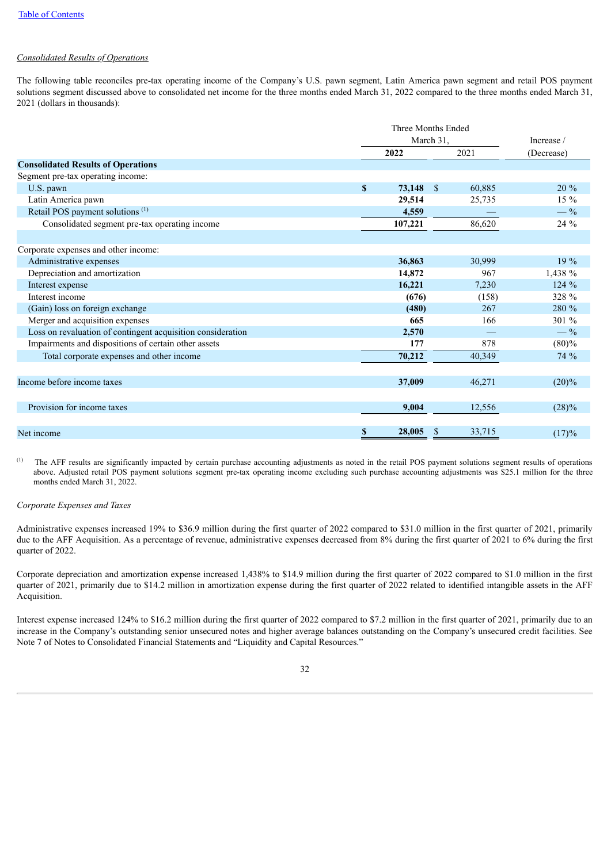### *Consolidated Results of Operations*

The following table reconciles pre-tax operating income of the Company's U.S. pawn segment, Latin America pawn segment and retail POS payment solutions segment discussed above to consolidated net income for the three months ended March 31, 2022 compared to the three months ended March 31, 2021 (dollars in thousands):

|                                                             |              | March 31,   |        |                |  |  |
|-------------------------------------------------------------|--------------|-------------|--------|----------------|--|--|
|                                                             |              | 2022        | 2021   | (Decrease)     |  |  |
| <b>Consolidated Results of Operations</b>                   |              |             |        |                |  |  |
| Segment pre-tax operating income:                           |              |             |        |                |  |  |
| U.S. pawn                                                   | $\mathbf{s}$ | $73,148$ \$ | 60,885 | $20\%$         |  |  |
| Latin America pawn                                          |              | 29,514      | 25,735 | 15 %           |  |  |
| Retail POS payment solutions <sup>(1)</sup>                 |              | 4,559       |        | $-$ %          |  |  |
| Consolidated segment pre-tax operating income               |              | 107,221     | 86,620 | 24 %           |  |  |
|                                                             |              |             |        |                |  |  |
| Corporate expenses and other income:                        |              |             |        |                |  |  |
| Administrative expenses                                     |              | 36,863      | 30,999 | $19\%$         |  |  |
| Depreciation and amortization                               |              | 14,872      | 967    | 1,438 %        |  |  |
| Interest expense                                            |              | 16,221      | 7,230  | 124 %          |  |  |
| Interest income                                             |              | (676)       | (158)  | 328 %          |  |  |
| (Gain) loss on foreign exchange                             |              | (480)       | 267    | 280 %          |  |  |
| Merger and acquisition expenses                             |              | 665         | 166    | 301 %          |  |  |
| Loss on revaluation of contingent acquisition consideration |              | 2,570       |        | $-\frac{9}{6}$ |  |  |
| Impairments and dispositions of certain other assets        |              | 177         | 878    | (80)%          |  |  |
| Total corporate expenses and other income                   |              | 70,212      | 40,349 | 74 %           |  |  |
|                                                             |              |             |        |                |  |  |
| Income before income taxes                                  |              | 37,009      | 46,271 | $(20)\%$       |  |  |
|                                                             |              |             |        |                |  |  |
| Provision for income taxes                                  |              | 9,004       | 12,556 | $(28)\%$       |  |  |
|                                                             |              |             |        |                |  |  |
| Net income                                                  | \$           | 28,005      | 33,715 | (17)%          |  |  |

The AFF results are significantly impacted by certain purchase accounting adjustments as noted in the retail POS payment solutions segment results of operations above. Adjusted retail POS payment solutions segment pre-tax operating income excluding such purchase accounting adjustments was \$25.1 million for the three months ended March 31, 2022. (1)

### *Corporate Expenses and Taxes*

Administrative expenses increased 19% to \$36.9 million during the first quarter of 2022 compared to \$31.0 million in the first quarter of 2021, primarily due to the AFF Acquisition. As a percentage of revenue, administrative expenses decreased from 8% during the first quarter of 2021 to 6% during the first quarter of 2022.

Corporate depreciation and amortization expense increased 1,438% to \$14.9 million during the first quarter of 2022 compared to \$1.0 million in the first quarter of 2021, primarily due to \$14.2 million in amortization expense during the first quarter of 2022 related to identified intangible assets in the AFF Acquisition.

Interest expense increased 124% to \$16.2 million during the first quarter of 2022 compared to \$7.2 million in the first quarter of 2021, primarily due to an increase in the Company's outstanding senior unsecured notes and higher average balances outstanding on the Company's unsecured credit facilities. See Note 7 of Notes to Consolidated Financial Statements and "Liquidity and Capital Resources."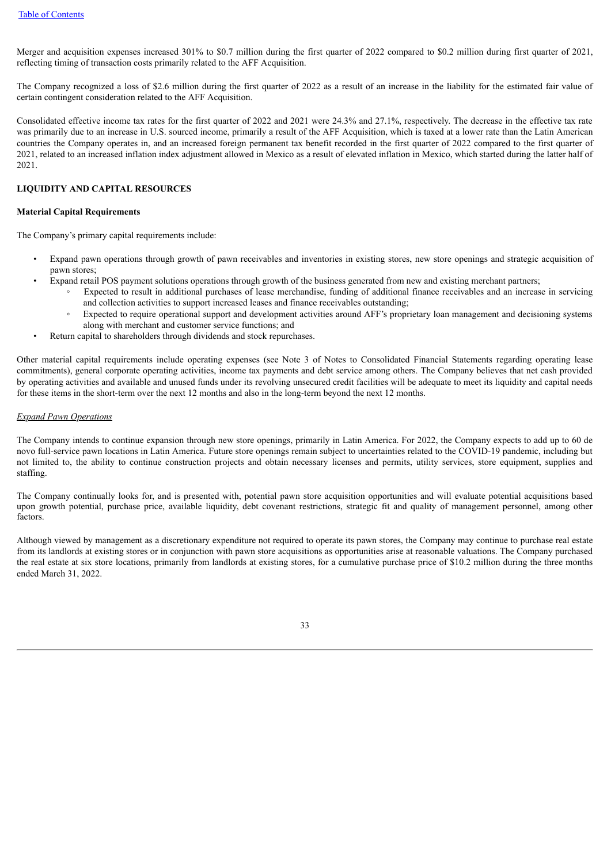Merger and acquisition expenses increased 301% to \$0.7 million during the first quarter of 2022 compared to \$0.2 million during first quarter of 2021, reflecting timing of transaction costs primarily related to the AFF Acquisition.

The Company recognized a loss of \$2.6 million during the first quarter of 2022 as a result of an increase in the liability for the estimated fair value of certain contingent consideration related to the AFF Acquisition.

Consolidated effective income tax rates for the first quarter of 2022 and 2021 were 24.3% and 27.1%, respectively. The decrease in the effective tax rate was primarily due to an increase in U.S. sourced income, primarily a result of the AFF Acquisition, which is taxed at a lower rate than the Latin American countries the Company operates in, and an increased foreign permanent tax benefit recorded in the first quarter of 2022 compared to the first quarter of 2021, related to an increased inflation index adjustment allowed in Mexico as a result of elevated inflation in Mexico, which started during the latter half of 2021.

### **LIQUIDITY AND CAPITAL RESOURCES**

### **Material Capital Requirements**

The Company's primary capital requirements include:

- Expand pawn operations through growth of pawn receivables and inventories in existing stores, new store openings and strategic acquisition of pawn stores;
	- Expand retail POS payment solutions operations through growth of the business generated from new and existing merchant partners;
		- Expected to result in additional purchases of lease merchandise, funding of additional finance receivables and an increase in servicing and collection activities to support increased leases and finance receivables outstanding;
		- Expected to require operational support and development activities around AFF's proprietary loan management and decisioning systems along with merchant and customer service functions; and
- Return capital to shareholders through dividends and stock repurchases.

Other material capital requirements include operating expenses (see Note 3 of Notes to Consolidated Financial Statements regarding operating lease commitments), general corporate operating activities, income tax payments and debt service among others. The Company believes that net cash provided by operating activities and available and unused funds under its revolving unsecured credit facilities will be adequate to meet its liquidity and capital needs for these items in the short-term over the next 12 months and also in the long-term beyond the next 12 months.

#### *Expand Pawn Operations*

The Company intends to continue expansion through new store openings, primarily in Latin America. For 2022, the Company expects to add up to 60 de novo full-service pawn locations in Latin America. Future store openings remain subject to uncertainties related to the COVID-19 pandemic, including but not limited to, the ability to continue construction projects and obtain necessary licenses and permits, utility services, store equipment, supplies and staffing.

The Company continually looks for, and is presented with, potential pawn store acquisition opportunities and will evaluate potential acquisitions based upon growth potential, purchase price, available liquidity, debt covenant restrictions, strategic fit and quality of management personnel, among other factors.

Although viewed by management as a discretionary expenditure not required to operate its pawn stores, the Company may continue to purchase real estate from its landlords at existing stores or in conjunction with pawn store acquisitions as opportunities arise at reasonable valuations. The Company purchased the real estate at six store locations, primarily from landlords at existing stores, for a cumulative purchase price of \$10.2 million during the three months ended March 31, 2022.

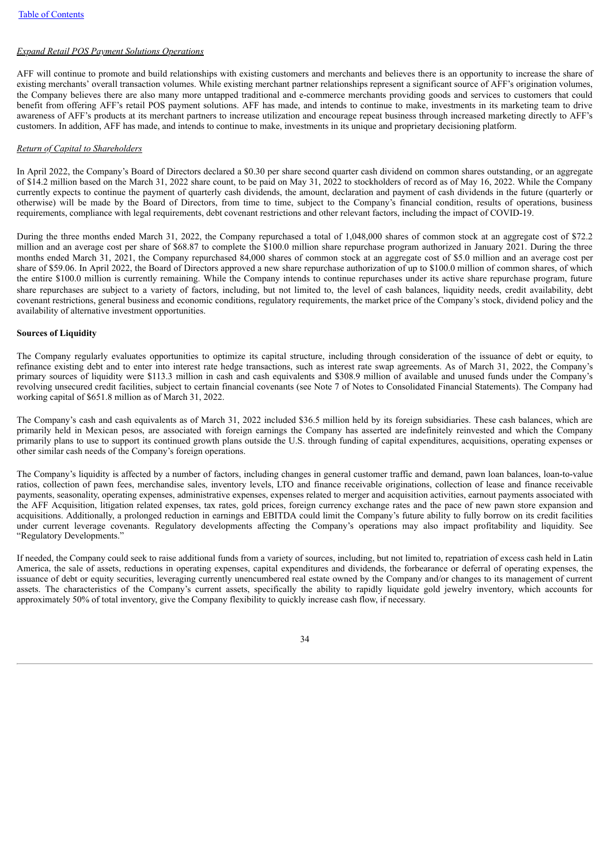### *Expand Retail POS Payment Solutions Operations*

AFF will continue to promote and build relationships with existing customers and merchants and believes there is an opportunity to increase the share of existing merchants' overall transaction volumes. While existing merchant partner relationships represent a significant source of AFF's origination volumes, the Company believes there are also many more untapped traditional and e-commerce merchants providing goods and services to customers that could benefit from offering AFF's retail POS payment solutions. AFF has made, and intends to continue to make, investments in its marketing team to drive awareness of AFF's products at its merchant partners to increase utilization and encourage repeat business through increased marketing directly to AFF's customers. In addition, AFF has made, and intends to continue to make, investments in its unique and proprietary decisioning platform.

#### *Return of Capital to Shareholders*

In April 2022, the Company's Board of Directors declared a \$0.30 per share second quarter cash dividend on common shares outstanding, or an aggregate of \$14.2 million based on the March 31, 2022 share count, to be paid on May 31, 2022 to stockholders of record as of May 16, 2022. While the Company currently expects to continue the payment of quarterly cash dividends, the amount, declaration and payment of cash dividends in the future (quarterly or otherwise) will be made by the Board of Directors, from time to time, subject to the Company's financial condition, results of operations, business requirements, compliance with legal requirements, debt covenant restrictions and other relevant factors, including the impact of COVID-19.

During the three months ended March 31, 2022, the Company repurchased a total of 1,048,000 shares of common stock at an aggregate cost of \$72.2 million and an average cost per share of \$68.87 to complete the \$100.0 million share repurchase program authorized in January 2021. During the three months ended March 31, 2021, the Company repurchased 84,000 shares of common stock at an aggregate cost of \$5.0 million and an average cost per share of \$59.06. In April 2022, the Board of Directors approved a new share repurchase authorization of up to \$100.0 million of common shares, of which the entire \$100.0 million is currently remaining. While the Company intends to continue repurchases under its active share repurchase program, future share repurchases are subject to a variety of factors, including, but not limited to, the level of cash balances, liquidity needs, credit availability, debt covenant restrictions, general business and economic conditions, regulatory requirements, the market price of the Company's stock, dividend policy and the availability of alternative investment opportunities.

#### **Sources of Liquidity**

The Company regularly evaluates opportunities to optimize its capital structure, including through consideration of the issuance of debt or equity, to refinance existing debt and to enter into interest rate hedge transactions, such as interest rate swap agreements. As of March 31, 2022, the Company's primary sources of liquidity were \$113.3 million in cash and cash equivalents and \$308.9 million of available and unused funds under the Company's revolving unsecured credit facilities, subject to certain financial covenants (see Note 7 of Notes to Consolidated Financial Statements). The Company had working capital of \$651.8 million as of March 31, 2022.

The Company's cash and cash equivalents as of March 31, 2022 included \$36.5 million held by its foreign subsidiaries. These cash balances, which are primarily held in Mexican pesos, are associated with foreign earnings the Company has asserted are indefinitely reinvested and which the Company primarily plans to use to support its continued growth plans outside the U.S. through funding of capital expenditures, acquisitions, operating expenses or other similar cash needs of the Company's foreign operations.

The Company's liquidity is affected by a number of factors, including changes in general customer traffic and demand, pawn loan balances, loan-to-value ratios, collection of pawn fees, merchandise sales, inventory levels, LTO and finance receivable originations, collection of lease and finance receivable payments, seasonality, operating expenses, administrative expenses, expenses related to merger and acquisition activities, earnout payments associated with the AFF Acquisition, litigation related expenses, tax rates, gold prices, foreign currency exchange rates and the pace of new pawn store expansion and acquisitions. Additionally, a prolonged reduction in earnings and EBITDA could limit the Company's future ability to fully borrow on its credit facilities under current leverage covenants. Regulatory developments affecting the Company's operations may also impact profitability and liquidity. See "Regulatory Developments."

If needed, the Company could seek to raise additional funds from a variety of sources, including, but not limited to, repatriation of excess cash held in Latin America, the sale of assets, reductions in operating expenses, capital expenditures and dividends, the forbearance or deferral of operating expenses, the issuance of debt or equity securities, leveraging currently unencumbered real estate owned by the Company and/or changes to its management of current assets. The characteristics of the Company's current assets, specifically the ability to rapidly liquidate gold jewelry inventory, which accounts for approximately 50% of total inventory, give the Company flexibility to quickly increase cash flow, if necessary.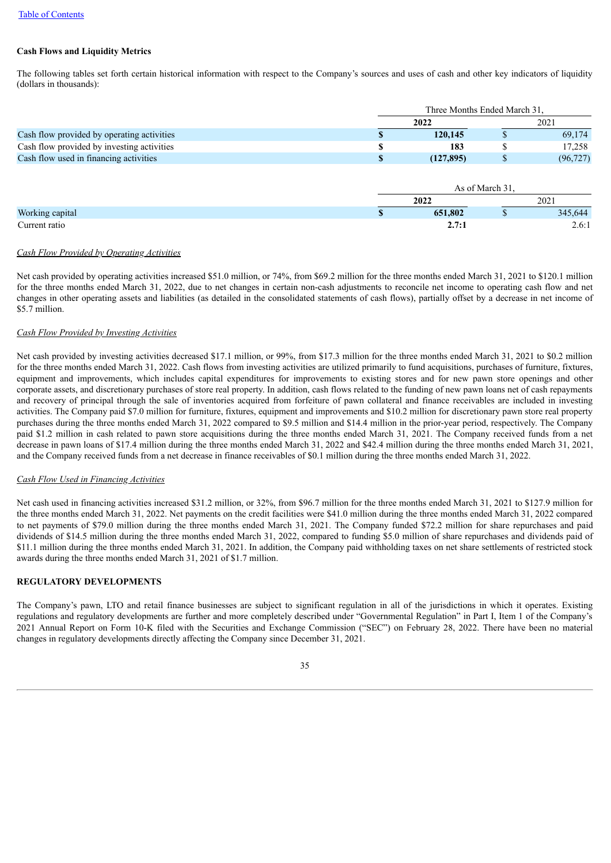### **Cash Flows and Liquidity Metrics**

The following tables set forth certain historical information with respect to the Company's sources and uses of cash and other key indicators of liquidity (dollars in thousands):

|                                            |  | Three Months Ended March 31. |      |           |  |  |  |
|--------------------------------------------|--|------------------------------|------|-----------|--|--|--|
|                                            |  |                              | 2021 |           |  |  |  |
| Cash flow provided by operating activities |  | 120,145                      |      | 69,174    |  |  |  |
| Cash flow provided by investing activities |  | 183                          |      | 17.258    |  |  |  |
| Cash flow used in financing activities     |  | (127.895)                    |      | (96, 727) |  |  |  |

|                 | As of March 31. |  |      |         |  |  |  |
|-----------------|-----------------|--|------|---------|--|--|--|
|                 | 2022            |  | 2021 |         |  |  |  |
| Working capital | 651,802         |  |      | 345,644 |  |  |  |
| Current ratio   | 2.7:1           |  |      | 2.6:1   |  |  |  |

### *Cash Flow Provided by Operating Activities*

Net cash provided by operating activities increased \$51.0 million, or 74%, from \$69.2 million for the three months ended March 31, 2021 to \$120.1 million for the three months ended March 31, 2022, due to net changes in certain non-cash adjustments to reconcile net income to operating cash flow and net changes in other operating assets and liabilities (as detailed in the consolidated statements of cash flows), partially offset by a decrease in net income of \$5.7 million.

#### *Cash Flow Provided by Investing Activities*

Net cash provided by investing activities decreased \$17.1 million, or 99%, from \$17.3 million for the three months ended March 31, 2021 to \$0.2 million for the three months ended March 31, 2022. Cash flows from investing activities are utilized primarily to fund acquisitions, purchases of furniture, fixtures, equipment and improvements, which includes capital expenditures for improvements to existing stores and for new pawn store openings and other corporate assets, and discretionary purchases of store real property. In addition, cash flows related to the funding of new pawn loans net of cash repayments and recovery of principal through the sale of inventories acquired from forfeiture of pawn collateral and finance receivables are included in investing activities. The Company paid \$7.0 million for furniture, fixtures, equipment and improvements and \$10.2 million for discretionary pawn store real property purchases during the three months ended March 31, 2022 compared to \$9.5 million and \$14.4 million in the prior-year period, respectively. The Company paid \$1.2 million in cash related to pawn store acquisitions during the three months ended March 31, 2021. The Company received funds from a net decrease in pawn loans of \$17.4 million during the three months ended March 31, 2022 and \$42.4 million during the three months ended March 31, 2021, and the Company received funds from a net decrease in finance receivables of \$0.1 million during the three months ended March 31, 2022.

#### *Cash Flow Used in Financing Activities*

Net cash used in financing activities increased \$31.2 million, or 32%, from \$96.7 million for the three months ended March 31, 2021 to \$127.9 million for the three months ended March 31, 2022. Net payments on the credit facilities were \$41.0 million during the three months ended March 31, 2022 compared to net payments of \$79.0 million during the three months ended March 31, 2021. The Company funded \$72.2 million for share repurchases and paid dividends of \$14.5 million during the three months ended March 31, 2022, compared to funding \$5.0 million of share repurchases and dividends paid of \$11.1 million during the three months ended March 31, 2021. In addition, the Company paid withholding taxes on net share settlements of restricted stock awards during the three months ended March 31, 2021 of \$1.7 million.

#### **REGULATORY DEVELOPMENTS**

The Company's pawn, LTO and retail finance businesses are subject to significant regulation in all of the jurisdictions in which it operates. Existing regulations and regulatory developments are further and more completely described under "Governmental Regulation" in Part I, Item 1 of the Company's 2021 Annual Report on Form 10-K filed with the Securities and Exchange Commission ("SEC") on February 28, 2022. There have been no material changes in regulatory developments directly affecting the Company since December 31, 2021.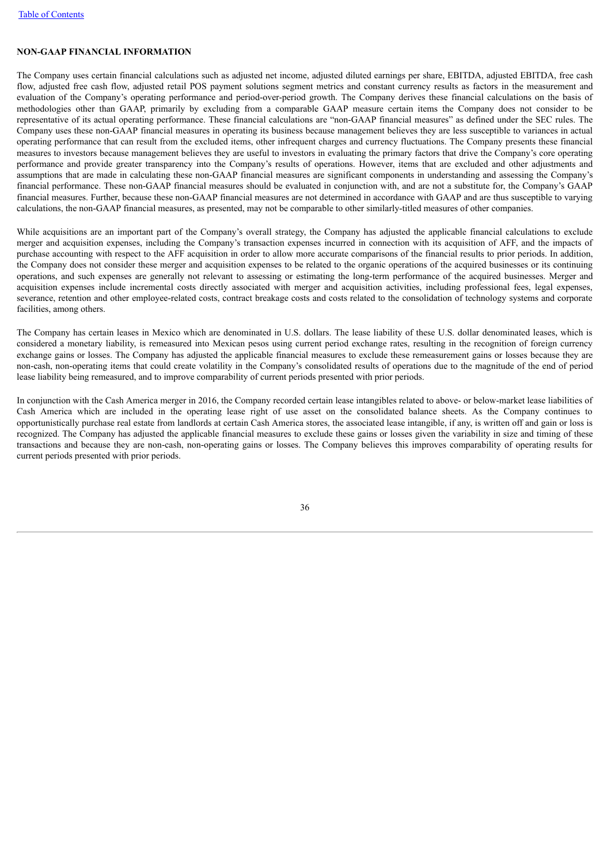### **NON-GAAP FINANCIAL INFORMATION**

The Company uses certain financial calculations such as adjusted net income, adjusted diluted earnings per share, EBITDA, adjusted EBITDA, free cash flow, adjusted free cash flow, adjusted retail POS payment solutions segment metrics and constant currency results as factors in the measurement and evaluation of the Company's operating performance and period-over-period growth. The Company derives these financial calculations on the basis of methodologies other than GAAP, primarily by excluding from a comparable GAAP measure certain items the Company does not consider to be representative of its actual operating performance. These financial calculations are "non-GAAP financial measures" as defined under the SEC rules. The Company uses these non-GAAP financial measures in operating its business because management believes they are less susceptible to variances in actual operating performance that can result from the excluded items, other infrequent charges and currency fluctuations. The Company presents these financial measures to investors because management believes they are useful to investors in evaluating the primary factors that drive the Company's core operating performance and provide greater transparency into the Company's results of operations. However, items that are excluded and other adjustments and assumptions that are made in calculating these non-GAAP financial measures are significant components in understanding and assessing the Company's financial performance. These non-GAAP financial measures should be evaluated in conjunction with, and are not a substitute for, the Company's GAAP financial measures. Further, because these non-GAAP financial measures are not determined in accordance with GAAP and are thus susceptible to varying calculations, the non-GAAP financial measures, as presented, may not be comparable to other similarly-titled measures of other companies.

While acquisitions are an important part of the Company's overall strategy, the Company has adjusted the applicable financial calculations to exclude merger and acquisition expenses, including the Company's transaction expenses incurred in connection with its acquisition of AFF, and the impacts of purchase accounting with respect to the AFF acquisition in order to allow more accurate comparisons of the financial results to prior periods. In addition, the Company does not consider these merger and acquisition expenses to be related to the organic operations of the acquired businesses or its continuing operations, and such expenses are generally not relevant to assessing or estimating the long-term performance of the acquired businesses. Merger and acquisition expenses include incremental costs directly associated with merger and acquisition activities, including professional fees, legal expenses, severance, retention and other employee-related costs, contract breakage costs and costs related to the consolidation of technology systems and corporate facilities, among others.

The Company has certain leases in Mexico which are denominated in U.S. dollars. The lease liability of these U.S. dollar denominated leases, which is considered a monetary liability, is remeasured into Mexican pesos using current period exchange rates, resulting in the recognition of foreign currency exchange gains or losses. The Company has adjusted the applicable financial measures to exclude these remeasurement gains or losses because they are non-cash, non-operating items that could create volatility in the Company's consolidated results of operations due to the magnitude of the end of period lease liability being remeasured, and to improve comparability of current periods presented with prior periods.

In conjunction with the Cash America merger in 2016, the Company recorded certain lease intangibles related to above- or below-market lease liabilities of Cash America which are included in the operating lease right of use asset on the consolidated balance sheets. As the Company continues to opportunistically purchase real estate from landlords at certain Cash America stores, the associated lease intangible, if any, is written off and gain or loss is recognized. The Company has adjusted the applicable financial measures to exclude these gains or losses given the variability in size and timing of these transactions and because they are non-cash, non-operating gains or losses. The Company believes this improves comparability of operating results for current periods presented with prior periods.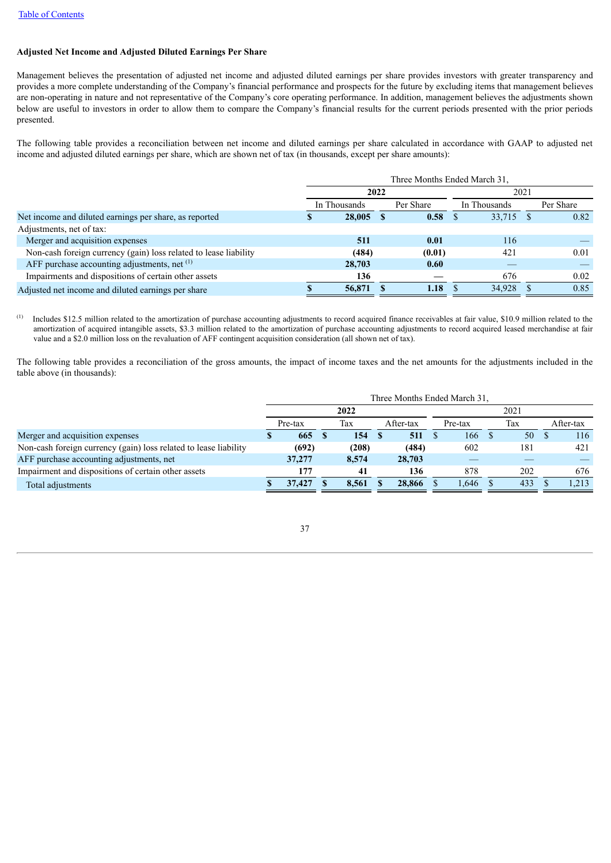### **Adjusted Net Income and Adjusted Diluted Earnings Per Share**

Management believes the presentation of adjusted net income and adjusted diluted earnings per share provides investors with greater transparency and provides a more complete understanding of the Company's financial performance and prospects for the future by excluding items that management believes are non-operating in nature and not representative of the Company's core operating performance. In addition, management believes the adjustments shown below are useful to investors in order to allow them to compare the Company's financial results for the current periods presented with the prior periods presented.

The following table provides a reconciliation between net income and diluted earnings per share calculated in accordance with GAAP to adjusted net income and adjusted diluted earnings per share, which are shown net of tax (in thousands, except per share amounts):

|                                                                  | Three Months Ended March 31, |              |           |        |              |        |           |      |  |  |
|------------------------------------------------------------------|------------------------------|--------------|-----------|--------|--------------|--------|-----------|------|--|--|
|                                                                  |                              | 2022         |           |        | 2021         |        |           |      |  |  |
|                                                                  |                              | In Thousands | Per Share |        | In Thousands |        | Per Share |      |  |  |
| Net income and diluted earnings per share, as reported           |                              | 28,005       |           | 0.58   |              | 33,715 |           | 0.82 |  |  |
| Adjustments, net of tax:                                         |                              |              |           |        |              |        |           |      |  |  |
| Merger and acquisition expenses                                  |                              | 511          |           | 0.01   |              | 116    |           |      |  |  |
| Non-cash foreign currency (gain) loss related to lease liability |                              | (484)        |           | (0.01) |              | 421    |           | 0.01 |  |  |
| AFF purchase accounting adjustments, net (1)                     |                              | 28,703       |           | 0.60   |              |        |           |      |  |  |
| Impairments and dispositions of certain other assets             |                              | 136          |           |        |              | 676    |           | 0.02 |  |  |
| Adjusted net income and diluted earnings per share               |                              | 56,871       |           | 1.18   |              | 34,928 |           | 0.85 |  |  |

Includes \$12.5 million related to the amortization of purchase accounting adjustments to record acquired finance receivables at fair value, \$10.9 million related to the amortization of acquired intangible assets, \$3.3 million related to the amortization of purchase accounting adjustments to record acquired leased merchandise at fair value and a \$2.0 million loss on the revaluation of AFF contingent acquisition consideration (all shown net of tax). (1)

The following table provides a reconciliation of the gross amounts, the impact of income taxes and the net amounts for the adjustments included in the table above (in thousands):

|                                                                  | Three Months Ended March 31. |         |  |       |  |           |  |         |  |     |  |           |  |
|------------------------------------------------------------------|------------------------------|---------|--|-------|--|-----------|--|---------|--|-----|--|-----------|--|
|                                                                  |                              | 2022    |  |       |  |           |  | 2021    |  |     |  |           |  |
|                                                                  |                              | Pre-tax |  | Tax   |  | After-tax |  | Pre-tax |  | Tax |  | After-tax |  |
| Merger and acquisition expenses                                  | ъ                            | 665     |  | 154   |  | 511       |  | 166     |  | 50  |  | 116       |  |
| Non-cash foreign currency (gain) loss related to lease liability |                              | (692)   |  | (208) |  | (484)     |  | 602     |  | 181 |  | 421       |  |
| AFF purchase accounting adjustments, net                         |                              | 37,277  |  | 8.574 |  | 28,703    |  |         |  |     |  |           |  |
| Impairment and dispositions of certain other assets              |                              | 177     |  | 41    |  | 136       |  | 878     |  | 202 |  | 676       |  |
| Total adjustments                                                |                              | 37,427  |  | 8.561 |  | 28,866    |  | 1.646   |  | 433 |  | .213      |  |

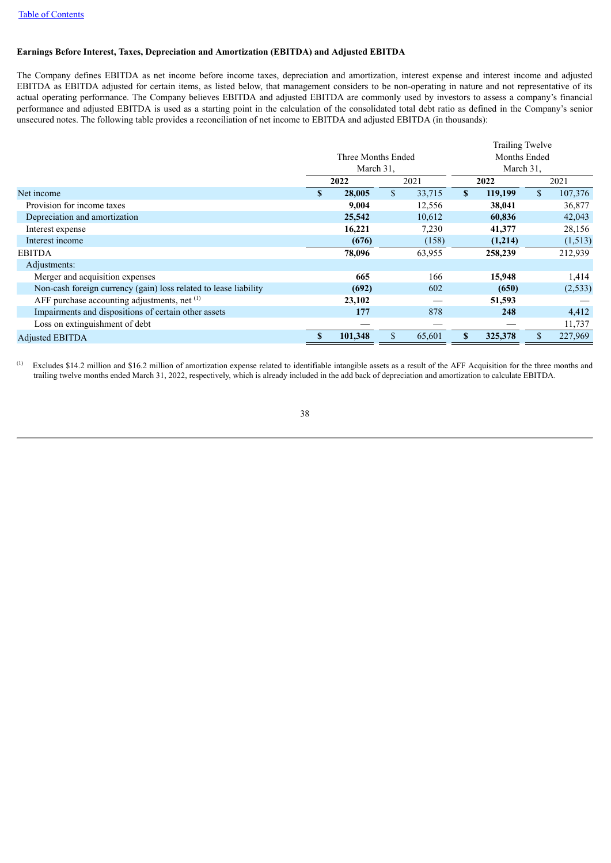### **Earnings Before Interest, Taxes, Depreciation and Amortization (EBITDA) and Adjusted EBITDA**

The Company defines EBITDA as net income before income taxes, depreciation and amortization, interest expense and interest income and adjusted EBITDA as EBITDA adjusted for certain items, as listed below, that management considers to be non-operating in nature and not representative of its actual operating performance. The Company believes EBITDA and adjusted EBITDA are commonly used by investors to assess a company's financial performance and adjusted EBITDA is used as a starting point in the calculation of the consolidated total debt ratio as defined in the Company's senior unsecured notes. The following table provides a reconciliation of net income to EBITDA and adjusted EBITDA (in thousands):

|                                                                  |           |                    | <b>Trailing Twelve</b> |        |              |         |              |          |  |
|------------------------------------------------------------------|-----------|--------------------|------------------------|--------|--------------|---------|--------------|----------|--|
|                                                                  |           | Three Months Ended |                        |        | Months Ended |         |              |          |  |
|                                                                  | March 31. |                    |                        |        | March 31,    |         |              |          |  |
|                                                                  |           | 2022               |                        | 2021   | 2022         |         |              | 2021     |  |
| Net income                                                       | S         | 28,005             | $\mathbb{S}$           | 33,715 | $\mathbf{s}$ | 119,199 | $\mathbb{S}$ | 107,376  |  |
| Provision for income taxes                                       |           | 9,004              |                        | 12,556 |              | 38,041  |              | 36,877   |  |
| Depreciation and amortization                                    |           | 25,542             |                        | 10,612 |              | 60,836  |              | 42,043   |  |
| Interest expense                                                 |           | 16,221             |                        | 7,230  |              | 41,377  |              | 28,156   |  |
| Interest income                                                  |           | (676)              |                        | (158)  |              | (1,214) |              | (1,513)  |  |
| <b>EBITDA</b>                                                    |           | 78,096             |                        | 63,955 |              | 258,239 |              | 212,939  |  |
| Adjustments:                                                     |           |                    |                        |        |              |         |              |          |  |
| Merger and acquisition expenses                                  |           | 665                |                        | 166    |              | 15,948  |              | 1,414    |  |
| Non-cash foreign currency (gain) loss related to lease liability |           | (692)              |                        | 602    |              | (650)   |              | (2, 533) |  |
| AFF purchase accounting adjustments, net $(1)$                   |           | 23,102             |                        |        |              | 51,593  |              |          |  |
| Impairments and dispositions of certain other assets             |           | 177                |                        | 878    |              | 248     |              | 4,412    |  |
| Loss on extinguishment of debt                                   |           |                    |                        |        |              |         |              | 11,737   |  |
| <b>Adjusted EBITDA</b>                                           | S         | 101,348            | \$                     | 65,601 | \$           | 325,378 | $\mathbb{S}$ | 227,969  |  |

Excludes \$14.2 million and \$16.2 million of amortization expense related to identifiable intangible assets as a result of the AFF Acquisition for the three months and trailing twelve months ended March 31, 2022, respectively, which is already included in the add back of depreciation and amortization to calculate EBITDA. (1)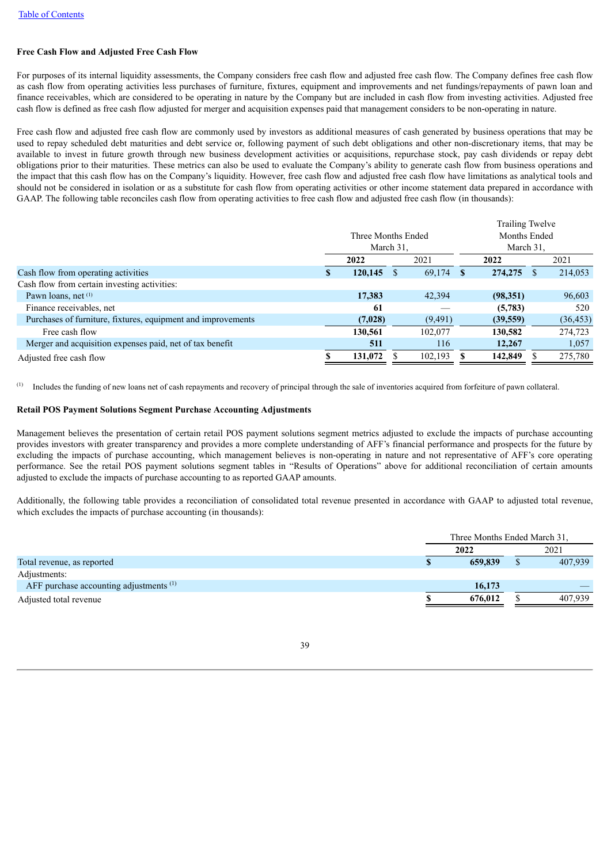### **Free Cash Flow and Adjusted Free Cash Flow**

For purposes of its internal liquidity assessments, the Company considers free cash flow and adjusted free cash flow. The Company defines free cash flow as cash flow from operating activities less purchases of furniture, fixtures, equipment and improvements and net fundings/repayments of pawn loan and finance receivables, which are considered to be operating in nature by the Company but are included in cash flow from investing activities. Adjusted free cash flow is defined as free cash flow adjusted for merger and acquisition expenses paid that management considers to be non-operating in nature.

Free cash flow and adjusted free cash flow are commonly used by investors as additional measures of cash generated by business operations that may be used to repay scheduled debt maturities and debt service or, following payment of such debt obligations and other non-discretionary items, that may be available to invest in future growth through new business development activities or acquisitions, repurchase stock, pay cash dividends or repay debt obligations prior to their maturities. These metrics can also be used to evaluate the Company's ability to generate cash flow from business operations and the impact that this cash flow has on the Company's liquidity. However, free cash flow and adjusted free cash flow have limitations as analytical tools and should not be considered in isolation or as a substitute for cash flow from operating activities or other income statement data prepared in accordance with GAAP. The following table reconciles cash flow from operating activities to free cash flow and adjusted free cash flow (in thousands):

|                                                              |           |                    |  |          | Trailing Twelve |           |      |           |  |
|--------------------------------------------------------------|-----------|--------------------|--|----------|-----------------|-----------|------|-----------|--|
|                                                              |           | Three Months Ended |  |          | Months Ended    |           |      |           |  |
|                                                              | March 31. |                    |  |          |                 | March 31, |      |           |  |
|                                                              |           | 2022               |  | 2021     |                 | 2022      | 2021 |           |  |
| Cash flow from operating activities                          | <b>S</b>  | 120,145            |  | 69,174   | <b>S</b>        | 274, 275  |      | 214,053   |  |
| Cash flow from certain investing activities:                 |           |                    |  |          |                 |           |      |           |  |
| Pawn loans, net $(1)$                                        |           | 17,383             |  | 42,394   |                 | (98, 351) |      | 96,603    |  |
| Finance receivables, net                                     |           | 61                 |  |          |                 | (5,783)   |      | 520       |  |
| Purchases of furniture, fixtures, equipment and improvements |           | (7,028)            |  | (9, 491) |                 | (39, 559) |      | (36, 453) |  |
| Free cash flow                                               |           | 130,561            |  | 102,077  |                 | 130,582   |      | 274,723   |  |
| Merger and acquisition expenses paid, net of tax benefit     |           | 511                |  | 116      |                 | 12,267    |      | 1,057     |  |
| Adjusted free cash flow                                      |           | 131,072            |  | 102,193  |                 | 142,849   |      | 275,780   |  |
|                                                              |           |                    |  |          |                 |           |      |           |  |

Includes the funding of new loans net of cash repayments and recovery of principal through the sale of inventories acquired from forfeiture of pawn collateral. (1)

### **Retail POS Payment Solutions Segment Purchase Accounting Adjustments**

Management believes the presentation of certain retail POS payment solutions segment metrics adjusted to exclude the impacts of purchase accounting provides investors with greater transparency and provides a more complete understanding of AFF's financial performance and prospects for the future by excluding the impacts of purchase accounting, which management believes is non-operating in nature and not representative of AFF's core operating performance. See the retail POS payment solutions segment tables in "Results of Operations" above for additional reconciliation of certain amounts adjusted to exclude the impacts of purchase accounting to as reported GAAP amounts.

Additionally, the following table provides a reconciliation of consolidated total revenue presented in accordance with GAAP to adjusted total revenue, which excludes the impacts of purchase accounting (in thousands):

|                                                    | Three Months Ended March 31, |  |         |  |  |  |
|----------------------------------------------------|------------------------------|--|---------|--|--|--|
|                                                    | 2022                         |  | 2021    |  |  |  |
| Total revenue, as reported                         | 659,839                      |  | 407,939 |  |  |  |
| Adjustments:                                       |                              |  |         |  |  |  |
| AFF purchase accounting adjustments <sup>(1)</sup> | 16,173                       |  |         |  |  |  |
| Adjusted total revenue                             | 676.012                      |  | 407.939 |  |  |  |
|                                                    |                              |  |         |  |  |  |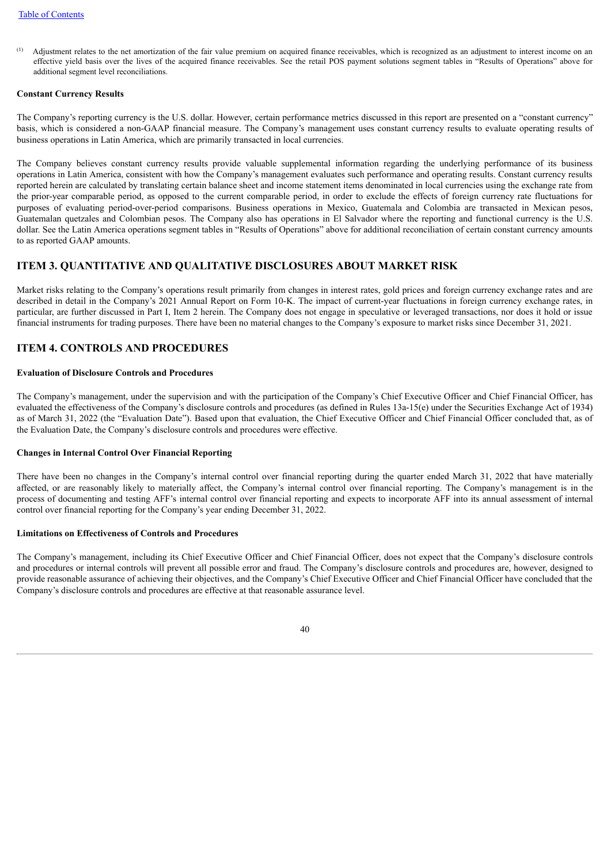Adjustment relates to the net amortization of the fair value premium on acquired finance receivables, which is recognized as an adjustment to interest income on an effective yield basis over the lives of the acquired finance receivables. See the retail POS payment solutions segment tables in "Results of Operations" above for additional segment level reconciliations. (1)

#### **Constant Currency Results**

The Company's reporting currency is the U.S. dollar. However, certain performance metrics discussed in this report are presented on a "constant currency" basis, which is considered a non-GAAP financial measure. The Company's management uses constant currency results to evaluate operating results of business operations in Latin America, which are primarily transacted in local currencies.

The Company believes constant currency results provide valuable supplemental information regarding the underlying performance of its business operations in Latin America, consistent with how the Company's management evaluates such performance and operating results. Constant currency results reported herein are calculated by translating certain balance sheet and income statement items denominated in local currencies using the exchange rate from the prior-year comparable period, as opposed to the current comparable period, in order to exclude the effects of foreign currency rate fluctuations for purposes of evaluating period-over-period comparisons. Business operations in Mexico, Guatemala and Colombia are transacted in Mexican pesos, Guatemalan quetzales and Colombian pesos. The Company also has operations in El Salvador where the reporting and functional currency is the U.S. dollar. See the Latin America operations segment tables in "Results of Operations" above for additional reconciliation of certain constant currency amounts to as reported GAAP amounts.

# <span id="page-43-0"></span>**ITEM 3. QUANTITATIVE AND QUALITATIVE DISCLOSURES ABOUT MARKET RISK**

Market risks relating to the Company's operations result primarily from changes in interest rates, gold prices and foreign currency exchange rates and are described in detail in the Company's 2021 Annual Report on Form 10-K. The impact of current-year fluctuations in foreign currency exchange rates, in particular, are further discussed in Part I, Item 2 herein. The Company does not engage in speculative or leveraged transactions, nor does it hold or issue financial instruments for trading purposes. There have been no material changes to the Company's exposure to market risks since December 31, 2021.

# <span id="page-43-1"></span>**ITEM 4. CONTROLS AND PROCEDURES**

### **Evaluation of Disclosure Controls and Procedures**

The Company's management, under the supervision and with the participation of the Company's Chief Executive Officer and Chief Financial Officer, has evaluated the effectiveness of the Company's disclosure controls and procedures (as defined in Rules 13a-15(e) under the Securities Exchange Act of 1934) as of March 31, 2022 (the "Evaluation Date"). Based upon that evaluation, the Chief Executive Officer and Chief Financial Officer concluded that, as of the Evaluation Date, the Company's disclosure controls and procedures were effective.

### **Changes in Internal Control Over Financial Reporting**

There have been no changes in the Company's internal control over financial reporting during the quarter ended March 31, 2022 that have materially affected, or are reasonably likely to materially affect, the Company's internal control over financial reporting. The Company's management is in the process of documenting and testing AFF's internal control over financial reporting and expects to incorporate AFF into its annual assessment of internal control over financial reporting for the Company's year ending December 31, 2022.

### **Limitations on Effectiveness of Controls and Procedures**

<span id="page-43-2"></span>The Company's management, including its Chief Executive Officer and Chief Financial Officer, does not expect that the Company's disclosure controls and procedures or internal controls will prevent all possible error and fraud. The Company's disclosure controls and procedures are, however, designed to provide reasonable assurance of achieving their objectives, and the Company's Chief Executive Officer and Chief Financial Officer have concluded that the Company's disclosure controls and procedures are effective at that reasonable assurance level.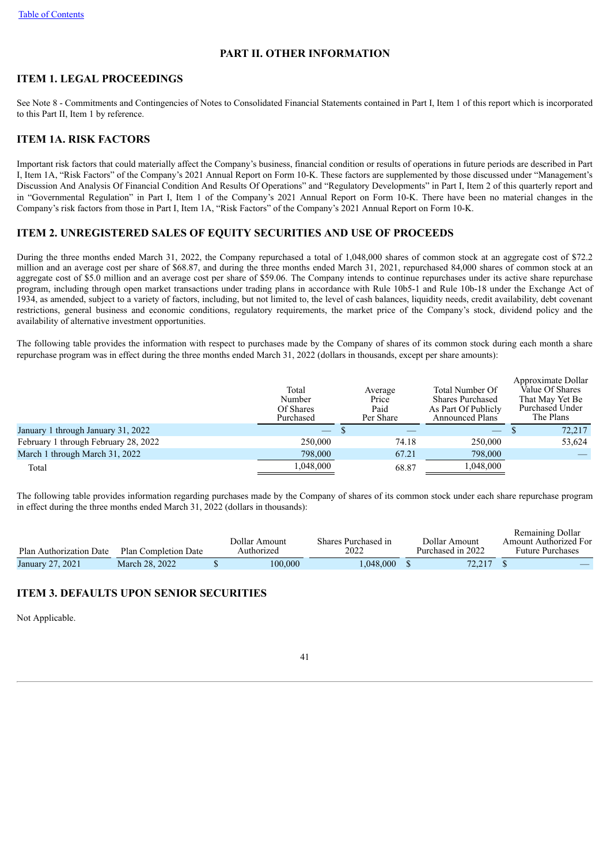# **PART II. OTHER INFORMATION**

# <span id="page-44-0"></span>**ITEM 1. LEGAL PROCEEDINGS**

See Note 8 - Commitments and Contingencies of Notes to Consolidated Financial Statements contained in Part I, Item 1 of this report which is incorporated to this Part II, Item 1 by reference.

# <span id="page-44-1"></span>**ITEM 1A. RISK FACTORS**

Important risk factors that could materially affect the Company's business, financial condition or results of operations in future periods are described in Part I, Item 1A, "Risk Factors" of the Company's 2021 Annual Report on Form 10-K. These factors are supplemented by those discussed under "Management's Discussion And Analysis Of Financial Condition And Results Of Operations" and "Regulatory Developments" in Part I, Item 2 of this quarterly report and in "Governmental Regulation" in Part I, Item 1 of the Company's 2021 Annual Report on Form 10-K. There have been no material changes in the Company's risk factors from those in Part I, Item 1A, "Risk Factors" of the Company's 2021 Annual Report on Form 10-K.

# <span id="page-44-2"></span>**ITEM 2. UNREGISTERED SALES OF EQUITY SECURITIES AND USE OF PROCEEDS**

During the three months ended March 31, 2022, the Company repurchased a total of 1,048,000 shares of common stock at an aggregate cost of \$72.2 million and an average cost per share of \$68.87, and during the three months ended March 31, 2021, repurchased 84,000 shares of common stock at an aggregate cost of \$5.0 million and an average cost per share of \$59.06. The Company intends to continue repurchases under its active share repurchase program, including through open market transactions under trading plans in accordance with Rule 10b5-1 and Rule 10b-18 under the Exchange Act of 1934, as amended, subject to a variety of factors, including, but not limited to, the level of cash balances, liquidity needs, credit availability, debt covenant restrictions, general business and economic conditions, regulatory requirements, the market price of the Company's stock, dividend policy and the availability of alternative investment opportunities.

The following table provides the information with respect to purchases made by the Company of shares of its common stock during each month a share repurchase program was in effect during the three months ended March 31, 2022 (dollars in thousands, except per share amounts):

|                                      | Total<br>Number<br>Of Shares<br>Purchased | Average<br>Price<br>Paid<br>Per Share | Total Number Of<br><b>Shares Purchased</b><br>As Part Of Publicly<br><b>Announced Plans</b> | Approximate Dollar<br>Value Of Shares<br>That May Yet Be<br>Purchased Under<br>The Plans |
|--------------------------------------|-------------------------------------------|---------------------------------------|---------------------------------------------------------------------------------------------|------------------------------------------------------------------------------------------|
| January 1 through January 31, 2022   |                                           |                                       |                                                                                             | 72,217                                                                                   |
| February 1 through February 28, 2022 | 250,000                                   | 74.18                                 | 250,000                                                                                     | 53,624                                                                                   |
| March 1 through March 31, 2022       | 798,000                                   | 67.21                                 | 798,000                                                                                     |                                                                                          |
| Total                                | 1,048,000                                 | 68.87                                 | 1,048,000                                                                                   |                                                                                          |

The following table provides information regarding purchases made by the Company of shares of its common stock under each share repurchase program in effect during the three months ended March 31, 2022 (dollars in thousands):

|                         |                             | Dollar Amount<br>Authorized | Shares Purchased in<br>2022 | Dollar Amount<br>Purchased in 2022 | Remaining Dollar<br>Amount Authorized For<br><b>Future Purchases</b> |
|-------------------------|-----------------------------|-----------------------------|-----------------------------|------------------------------------|----------------------------------------------------------------------|
| Plan Authorization Date | <b>Plan Completion Date</b> |                             |                             |                                    |                                                                      |
| January 27, 2021        | March 28, 2022              | 100.000                     | .048.000                    | 72.217                             |                                                                      |

# <span id="page-44-3"></span>**ITEM 3. DEFAULTS UPON SENIOR SECURITIES**

<span id="page-44-4"></span>Not Applicable.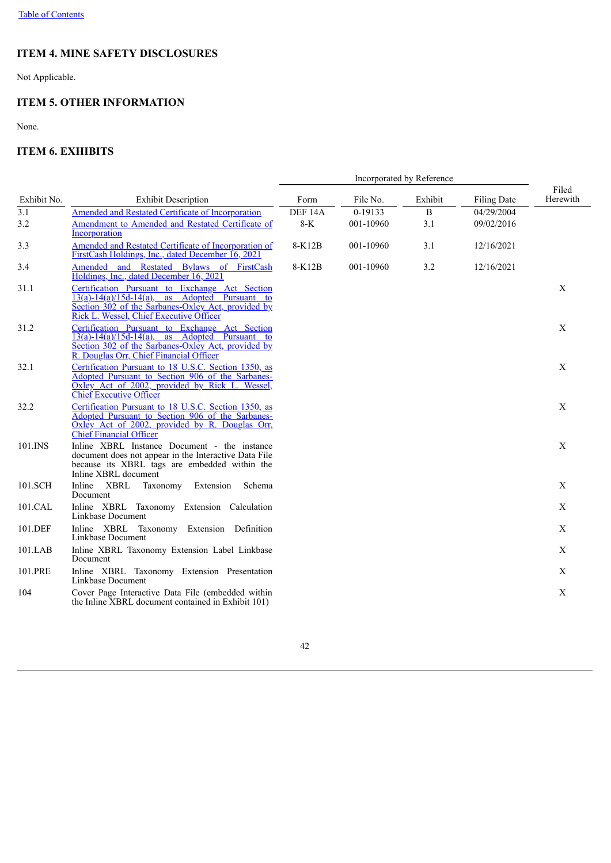# **ITEM 4. MINE SAFETY DISCLOSURES**

Not Applicable.

# <span id="page-45-0"></span>**ITEM 5. OTHER INFORMATION**

None.

# <span id="page-45-1"></span>**ITEM 6. EXHIBITS**

<span id="page-45-2"></span>

|             |                                                                                                                                                                                                        | Incorporated by Reference   |                      |          |                          |                   |  |  |
|-------------|--------------------------------------------------------------------------------------------------------------------------------------------------------------------------------------------------------|-----------------------------|----------------------|----------|--------------------------|-------------------|--|--|
| Exhibit No. | <b>Exhibit Description</b>                                                                                                                                                                             | Form                        | File No.             | Exhibit  | Filing Date              | Filed<br>Herewith |  |  |
| 3.1<br>3.2  | <b>Amended and Restated Certificate of Incorporation</b><br>Amendment to Amended and Restated Certificate of<br>Incorporation                                                                          | DEF <sub>14A</sub><br>$8-K$ | 0-19133<br>001-10960 | B<br>3.1 | 04/29/2004<br>09/02/2016 |                   |  |  |
| 3.3         | Amended and Restated Certificate of Incorporation of<br>FirstCash Holdings, Inc., dated December 16, 2021                                                                                              | 8-K12B                      | 001-10960            | 3.1      | 12/16/2021               |                   |  |  |
| 3.4         | Amended and Restated Bylaws of FirstCash<br>Holdings, Inc., dated December 16, 2021                                                                                                                    | 8-K12B                      | 001-10960            | 3.2      | 12/16/2021               |                   |  |  |
| 31.1        | Certification Pursuant to Exchange Act Section<br>$13(a)-14(a)/15d-14(a)$ ,<br>as Adopted Pursuant to<br>Section 302 of the Sarbanes-Oxley Act, provided by<br>Rick L. Wessel, Chief Executive Officer |                             |                      |          |                          | X                 |  |  |
| 31.2        | Certification Pursuant to Exchange Act Section<br>$13(a)-14(a)/15d-14(a)$ , as Adopted Pursuant to<br>Section 302 of the Sarbanes-Oxley Act, provided by<br>R. Douglas Orr, Chief Financial Officer    |                             |                      |          |                          | X                 |  |  |
| 32.1        | Certification Pursuant to 18 U.S.C. Section 1350, as<br>Adopted Pursuant to Section 906 of the Sarbanes-<br>Oxley Act of 2002, provided by Rick L. Wessel,<br><b>Chief Executive Officer</b>           |                             |                      |          |                          | X                 |  |  |
| 32.2        | Certification Pursuant to 18 U.S.C. Section 1350, as<br>Adopted Pursuant to Section 906 of the Sarbanes-<br>Oxley Act of 2002, provided by R. Douglas Orr,<br><b>Chief Financial Officer</b>           |                             |                      |          |                          | X                 |  |  |
| 101.INS     | Inline XBRL Instance Document - the instance<br>document does not appear in the Interactive Data File<br>because its XBRL tags are embedded within the<br>Inline XBRL document                         |                             |                      |          |                          | $\mathbf X$       |  |  |
| 101.SCH     | Inline XBRL<br>Taxonomy Extension<br>Schema<br>Document                                                                                                                                                |                             |                      |          |                          | X                 |  |  |
| 101.CAL     | Inline XBRL Taxonomy Extension Calculation<br>Linkbase Document                                                                                                                                        |                             |                      |          |                          | X                 |  |  |
| 101.DEF     | Inline XBRL Taxonomy Extension Definition<br>Linkbase Document                                                                                                                                         |                             |                      |          |                          | $\mathbf X$       |  |  |
| $101$ .LAB  | Inline XBRL Taxonomy Extension Label Linkbase<br>Document                                                                                                                                              |                             |                      |          |                          | X                 |  |  |
| 101.PRE     | Inline XBRL Taxonomy Extension Presentation<br>Linkbase Document                                                                                                                                       |                             |                      |          |                          | X                 |  |  |
| 104         | Cover Page Interactive Data File (embedded within<br>the Inline XBRL document contained in Exhibit 101)                                                                                                |                             |                      |          |                          | $\mathbf X$       |  |  |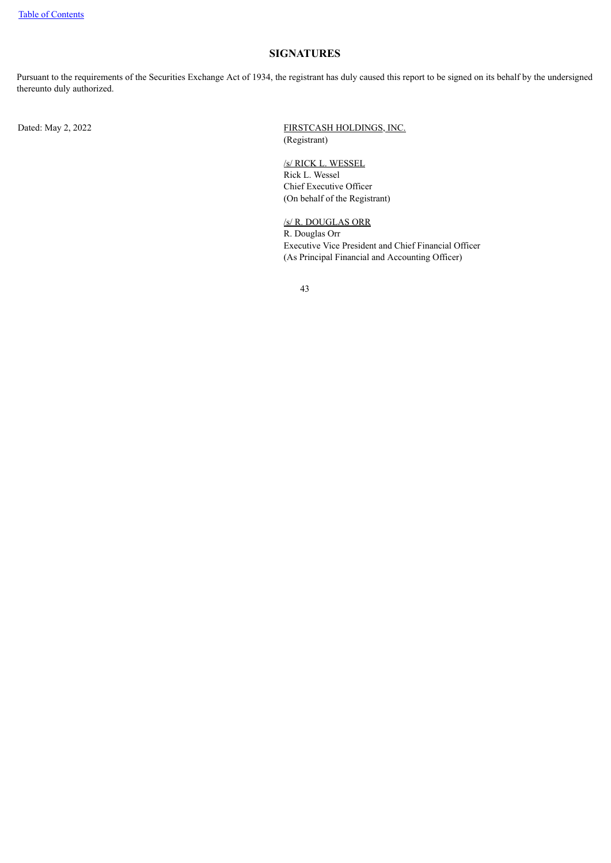# **SIGNATURES**

Pursuant to the requirements of the Securities Exchange Act of 1934, the registrant has duly caused this report to be signed on its behalf by the undersigned thereunto duly authorized.

Dated: May 2, 2022 FIRSTCASH HOLDINGS, INC. (Registrant)

> /s/ RICK L. WESSEL Rick L. Wessel Chief Executive Officer (On behalf of the Registrant)

# /s/ R. DOUGLAS ORR

R. Douglas Orr Executive Vice President and Chief Financial Officer (As Principal Financial and Accounting Officer)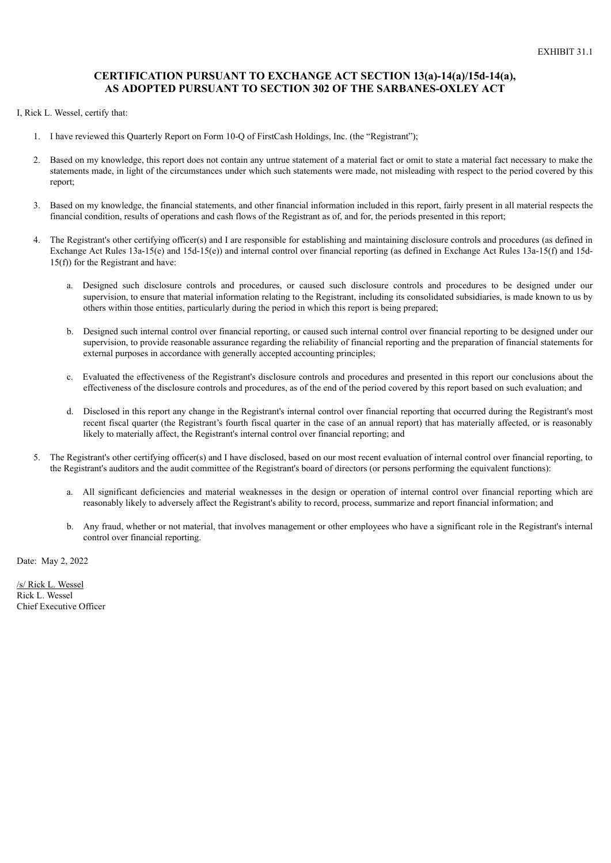## <span id="page-47-0"></span>**CERTIFICATION PURSUANT TO EXCHANGE ACT SECTION 13(a)-14(a)/15d-14(a), AS ADOPTED PURSUANT TO SECTION 302 OF THE SARBANES-OXLEY ACT**

I, Rick L. Wessel, certify that:

- 1. I have reviewed this Quarterly Report on Form 10-Q of FirstCash Holdings, Inc. (the "Registrant");
- 2. Based on my knowledge, this report does not contain any untrue statement of a material fact or omit to state a material fact necessary to make the statements made, in light of the circumstances under which such statements were made, not misleading with respect to the period covered by this report;
- 3. Based on my knowledge, the financial statements, and other financial information included in this report, fairly present in all material respects the financial condition, results of operations and cash flows of the Registrant as of, and for, the periods presented in this report;
- 4. The Registrant's other certifying officer(s) and I are responsible for establishing and maintaining disclosure controls and procedures (as defined in Exchange Act Rules 13a-15(e) and 15d-15(e)) and internal control over financial reporting (as defined in Exchange Act Rules 13a-15(f) and 15d-15(f)) for the Registrant and have:
	- a. Designed such disclosure controls and procedures, or caused such disclosure controls and procedures to be designed under our supervision, to ensure that material information relating to the Registrant, including its consolidated subsidiaries, is made known to us by others within those entities, particularly during the period in which this report is being prepared;
	- b. Designed such internal control over financial reporting, or caused such internal control over financial reporting to be designed under our supervision, to provide reasonable assurance regarding the reliability of financial reporting and the preparation of financial statements for external purposes in accordance with generally accepted accounting principles;
	- c. Evaluated the effectiveness of the Registrant's disclosure controls and procedures and presented in this report our conclusions about the effectiveness of the disclosure controls and procedures, as of the end of the period covered by this report based on such evaluation; and
	- d. Disclosed in this report any change in the Registrant's internal control over financial reporting that occurred during the Registrant's most recent fiscal quarter (the Registrant's fourth fiscal quarter in the case of an annual report) that has materially affected, or is reasonably likely to materially affect, the Registrant's internal control over financial reporting; and
- 5. The Registrant's other certifying officer(s) and I have disclosed, based on our most recent evaluation of internal control over financial reporting, to the Registrant's auditors and the audit committee of the Registrant's board of directors (or persons performing the equivalent functions):
	- a. All significant deficiencies and material weaknesses in the design or operation of internal control over financial reporting which are reasonably likely to adversely affect the Registrant's ability to record, process, summarize and report financial information; and
	- b. Any fraud, whether or not material, that involves management or other employees who have a significant role in the Registrant's internal control over financial reporting.

Date: May 2, 2022

/s/ Rick L. Wessel Rick L. Wessel Chief Executive Officer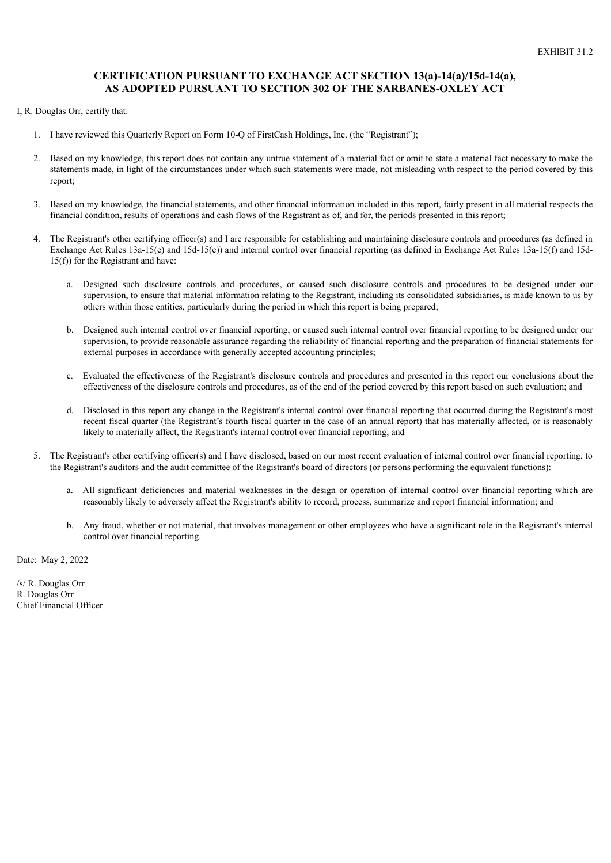# <span id="page-48-0"></span>**CERTIFICATION PURSUANT TO EXCHANGE ACT SECTION 13(a)-14(a)/15d-14(a), AS ADOPTED PURSUANT TO SECTION 302 OF THE SARBANES-OXLEY ACT**

- I, R. Douglas Orr, certify that:
	- 1. I have reviewed this Quarterly Report on Form 10-Q of FirstCash Holdings, Inc. (the "Registrant");
	- 2. Based on my knowledge, this report does not contain any untrue statement of a material fact or omit to state a material fact necessary to make the statements made, in light of the circumstances under which such statements were made, not misleading with respect to the period covered by this report;
	- 3. Based on my knowledge, the financial statements, and other financial information included in this report, fairly present in all material respects the financial condition, results of operations and cash flows of the Registrant as of, and for, the periods presented in this report;
	- 4. The Registrant's other certifying officer(s) and I are responsible for establishing and maintaining disclosure controls and procedures (as defined in Exchange Act Rules 13a-15(e) and 15d-15(e)) and internal control over financial reporting (as defined in Exchange Act Rules 13a-15(f) and 15d-15(f)) for the Registrant and have:
		- a. Designed such disclosure controls and procedures, or caused such disclosure controls and procedures to be designed under our supervision, to ensure that material information relating to the Registrant, including its consolidated subsidiaries, is made known to us by others within those entities, particularly during the period in which this report is being prepared;
		- b. Designed such internal control over financial reporting, or caused such internal control over financial reporting to be designed under our supervision, to provide reasonable assurance regarding the reliability of financial reporting and the preparation of financial statements for external purposes in accordance with generally accepted accounting principles;
		- c. Evaluated the effectiveness of the Registrant's disclosure controls and procedures and presented in this report our conclusions about the effectiveness of the disclosure controls and procedures, as of the end of the period covered by this report based on such evaluation; and
		- d. Disclosed in this report any change in the Registrant's internal control over financial reporting that occurred during the Registrant's most recent fiscal quarter (the Registrant's fourth fiscal quarter in the case of an annual report) that has materially affected, or is reasonably likely to materially affect, the Registrant's internal control over financial reporting; and
	- 5. The Registrant's other certifying officer(s) and I have disclosed, based on our most recent evaluation of internal control over financial reporting, to the Registrant's auditors and the audit committee of the Registrant's board of directors (or persons performing the equivalent functions):
		- a. All significant deficiencies and material weaknesses in the design or operation of internal control over financial reporting which are reasonably likely to adversely affect the Registrant's ability to record, process, summarize and report financial information; and
		- b. Any fraud, whether or not material, that involves management or other employees who have a significant role in the Registrant's internal control over financial reporting.

Date: May 2, 2022

/s/ R. Douglas Orr R. Douglas Orr Chief Financial Officer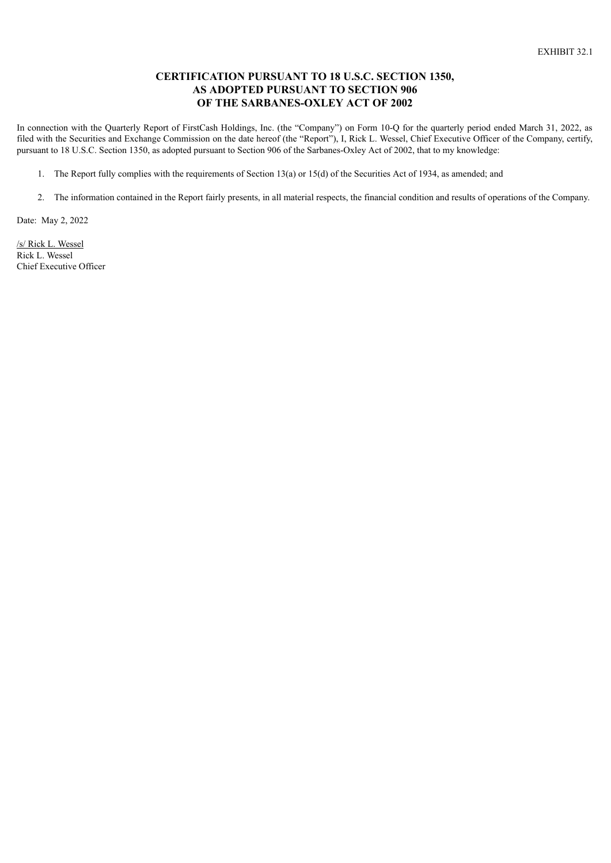# **CERTIFICATION PURSUANT TO 18 U.S.C. SECTION 1350, AS ADOPTED PURSUANT TO SECTION 906 OF THE SARBANES-OXLEY ACT OF 2002**

<span id="page-49-0"></span>In connection with the Quarterly Report of FirstCash Holdings, Inc. (the "Company") on Form 10-Q for the quarterly period ended March 31, 2022, as filed with the Securities and Exchange Commission on the date hereof (the "Report"), I, Rick L. Wessel, Chief Executive Officer of the Company, certify, pursuant to 18 U.S.C. Section 1350, as adopted pursuant to Section 906 of the Sarbanes-Oxley Act of 2002, that to my knowledge:

- 1. The Report fully complies with the requirements of Section 13(a) or 15(d) of the Securities Act of 1934, as amended; and
- 2. The information contained in the Report fairly presents, in all material respects, the financial condition and results of operations of the Company.

Date: May 2, 2022

/s/ Rick L. Wessel Rick L. Wessel Chief Executive Officer